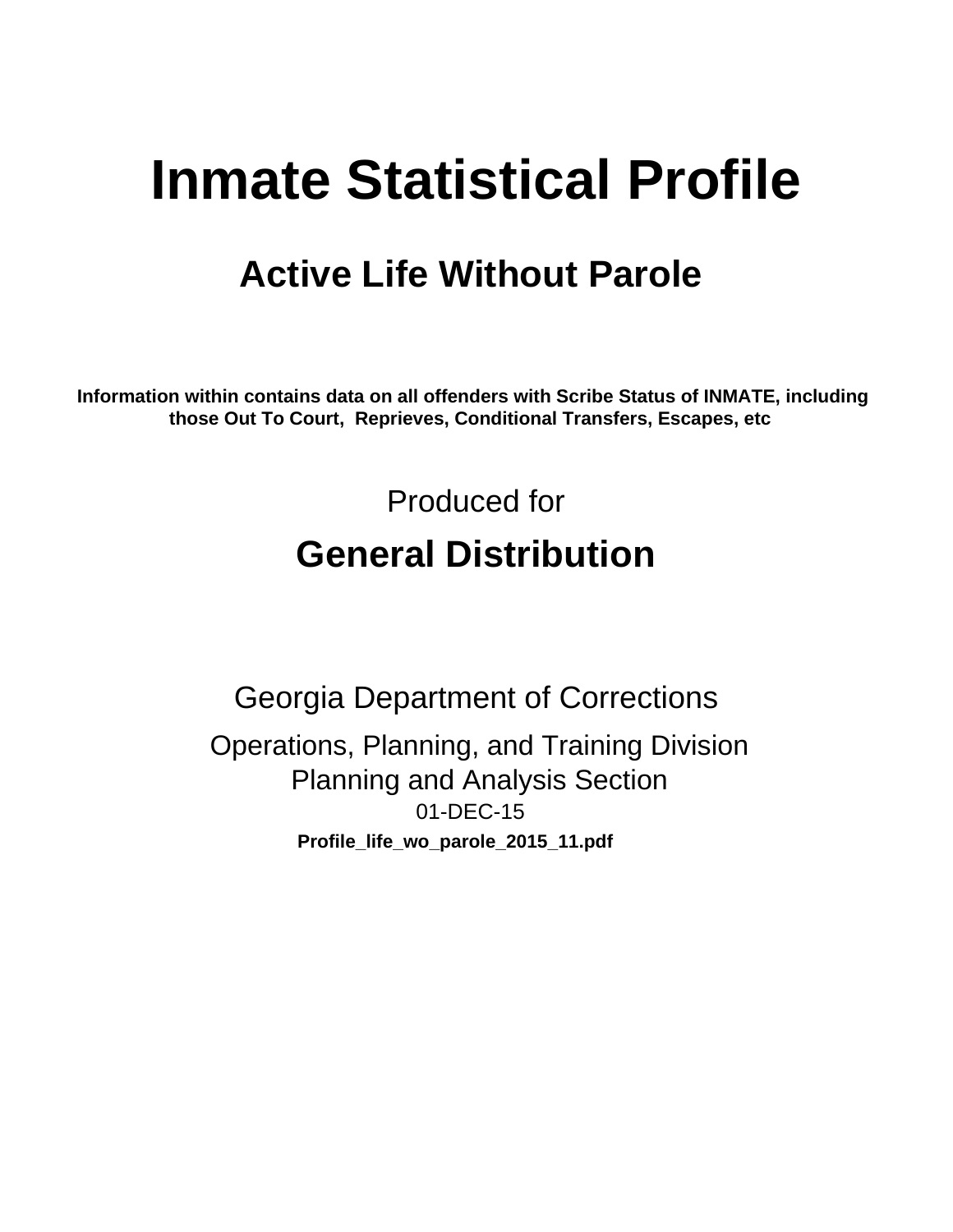# **Inmate Statistical Profile**

## **Active Life Without Parole**

Information within contains data on all offenders with Scribe Status of INMATE, including those Out To Court, Reprieves, Conditional Transfers, Escapes, etc

> Produced for **General Distribution**

**Georgia Department of Corrections** Operations, Planning, and Training Division **Planning and Analysis Section** 01-DEC-15 Profile\_life\_wo\_parole\_2015\_11.pdf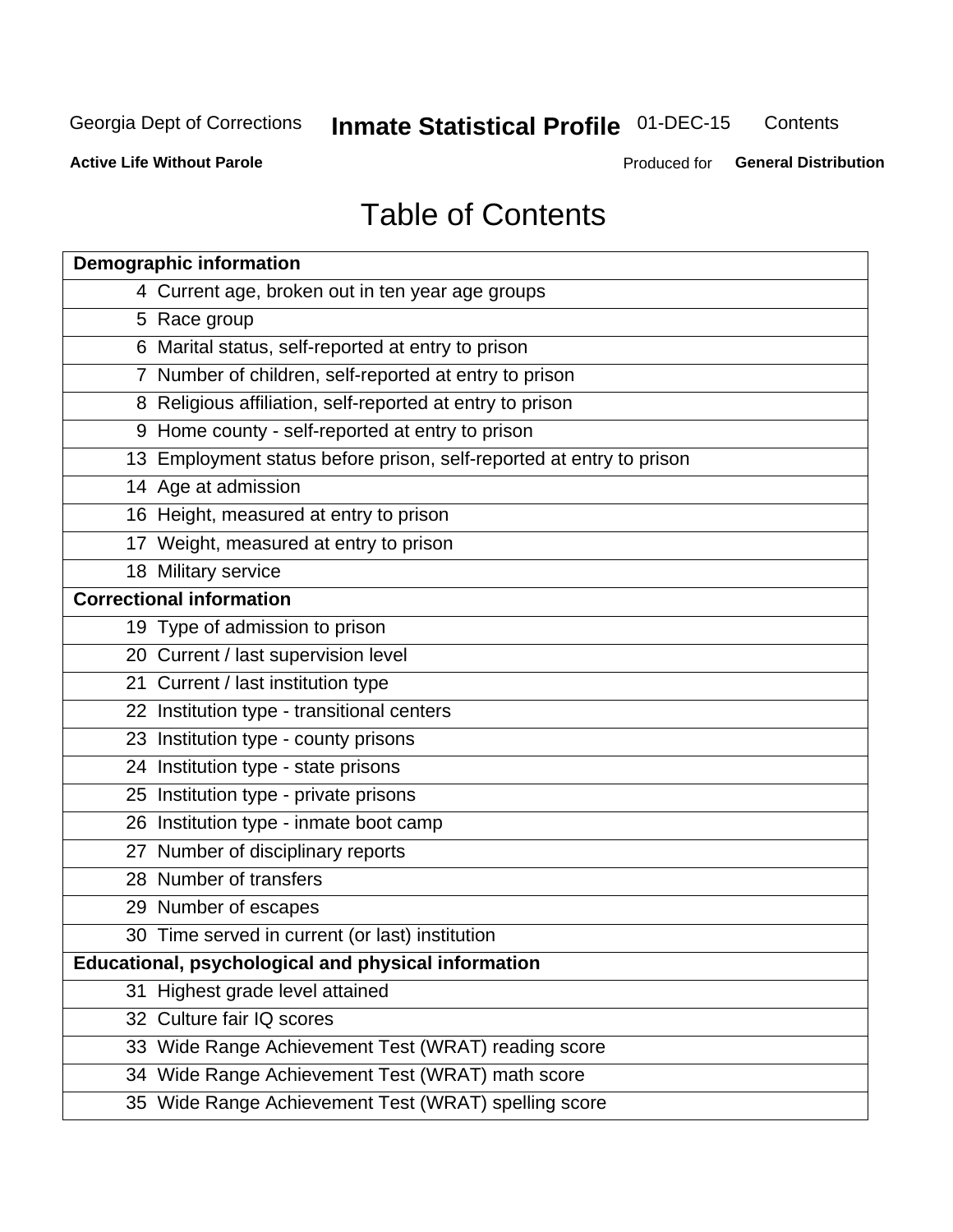#### **Inmate Statistical Profile 01-DEC-15** Contents

**Active Life Without Parole** 

Produced for General Distribution

## **Table of Contents**

| <b>Demographic information</b>                                       |
|----------------------------------------------------------------------|
| 4 Current age, broken out in ten year age groups                     |
| 5 Race group                                                         |
| 6 Marital status, self-reported at entry to prison                   |
| 7 Number of children, self-reported at entry to prison               |
| 8 Religious affiliation, self-reported at entry to prison            |
| 9 Home county - self-reported at entry to prison                     |
| 13 Employment status before prison, self-reported at entry to prison |
| 14 Age at admission                                                  |
| 16 Height, measured at entry to prison                               |
| 17 Weight, measured at entry to prison                               |
| 18 Military service                                                  |
| <b>Correctional information</b>                                      |
| 19 Type of admission to prison                                       |
| 20 Current / last supervision level                                  |
| 21 Current / last institution type                                   |
| 22 Institution type - transitional centers                           |
| 23 Institution type - county prisons                                 |
| 24 Institution type - state prisons                                  |
| 25 Institution type - private prisons                                |
| 26 Institution type - inmate boot camp                               |
| 27 Number of disciplinary reports                                    |
| 28 Number of transfers                                               |
| 29 Number of escapes                                                 |
| 30 Time served in current (or last) institution                      |
| Educational, psychological and physical information                  |
| 31 Highest grade level attained                                      |
| 32 Culture fair IQ scores                                            |
| 33 Wide Range Achievement Test (WRAT) reading score                  |
| 34 Wide Range Achievement Test (WRAT) math score                     |
| 35 Wide Range Achievement Test (WRAT) spelling score                 |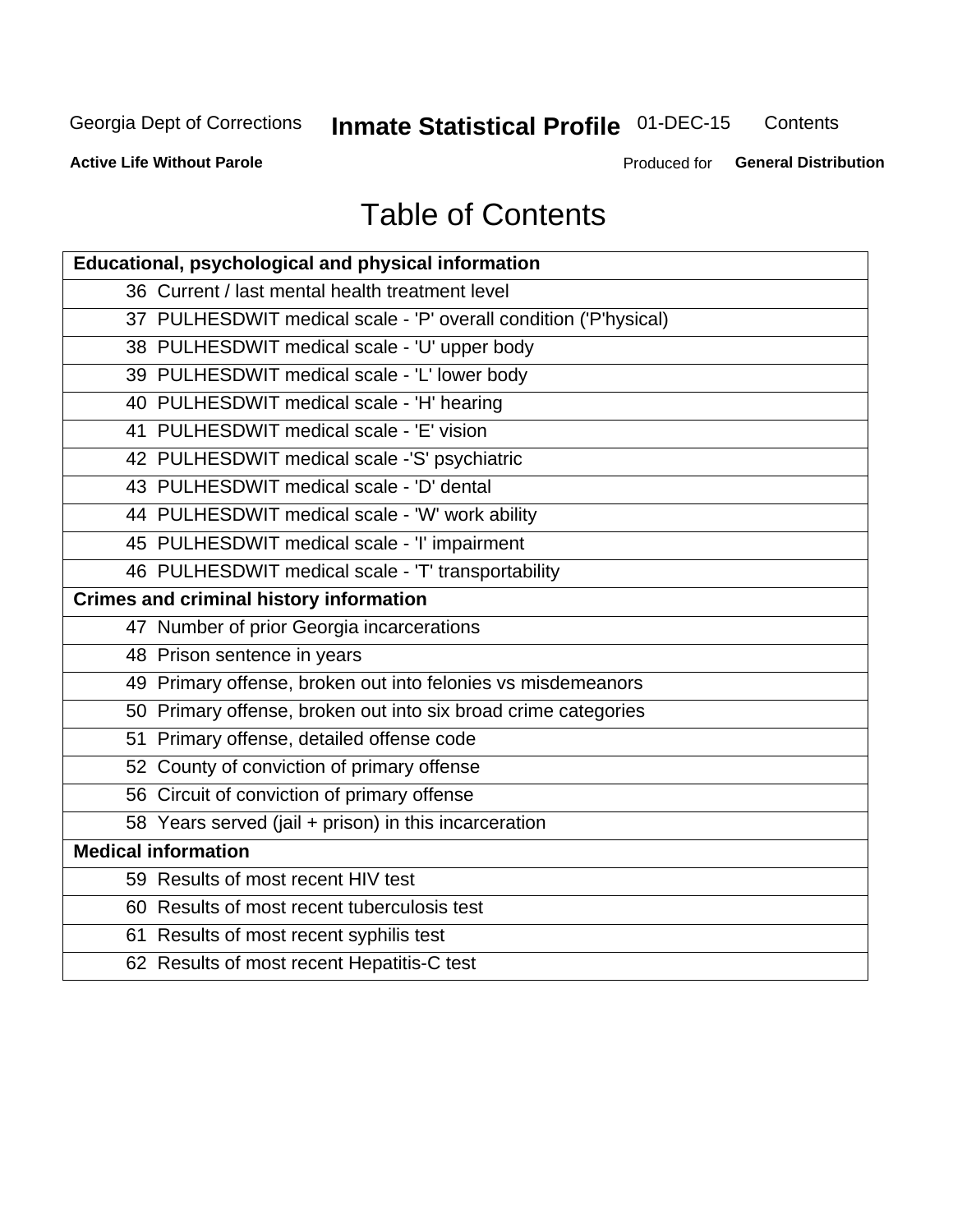#### **Inmate Statistical Profile 01-DEC-15** Contents

**Active Life Without Parole** 

Produced for General Distribution

## **Table of Contents**

| <b>Educational, psychological and physical information</b>       |
|------------------------------------------------------------------|
| 36 Current / last mental health treatment level                  |
| 37 PULHESDWIT medical scale - 'P' overall condition ('P'hysical) |
| 38 PULHESDWIT medical scale - 'U' upper body                     |
| 39 PULHESDWIT medical scale - 'L' lower body                     |
| 40 PULHESDWIT medical scale - 'H' hearing                        |
| 41 PULHESDWIT medical scale - 'E' vision                         |
| 42 PULHESDWIT medical scale -'S' psychiatric                     |
| 43 PULHESDWIT medical scale - 'D' dental                         |
| 44 PULHESDWIT medical scale - 'W' work ability                   |
| 45 PULHESDWIT medical scale - 'I' impairment                     |
| 46 PULHESDWIT medical scale - 'T' transportability               |
| <b>Crimes and criminal history information</b>                   |
| 47 Number of prior Georgia incarcerations                        |
| 48 Prison sentence in years                                      |
| 49 Primary offense, broken out into felonies vs misdemeanors     |
| 50 Primary offense, broken out into six broad crime categories   |
| 51 Primary offense, detailed offense code                        |
| 52 County of conviction of primary offense                       |
| 56 Circuit of conviction of primary offense                      |
| 58 Years served (jail + prison) in this incarceration            |
| <b>Medical information</b>                                       |
| 59 Results of most recent HIV test                               |
| 60 Results of most recent tuberculosis test                      |
| 61 Results of most recent syphilis test                          |
| 62 Results of most recent Hepatitis-C test                       |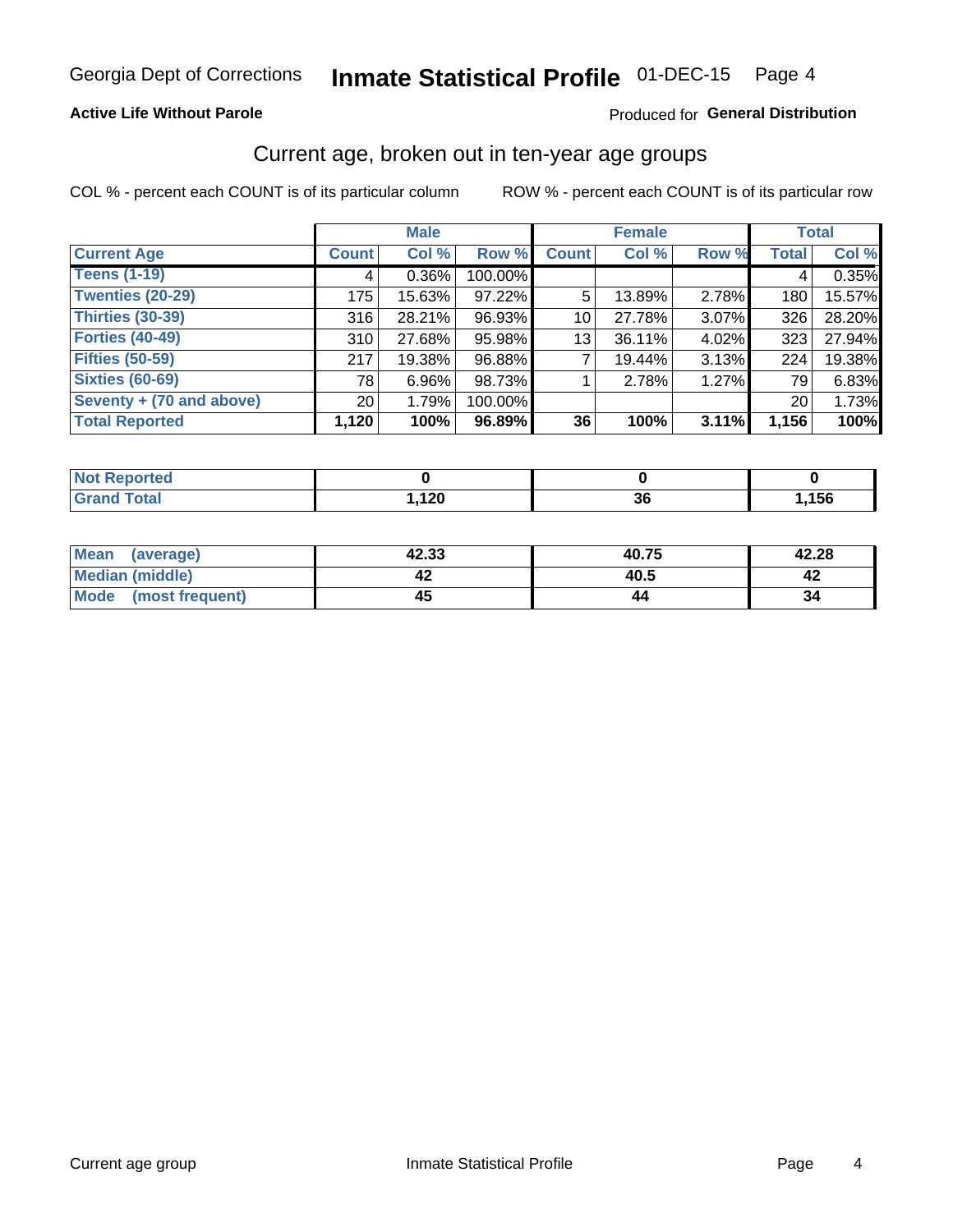## **Active Life Without Parole**

### Produced for General Distribution

## Current age, broken out in ten-year age groups

COL % - percent each COUNT is of its particular column

|                          | <b>Male</b>  |          |         | <b>Female</b> |        |       | <b>Total</b> |        |
|--------------------------|--------------|----------|---------|---------------|--------|-------|--------------|--------|
| <b>Current Age</b>       | <b>Count</b> | Col %    | Row %   | <b>Count</b>  | Col %  | Row % | <b>Total</b> | Col %  |
| <b>Teens (1-19)</b>      | 4            | $0.36\%$ | 100.00% |               |        |       | 4            | 0.35%  |
| <b>Twenties (20-29)</b>  | 175          | 15.63%   | 97.22%  | 5             | 13.89% | 2.78% | 180          | 15.57% |
| Thirties (30-39)         | 316          | 28.21%   | 96.93%  | 10            | 27.78% | 3.07% | 326          | 28.20% |
| <b>Forties (40-49)</b>   | 310          | 27.68%   | 95.98%  | 13            | 36.11% | 4.02% | 323          | 27.94% |
| <b>Fifties (50-59)</b>   | 217          | 19.38%   | 96.88%  |               | 19.44% | 3.13% | 224          | 19.38% |
| <b>Sixties (60-69)</b>   | 78           | $6.96\%$ | 98.73%  |               | 2.78%  | 1.27% | 79           | 6.83%  |
| Seventy + (70 and above) | 20           | 1.79%    | 100.00% |               |        |       | 20           | 1.73%  |
| <b>Total Reported</b>    | 1,120        | 100%     | 96.89%  | 36            | 100%   | 3.11% | 1,156        | 100%   |

| ted -<br>m.           |              |         |      |
|-----------------------|--------------|---------|------|
| $f \wedge f \wedge f$ | 120<br>1 Z.V | ^^<br>v | ,156 |

| Mean<br>(average)       | 42.33 | 40.75 | 42.28 |
|-------------------------|-------|-------|-------|
| Median (middle)         |       | 40.5  |       |
| Mode<br>(most frequent) | -45   |       | 34    |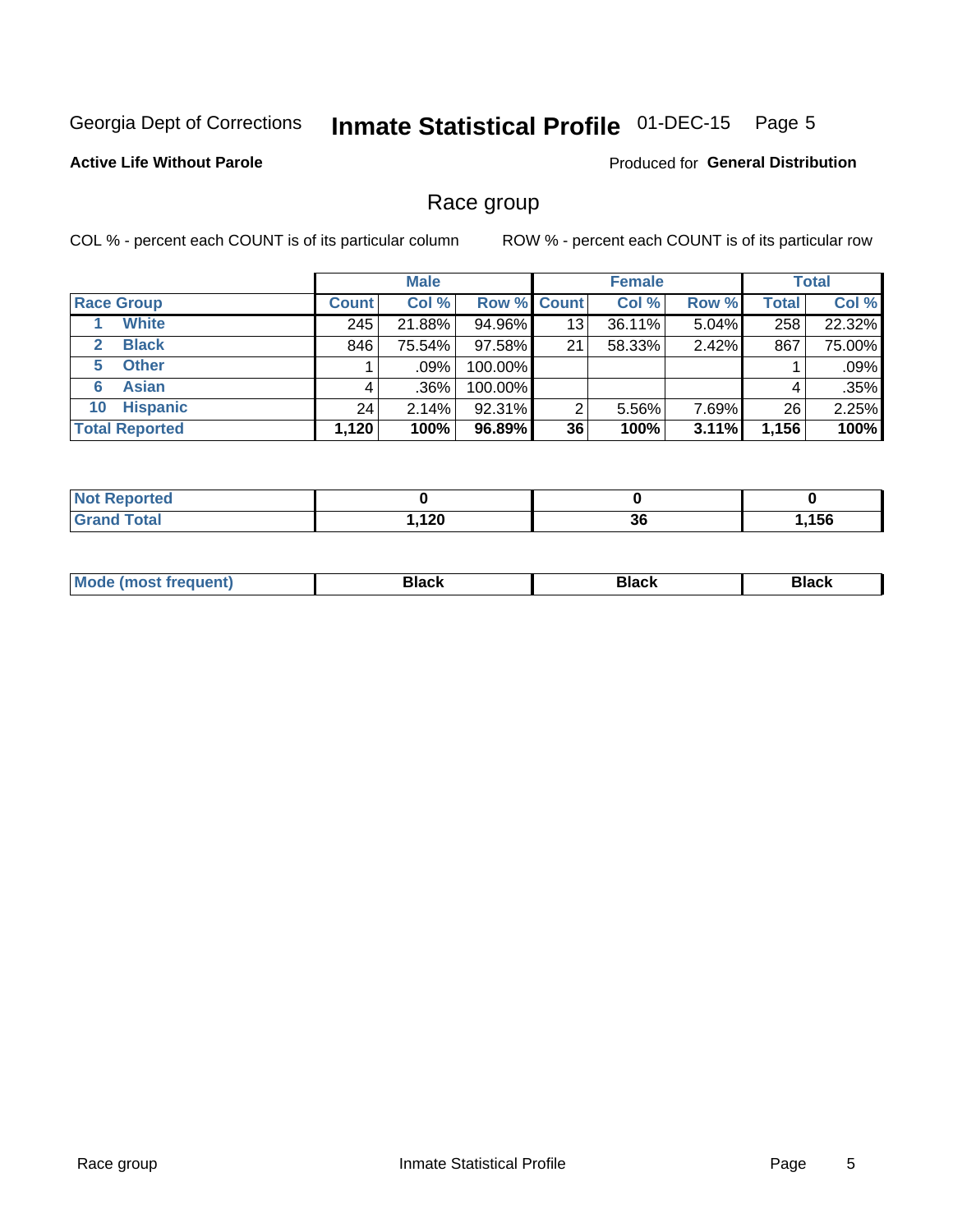#### Inmate Statistical Profile 01-DEC-15 Page 5

## **Active Life Without Parole**

**Produced for General Distribution** 

## Race group

COL % - percent each COUNT is of its particular column

|                              |              | <b>Male</b> |                    |    | <b>Female</b> |       |              | <b>Total</b> |  |
|------------------------------|--------------|-------------|--------------------|----|---------------|-------|--------------|--------------|--|
| <b>Race Group</b>            | <b>Count</b> | Col %       | <b>Row % Count</b> |    | Col %         | Row % | <b>Total</b> | Col %        |  |
| <b>White</b>                 | 245          | 21.88%      | 94.96%             | 13 | 36.11%        | 5.04% | 258          | 22.32%       |  |
| <b>Black</b><br>$\mathbf{2}$ | 846          | 75.54%      | $97.58\%$          | 21 | 58.33%        | 2.42% | 867          | 75.00%       |  |
| <b>Other</b><br>5.           |              | $.09\%$     | 100.00%            |    |               |       |              | .09%         |  |
| <b>Asian</b><br>6            | 4            | $.36\%$     | 100.00%            |    |               |       | 4            | .35%         |  |
| <b>Hispanic</b><br>10        | 24           | 2.14%       | 92.31%             | 2  | 5.56%         | 7.69% | 26           | 2.25%        |  |
| <b>Total Reported</b>        | 1,120        | 100%        | 96.89%             | 36 | 100%          | 3.11% | 1,156        | 100%         |  |

| meo<br>N.             |                     |          |      |
|-----------------------|---------------------|----------|------|
| $f \wedge f \wedge f$ | 100<br>, . $\sim$ . | ^^<br>ად | ,156 |

| –•••• |  | M |  |  |  |
|-------|--|---|--|--|--|
|-------|--|---|--|--|--|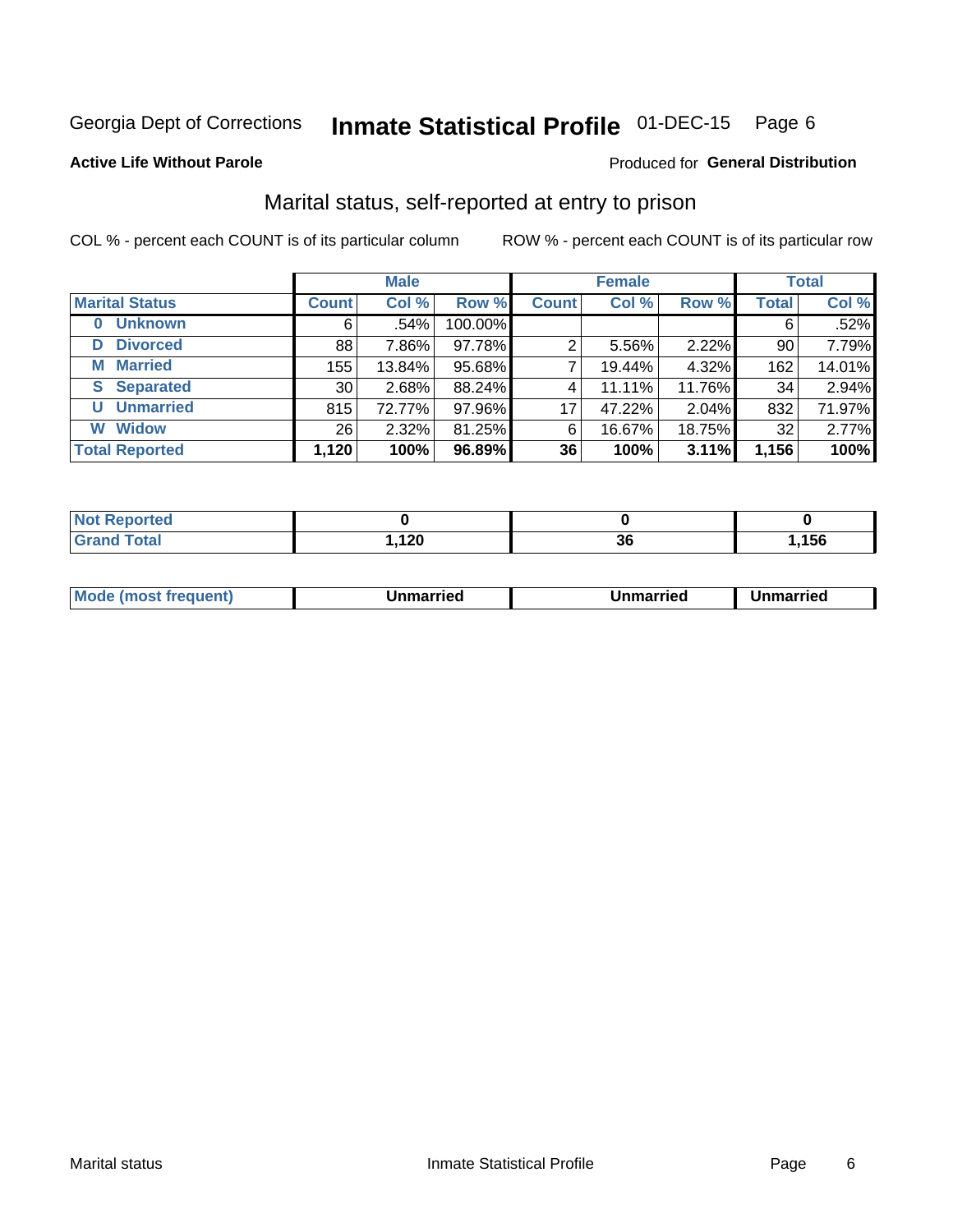#### **Inmate Statistical Profile 01-DEC-15** Page 6

#### **Active Life Without Parole**

#### Produced for General Distribution

## Marital status, self-reported at entry to prison

COL % - percent each COUNT is of its particular column

|                            | <b>Male</b>     |         |         |              | <b>Female</b> | <b>Total</b> |              |        |
|----------------------------|-----------------|---------|---------|--------------|---------------|--------------|--------------|--------|
| <b>Marital Status</b>      | <b>Count</b>    | Col %   | Row %   | <b>Count</b> | Col %         | Row %        | <b>Total</b> | Col %  |
| <b>Unknown</b><br>$\bf{0}$ | 6               | $.54\%$ | 100.00% |              |               |              | 6            | .52%   |
| <b>Divorced</b><br>D       | 88              | 7.86%   | 97.78%  | 2            | 5.56%         | 2.22%        | 90           | 7.79%  |
| <b>Married</b><br>М        | 155             | 13.84%  | 95.68%  |              | 19.44%        | 4.32%        | 162          | 14.01% |
| <b>Separated</b><br>S      | 30 <sub>1</sub> | 2.68%   | 88.24%  | 4            | 11.11%        | 11.76%       | 34           | 2.94%  |
| <b>Unmarried</b><br>U      | 815             | 72.77%  | 97.96%  | 17           | 47.22%        | 2.04%        | 832          | 71.97% |
| <b>Widow</b><br>W          | 26 <sub>1</sub> | 2.32%   | 81.25%  | 6            | 16.67%        | 18.75%       | 32           | 2.77%  |
| <b>Total Reported</b>      | 1,120           | 100%    | 96.89%  | 36           | 100%          | 3.11%        | 1,156        | 100%   |

| <b>Not Reported</b><br>$\sim$ . The set of $\sim$ |               |          |      |
|---------------------------------------------------|---------------|----------|------|
| Total                                             | 12c<br>, 12 U | ^^<br>J0 | ,156 |

|--|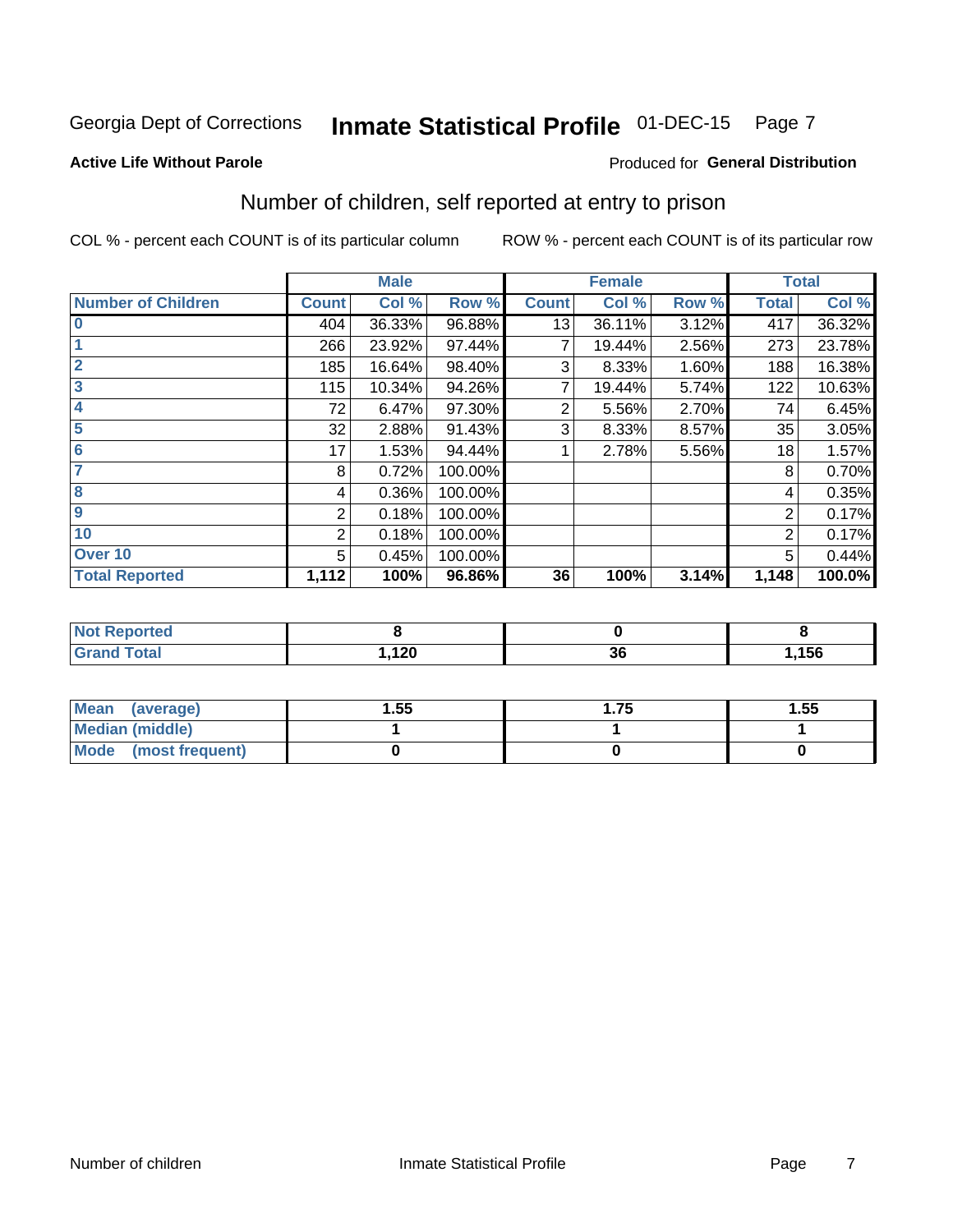#### **Inmate Statistical Profile 01-DEC-15** Page 7

#### **Active Life Without Parole**

## **Produced for General Distribution**

## Number of children, self reported at entry to prison

COL % - percent each COUNT is of its particular column

|                           |                | <b>Male</b> |         |              | <b>Female</b> |       |              | <b>Total</b> |
|---------------------------|----------------|-------------|---------|--------------|---------------|-------|--------------|--------------|
| <b>Number of Children</b> | <b>Count</b>   | Col %       | Row %   | <b>Count</b> | Col %         | Row % | <b>Total</b> | Col %        |
| $\bf{0}$                  | 404            | 36.33%      | 96.88%  | 13           | 36.11%        | 3.12% | 417          | 36.32%       |
|                           | 266            | 23.92%      | 97.44%  |              | 19.44%        | 2.56% | 273          | 23.78%       |
| $\overline{2}$            | 185            | 16.64%      | 98.40%  | 3            | 8.33%         | 1.60% | 188          | 16.38%       |
| 3                         | 115            | 10.34%      | 94.26%  | 7            | 19.44%        | 5.74% | 122          | 10.63%       |
| 4                         | 72             | 6.47%       | 97.30%  | 2            | 5.56%         | 2.70% | 74           | 6.45%        |
| 5                         | 32             | 2.88%       | 91.43%  | 3            | 8.33%         | 8.57% | 35           | 3.05%        |
| $6\phantom{1}6$           | 17             | 1.53%       | 94.44%  |              | 2.78%         | 5.56% | 18           | 1.57%        |
| 7                         | 8              | 0.72%       | 100.00% |              |               |       | 8            | 0.70%        |
| $\overline{\mathbf{8}}$   | 4              | 0.36%       | 100.00% |              |               |       | 4            | 0.35%        |
| $\boldsymbol{9}$          | 2              | 0.18%       | 100.00% |              |               |       | 2            | 0.17%        |
| 10                        | $\overline{2}$ | 0.18%       | 100.00% |              |               |       | 2            | 0.17%        |
| Over 10                   | 5              | 0.45%       | 100.00% |              |               |       | 5            | 0.44%        |
| <b>Total Reported</b>     | 1,112          | 100%        | 96.86%  | 36           | 100%          | 3.14% | 1,148        | 100.0%       |

| neo                       |            |           |      |
|---------------------------|------------|-----------|------|
| المقماد<br>υιαι<br>$\sim$ | 120<br>14V | - -<br>ათ | ,156 |

| Mean<br>(average)       | 1.55 | l.75 | 1.55 |
|-------------------------|------|------|------|
| <b>Median (middle)</b>  |      |      |      |
| Mode<br>(most frequent) |      |      |      |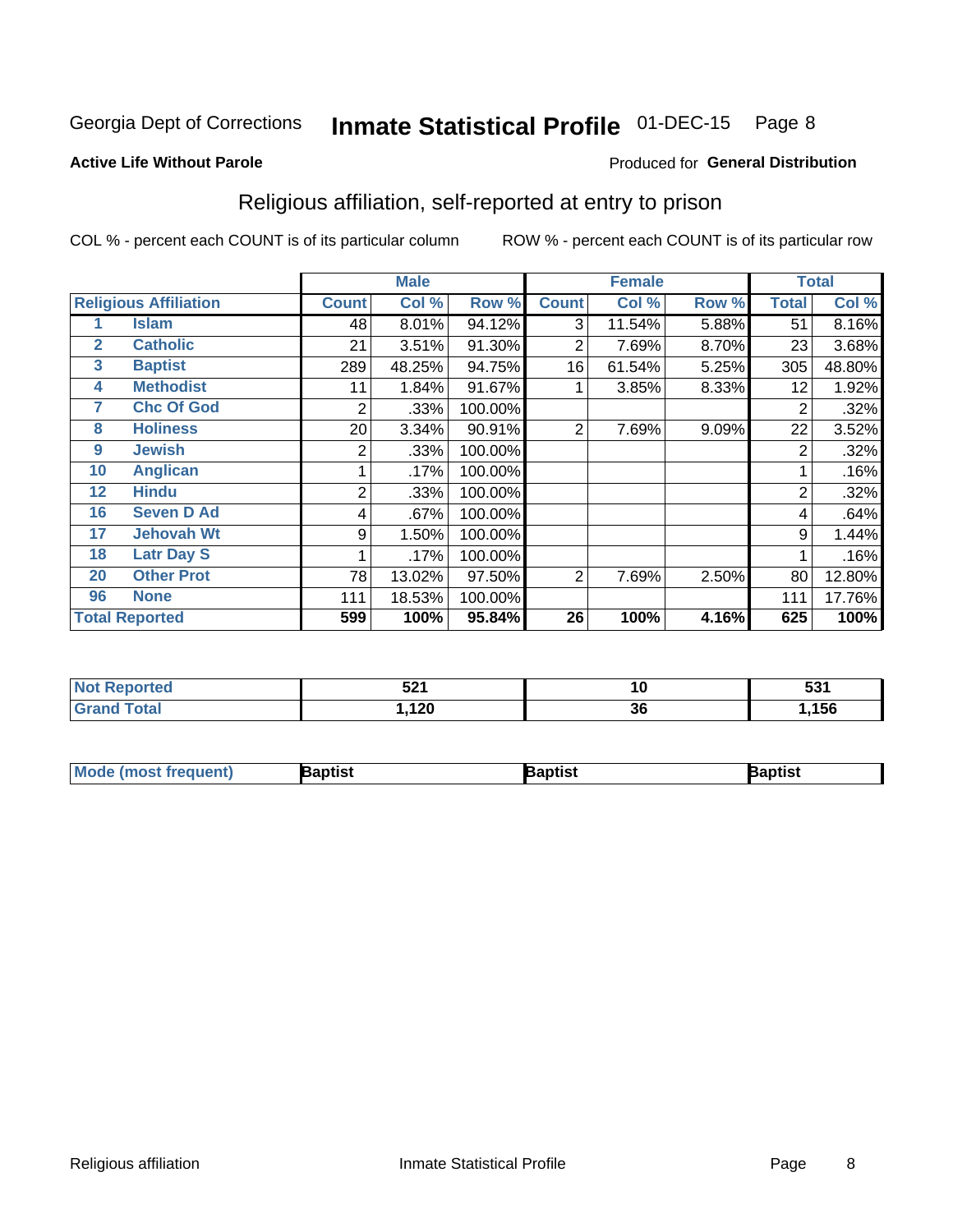#### **Inmate Statistical Profile 01-DEC-15** Page 8

#### **Active Life Without Parole**

### Produced for General Distribution

## Religious affiliation, self-reported at entry to prison

COL % - percent each COUNT is of its particular column

|              |                              |              | <b>Male</b> |         |              | <b>Female</b> |       |                | <b>Total</b> |
|--------------|------------------------------|--------------|-------------|---------|--------------|---------------|-------|----------------|--------------|
|              | <b>Religious Affiliation</b> | <b>Count</b> | Col %       | Row %   | <b>Count</b> | Col %         | Row % | <b>Total</b>   | Col %        |
|              | <b>Islam</b>                 | 48           | 8.01%       | 94.12%  | 3            | 11.54%        | 5.88% | 51             | 8.16%        |
| $\mathbf{2}$ | <b>Catholic</b>              | 21           | 3.51%       | 91.30%  | 2            | 7.69%         | 8.70% | 23             | 3.68%        |
| $\mathbf{3}$ | <b>Baptist</b>               | 289          | 48.25%      | 94.75%  | 16           | 61.54%        | 5.25% | 305            | 48.80%       |
| 4            | <b>Methodist</b>             | 11           | 1.84%       | 91.67%  |              | 3.85%         | 8.33% | 12             | 1.92%        |
| 7            | <b>Chc Of God</b>            | 2            | .33%        | 100.00% |              |               |       | 2              | .32%         |
| 8            | <b>Holiness</b>              | 20           | 3.34%       | 90.91%  | 2            | 7.69%         | 9.09% | 22             | 3.52%        |
| 9            | <b>Jewish</b>                | 2            | .33%        | 100.00% |              |               |       | $\overline{2}$ | .32%         |
| 10           | <b>Anglican</b>              |              | .17%        | 100.00% |              |               |       |                | .16%         |
| 12           | <b>Hindu</b>                 | 2            | .33%        | 100.00% |              |               |       | $\overline{2}$ | .32%         |
| 16           | <b>Seven D Ad</b>            | 4            | .67%        | 100.00% |              |               |       | 4              | .64%         |
| 17           | <b>Jehovah Wt</b>            | 9            | 1.50%       | 100.00% |              |               |       | 9              | 1.44%        |
| 18           | <b>Latr Day S</b>            |              | .17%        | 100.00% |              |               |       |                | .16%         |
| 20           | <b>Other Prot</b>            | 78           | 13.02%      | 97.50%  | 2            | 7.69%         | 2.50% | 80             | 12.80%       |
| 96           | <b>None</b>                  | 111          | 18.53%      | 100.00% |              |               |       | 111            | 17.76%       |
|              | <b>Total Reported</b>        | 599          | 100%        | 95.84%  | 26           | 100%          | 4.16% | 625            | 100%         |

| rteo | <b>E94</b>   | 10 | EO4 |
|------|--------------|----|-----|
| .    | JL I         |    | ິບບ |
|      | ה ה<br>, 140 | 36 | 156 |

| <b>Mode (most frequent)</b> | 3aptist | 3aptist | Baptist |
|-----------------------------|---------|---------|---------|
|-----------------------------|---------|---------|---------|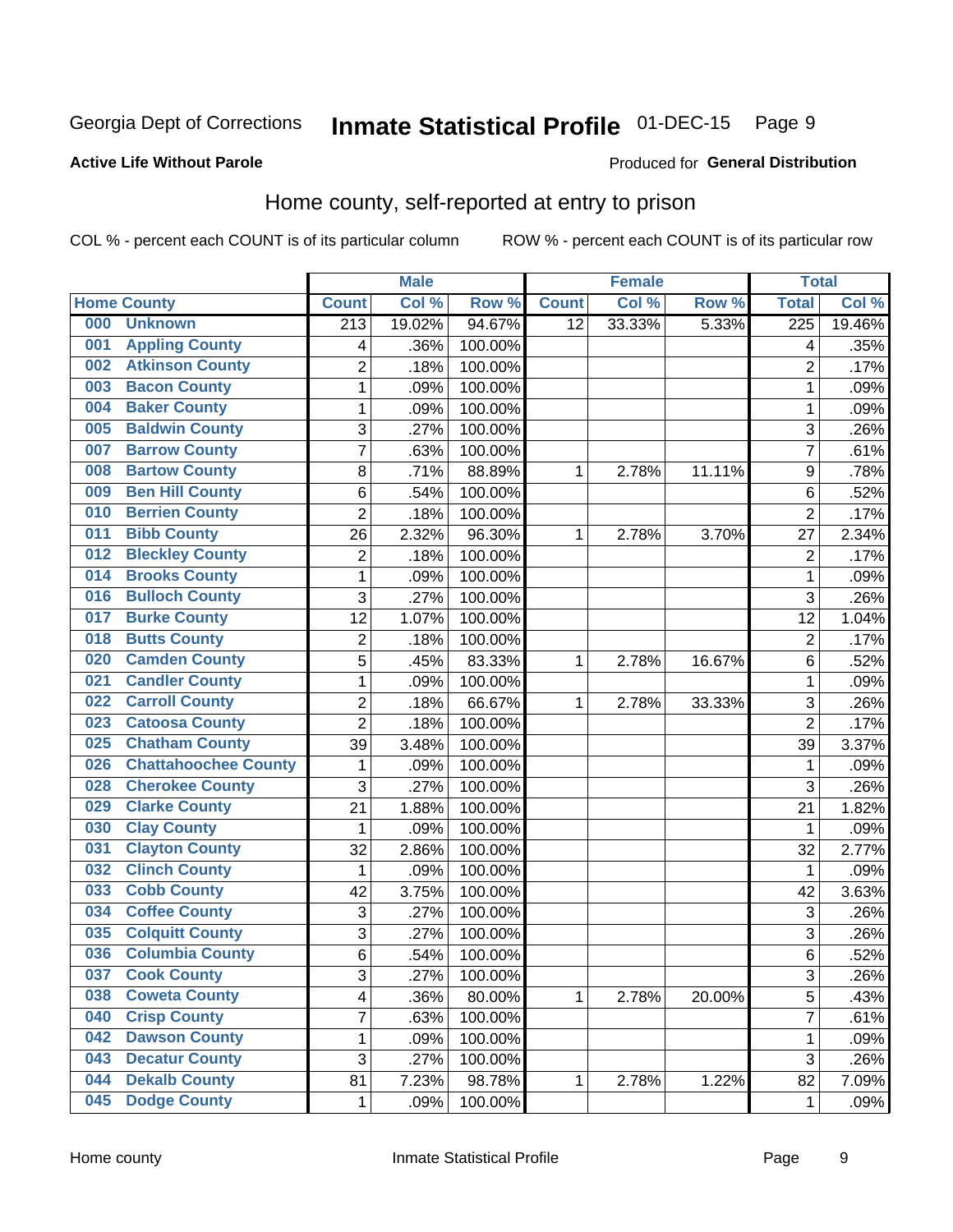#### Inmate Statistical Profile 01-DEC-15 Page 9

### **Active Life Without Parole**

## Produced for General Distribution

## Home county, self-reported at entry to prison

COL % - percent each COUNT is of its particular column

|     |                             |                         | <b>Male</b> |                  |                 | <b>Female</b> |        | <b>Total</b>     |        |
|-----|-----------------------------|-------------------------|-------------|------------------|-----------------|---------------|--------|------------------|--------|
|     | <b>Home County</b>          | <b>Count</b>            | Col %       | Row <sup>%</sup> | <b>Count</b>    | Col %         | Row %  | <b>Total</b>     | Col %  |
| 000 | <b>Unknown</b>              | $\overline{213}$        | 19.02%      | 94.67%           | $\overline{12}$ | 33.33%        | 5.33%  | $\overline{225}$ | 19.46% |
| 001 | <b>Appling County</b>       | 4                       | .36%        | 100.00%          |                 |               |        | 4                | .35%   |
| 002 | <b>Atkinson County</b>      | $\overline{2}$          | .18%        | 100.00%          |                 |               |        | $\overline{2}$   | .17%   |
| 003 | <b>Bacon County</b>         | 1                       | .09%        | 100.00%          |                 |               |        | 1                | .09%   |
| 004 | <b>Baker County</b>         | $\mathbf 1$             | .09%        | 100.00%          |                 |               |        | 1                | .09%   |
| 005 | <b>Baldwin County</b>       | 3                       | .27%        | 100.00%          |                 |               |        | 3                | .26%   |
| 007 | <b>Barrow County</b>        | $\overline{7}$          | .63%        | 100.00%          |                 |               |        | $\overline{7}$   | .61%   |
| 008 | <b>Bartow County</b>        | 8                       | .71%        | 88.89%           | 1               | 2.78%         | 11.11% | 9                | .78%   |
| 009 | <b>Ben Hill County</b>      | 6                       | .54%        | 100.00%          |                 |               |        | 6                | .52%   |
| 010 | <b>Berrien County</b>       | $\overline{2}$          | .18%        | 100.00%          |                 |               |        | $\overline{2}$   | .17%   |
| 011 | <b>Bibb County</b>          | 26                      | 2.32%       | 96.30%           | 1               | 2.78%         | 3.70%  | 27               | 2.34%  |
| 012 | <b>Bleckley County</b>      | $\overline{2}$          | .18%        | 100.00%          |                 |               |        | $\overline{2}$   | .17%   |
| 014 | <b>Brooks County</b>        | $\mathbf{1}$            | .09%        | 100.00%          |                 |               |        | 1                | .09%   |
| 016 | <b>Bulloch County</b>       | 3                       | .27%        | 100.00%          |                 |               |        | 3                | .26%   |
| 017 | <b>Burke County</b>         | 12                      | 1.07%       | 100.00%          |                 |               |        | 12               | 1.04%  |
| 018 | <b>Butts County</b>         | $\overline{2}$          | .18%        | 100.00%          |                 |               |        | $\overline{2}$   | .17%   |
| 020 | <b>Camden County</b>        | 5                       | .45%        | 83.33%           | 1               | 2.78%         | 16.67% | 6                | .52%   |
| 021 | <b>Candler County</b>       | $\mathbf 1$             | .09%        | 100.00%          |                 |               |        | 1                | .09%   |
| 022 | <b>Carroll County</b>       | $\overline{c}$          | .18%        | 66.67%           | 1               | 2.78%         | 33.33% | 3                | .26%   |
| 023 | <b>Catoosa County</b>       | $\overline{2}$          | .18%        | 100.00%          |                 |               |        | $\overline{2}$   | .17%   |
| 025 | <b>Chatham County</b>       | 39                      | 3.48%       | 100.00%          |                 |               |        | 39               | 3.37%  |
| 026 | <b>Chattahoochee County</b> | 1                       | .09%        | 100.00%          |                 |               |        | 1                | .09%   |
| 028 | <b>Cherokee County</b>      | 3                       | .27%        | 100.00%          |                 |               |        | 3                | .26%   |
| 029 | <b>Clarke County</b>        | 21                      | 1.88%       | 100.00%          |                 |               |        | 21               | 1.82%  |
| 030 | <b>Clay County</b>          | 1                       | .09%        | 100.00%          |                 |               |        | 1                | .09%   |
| 031 | <b>Clayton County</b>       | 32                      | 2.86%       | 100.00%          |                 |               |        | 32               | 2.77%  |
| 032 | <b>Clinch County</b>        | 1                       | .09%        | 100.00%          |                 |               |        | 1                | .09%   |
| 033 | <b>Cobb County</b>          | 42                      | 3.75%       | 100.00%          |                 |               |        | 42               | 3.63%  |
| 034 | <b>Coffee County</b>        | 3                       | .27%        | 100.00%          |                 |               |        | 3                | .26%   |
| 035 | <b>Colquitt County</b>      | 3                       | .27%        | 100.00%          |                 |               |        | 3                | .26%   |
| 036 | <b>Columbia County</b>      | 6                       | .54%        | 100.00%          |                 |               |        | 6                | .52%   |
| 037 | <b>Cook County</b>          | 3                       | .27%        | 100.00%          |                 |               |        | 3                | .26%   |
| 038 | <b>Coweta County</b>        | $\overline{\mathbf{4}}$ | .36%        | 80.00%           | $\mathbf{1}$    | 2.78%         | 20.00% | 5                | .43%   |
| 040 | <b>Crisp County</b>         | $\overline{7}$          | .63%        | 100.00%          |                 |               |        | 7                | .61%   |
| 042 | <b>Dawson County</b>        | $\mathbf 1$             | .09%        | 100.00%          |                 |               |        | 1                | .09%   |
| 043 | <b>Decatur County</b>       | 3                       | .27%        | 100.00%          |                 |               |        | 3                | .26%   |
| 044 | <b>Dekalb County</b>        | 81                      | 7.23%       | 98.78%           | 1               | 2.78%         | 1.22%  | 82               | 7.09%  |
| 045 | <b>Dodge County</b>         | $\mathbf 1$             | .09%        | 100.00%          |                 |               |        | 1                | .09%   |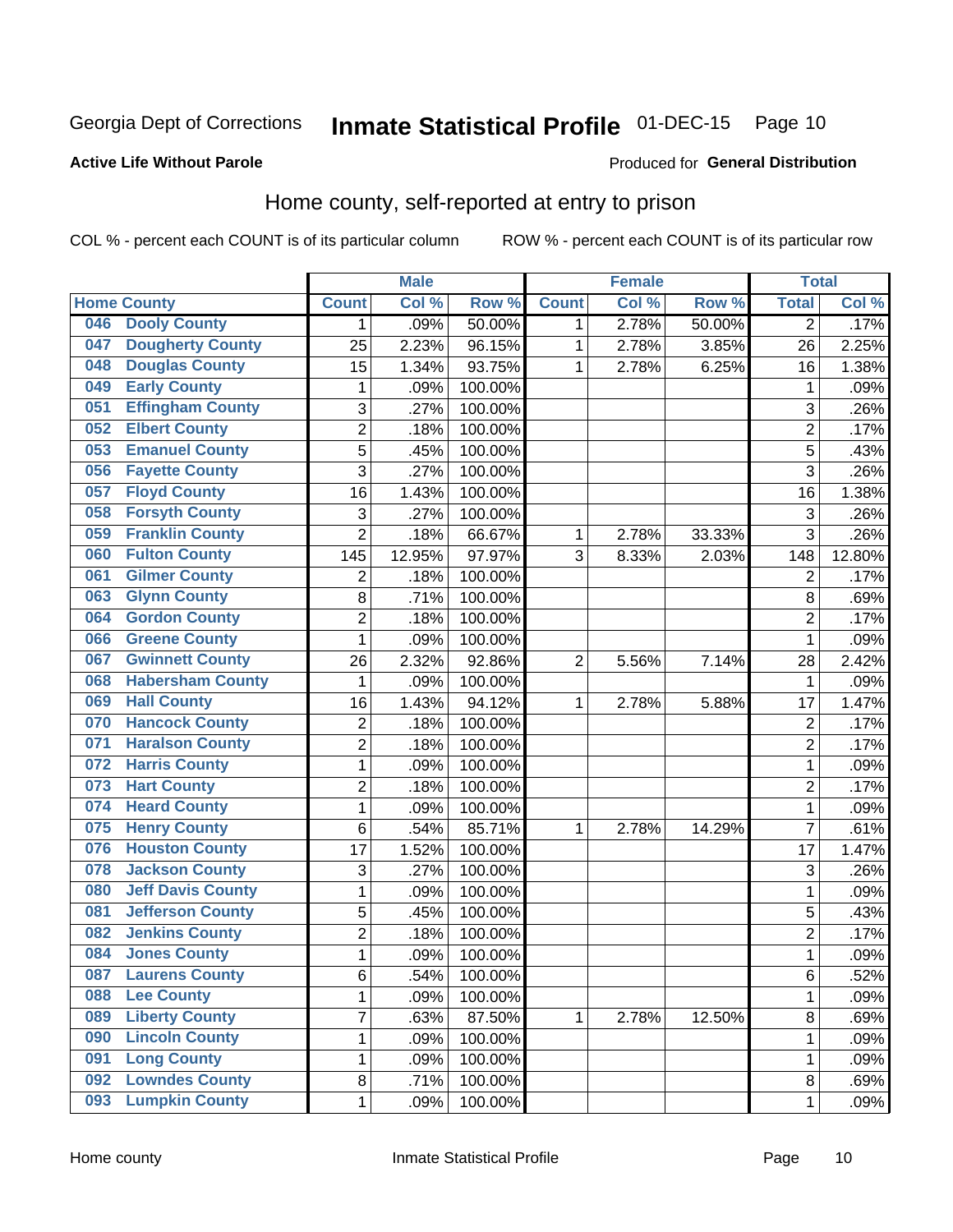#### Inmate Statistical Profile 01-DEC-15 Page 10

#### **Active Life Without Parole**

## Produced for General Distribution

## Home county, self-reported at entry to prison

COL % - percent each COUNT is of its particular column

|     |                          |                | <b>Male</b> |         |                | <b>Female</b> |        | <b>Total</b>   |        |
|-----|--------------------------|----------------|-------------|---------|----------------|---------------|--------|----------------|--------|
|     | <b>Home County</b>       | <b>Count</b>   | Col %       | Row %   | <b>Count</b>   | Col %         | Row %  | <b>Total</b>   | Col %  |
| 046 | <b>Dooly County</b>      | 1              | .09%        | 50.00%  | 1              | 2.78%         | 50.00% | $\overline{2}$ | .17%   |
| 047 | <b>Dougherty County</b>  | 25             | 2.23%       | 96.15%  | 1              | 2.78%         | 3.85%  | 26             | 2.25%  |
| 048 | <b>Douglas County</b>    | 15             | 1.34%       | 93.75%  | 1              | 2.78%         | 6.25%  | 16             | 1.38%  |
| 049 | <b>Early County</b>      | 1              | .09%        | 100.00% |                |               |        | 1              | .09%   |
| 051 | <b>Effingham County</b>  | 3              | .27%        | 100.00% |                |               |        | 3              | .26%   |
| 052 | <b>Elbert County</b>     | 2              | .18%        | 100.00% |                |               |        | $\overline{2}$ | .17%   |
| 053 | <b>Emanuel County</b>    | 5              | .45%        | 100.00% |                |               |        | 5              | .43%   |
| 056 | <b>Fayette County</b>    | 3              | .27%        | 100.00% |                |               |        | 3              | .26%   |
| 057 | <b>Floyd County</b>      | 16             | 1.43%       | 100.00% |                |               |        | 16             | 1.38%  |
| 058 | <b>Forsyth County</b>    | 3              | .27%        | 100.00% |                |               |        | 3              | .26%   |
| 059 | <b>Franklin County</b>   | $\overline{2}$ | .18%        | 66.67%  | 1              | 2.78%         | 33.33% | 3              | .26%   |
| 060 | <b>Fulton County</b>     | 145            | 12.95%      | 97.97%  | 3              | 8.33%         | 2.03%  | 148            | 12.80% |
| 061 | <b>Gilmer County</b>     | 2              | .18%        | 100.00% |                |               |        | $\overline{2}$ | .17%   |
| 063 | <b>Glynn County</b>      | 8              | .71%        | 100.00% |                |               |        | 8              | .69%   |
| 064 | <b>Gordon County</b>     | $\overline{2}$ | .18%        | 100.00% |                |               |        | $\overline{2}$ | .17%   |
| 066 | <b>Greene County</b>     | 1              | .09%        | 100.00% |                |               |        | 1              | .09%   |
| 067 | <b>Gwinnett County</b>   | 26             | 2.32%       | 92.86%  | $\overline{2}$ | 5.56%         | 7.14%  | 28             | 2.42%  |
| 068 | <b>Habersham County</b>  | 1              | .09%        | 100.00% |                |               |        | 1              | .09%   |
| 069 | <b>Hall County</b>       | 16             | 1.43%       | 94.12%  | 1              | 2.78%         | 5.88%  | 17             | 1.47%  |
| 070 | <b>Hancock County</b>    | 2              | .18%        | 100.00% |                |               |        | $\overline{2}$ | .17%   |
| 071 | <b>Haralson County</b>   | $\overline{2}$ | .18%        | 100.00% |                |               |        | $\overline{2}$ | .17%   |
| 072 | <b>Harris County</b>     | 1              | .09%        | 100.00% |                |               |        | 1              | .09%   |
| 073 | <b>Hart County</b>       | $\overline{2}$ | .18%        | 100.00% |                |               |        | $\overline{2}$ | .17%   |
| 074 | <b>Heard County</b>      | 1              | .09%        | 100.00% |                |               |        | 1              | .09%   |
| 075 | <b>Henry County</b>      | 6              | .54%        | 85.71%  | 1              | 2.78%         | 14.29% | $\overline{7}$ | .61%   |
| 076 | <b>Houston County</b>    | 17             | 1.52%       | 100.00% |                |               |        | 17             | 1.47%  |
| 078 | <b>Jackson County</b>    | 3              | .27%        | 100.00% |                |               |        | 3              | .26%   |
| 080 | <b>Jeff Davis County</b> | 1              | .09%        | 100.00% |                |               |        | 1              | .09%   |
| 081 | <b>Jefferson County</b>  | 5              | .45%        | 100.00% |                |               |        | 5              | .43%   |
| 082 | <b>Jenkins County</b>    | 2              | .18%        | 100.00% |                |               |        | $\overline{2}$ | .17%   |
| 084 | <b>Jones County</b>      | $\mathbf{1}$   | .09%        | 100.00% |                |               |        | 1              | .09%   |
| 087 | <b>Laurens County</b>    | 6              | .54%        | 100.00% |                |               |        | 6              | .52%   |
| 088 | <b>Lee County</b>        | $\mathbf{1}$   | .09%        | 100.00% |                |               |        | 1              | .09%   |
| 089 | <b>Liberty County</b>    | 7              | .63%        | 87.50%  | $\mathbf{1}$   | 2.78%         | 12.50% | 8              | .69%   |
| 090 | <b>Lincoln County</b>    | $\mathbf{1}$   | .09%        | 100.00% |                |               |        | 1              | .09%   |
| 091 | <b>Long County</b>       | 1              | .09%        | 100.00% |                |               |        | 1              | .09%   |
| 092 | <b>Lowndes County</b>    | 8              | .71%        | 100.00% |                |               |        | 8              | .69%   |
| 093 | <b>Lumpkin County</b>    | 1              | .09%        | 100.00% |                |               |        | 1              | .09%   |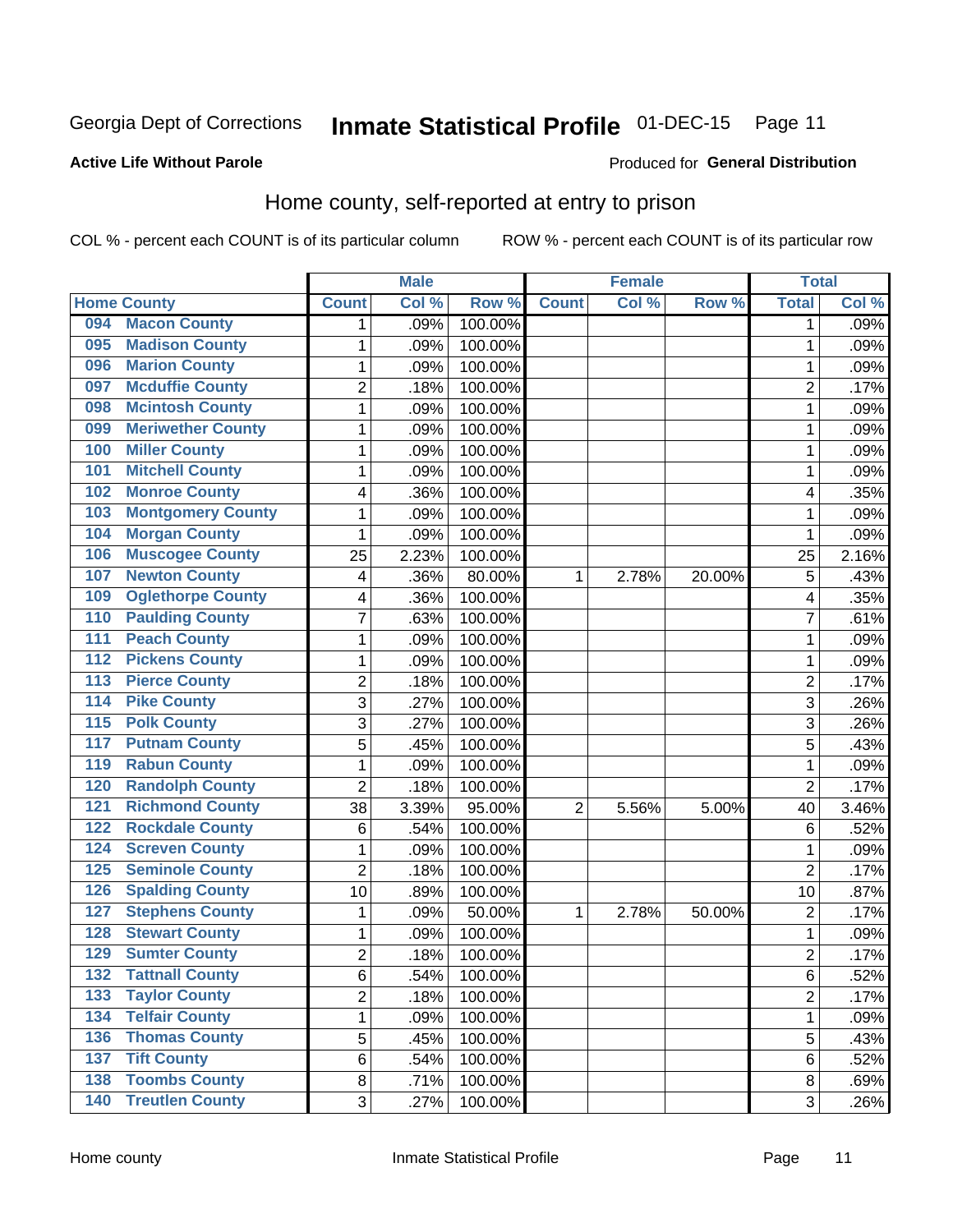## Inmate Statistical Profile 01-DEC-15 Page 11

### **Active Life Without Parole**

#### Produced for General Distribution

## Home county, self-reported at entry to prison

COL % - percent each COUNT is of its particular column

|                  |                          |                | <b>Male</b> |         |              | <b>Female</b> |        | <b>Total</b>   |       |
|------------------|--------------------------|----------------|-------------|---------|--------------|---------------|--------|----------------|-------|
|                  | <b>Home County</b>       | <b>Count</b>   | Col %       | Row %   | <b>Count</b> | Col%          | Row %  | <b>Total</b>   | Col % |
| 094              | <b>Macon County</b>      | 1              | .09%        | 100.00% |              |               |        | 1              | .09%  |
| 095              | <b>Madison County</b>    | 1              | .09%        | 100.00% |              |               |        | 1              | .09%  |
| 096              | <b>Marion County</b>     | $\mathbf 1$    | .09%        | 100.00% |              |               |        | 1              | .09%  |
| 097              | <b>Mcduffie County</b>   | 2              | .18%        | 100.00% |              |               |        | 2              | .17%  |
| 098              | <b>Mcintosh County</b>   | $\mathbf 1$    | .09%        | 100.00% |              |               |        | 1              | .09%  |
| 099              | <b>Meriwether County</b> | 1              | .09%        | 100.00% |              |               |        | 1              | .09%  |
| 100              | <b>Miller County</b>     | 1              | .09%        | 100.00% |              |               |        | 1              | .09%  |
| 101              | <b>Mitchell County</b>   | 1              | .09%        | 100.00% |              |               |        | 1              | .09%  |
| 102              | <b>Monroe County</b>     | 4              | .36%        | 100.00% |              |               |        | 4              | .35%  |
| 103              | <b>Montgomery County</b> | 1              | .09%        | 100.00% |              |               |        | 1              | .09%  |
| 104              | <b>Morgan County</b>     | 1              | .09%        | 100.00% |              |               |        | 1              | .09%  |
| 106              | <b>Muscogee County</b>   | 25             | 2.23%       | 100.00% |              |               |        | 25             | 2.16% |
| 107              | <b>Newton County</b>     | 4              | .36%        | 80.00%  | 1            | 2.78%         | 20.00% | 5              | .43%  |
| 109              | <b>Oglethorpe County</b> | 4              | .36%        | 100.00% |              |               |        | 4              | .35%  |
| 110              | <b>Paulding County</b>   | $\overline{7}$ | .63%        | 100.00% |              |               |        | 7              | .61%  |
| 111              | <b>Peach County</b>      | 1              | .09%        | 100.00% |              |               |        | 1              | .09%  |
| $\overline{112}$ | <b>Pickens County</b>    | 1              | .09%        | 100.00% |              |               |        | 1              | .09%  |
| $\overline{113}$ | <b>Pierce County</b>     | 2              | .18%        | 100.00% |              |               |        | $\overline{c}$ | .17%  |
| 114              | <b>Pike County</b>       | 3              | .27%        | 100.00% |              |               |        | 3              | .26%  |
| $\overline{115}$ | <b>Polk County</b>       | 3              | .27%        | 100.00% |              |               |        | 3              | .26%  |
| 117              | <b>Putnam County</b>     | 5              | .45%        | 100.00% |              |               |        | 5              | .43%  |
| 119              | <b>Rabun County</b>      | 1              | .09%        | 100.00% |              |               |        | 1              | .09%  |
| 120              | <b>Randolph County</b>   | $\overline{2}$ | .18%        | 100.00% |              |               |        | $\overline{2}$ | .17%  |
| 121              | <b>Richmond County</b>   | 38             | 3.39%       | 95.00%  | 2            | 5.56%         | 5.00%  | 40             | 3.46% |
| 122              | <b>Rockdale County</b>   | 6              | .54%        | 100.00% |              |               |        | 6              | .52%  |
| 124              | <b>Screven County</b>    | 1              | .09%        | 100.00% |              |               |        | 1              | .09%  |
| 125              | <b>Seminole County</b>   | $\overline{2}$ | .18%        | 100.00% |              |               |        | $\overline{2}$ | .17%  |
| 126              | <b>Spalding County</b>   | 10             | .89%        | 100.00% |              |               |        | 10             | .87%  |
| 127              | <b>Stephens County</b>   | 1              | .09%        | 50.00%  | 1            | 2.78%         | 50.00% | $\overline{2}$ | .17%  |
| 128              | <b>Stewart County</b>    | 1              | .09%        | 100.00% |              |               |        | 1              | .09%  |
| 129              | <b>Sumter County</b>     | $\overline{2}$ | .18%        | 100.00% |              |               |        | $\overline{2}$ | .17%  |
| 132              | <b>Tattnall County</b>   | 6              | .54%        | 100.00% |              |               |        | 6              | .52%  |
| 133              | <b>Taylor County</b>     | $\overline{2}$ | .18%        | 100.00% |              |               |        | $\overline{2}$ | .17%  |
| 134              | <b>Telfair County</b>    | $\mathbf 1$    | .09%        | 100.00% |              |               |        | 1              | .09%  |
| 136              | <b>Thomas County</b>     | 5              | .45%        | 100.00% |              |               |        | 5              | .43%  |
| 137              | <b>Tift County</b>       | 6              | .54%        | 100.00% |              |               |        | 6              | .52%  |
| 138              | <b>Toombs County</b>     | 8              | .71%        | 100.00% |              |               |        | 8              | .69%  |
| 140              | <b>Treutlen County</b>   | 3              | .27%        | 100.00% |              |               |        | 3              | .26%  |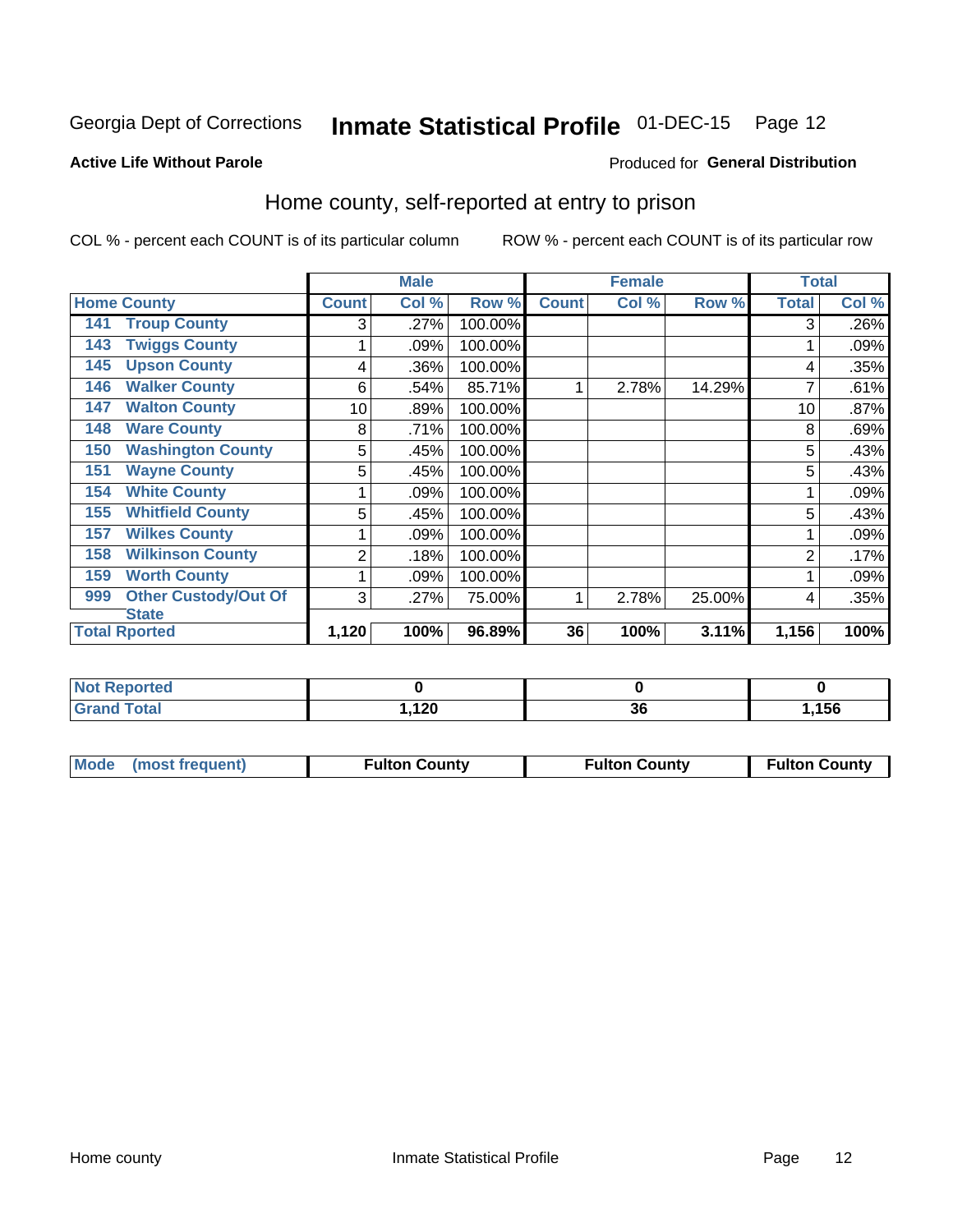## Inmate Statistical Profile 01-DEC-15 Page 12

### **Active Life Without Parole**

#### Produced for General Distribution

## Home county, self-reported at entry to prison

COL % - percent each COUNT is of its particular column

|                                    |              | <b>Male</b> |         |              | <b>Female</b> |        | <b>Total</b> |       |
|------------------------------------|--------------|-------------|---------|--------------|---------------|--------|--------------|-------|
| <b>Home County</b>                 | <b>Count</b> | Col %       | Row %   | <b>Count</b> | Col %         | Row %  | <b>Total</b> | Col % |
| <b>Troup County</b><br>141         | 3            | .27%        | 100.00% |              |               |        | 3            | .26%  |
| <b>Twiggs County</b><br>143        |              | .09%        | 100.00% |              |               |        |              | .09%  |
| <b>Upson County</b><br>145         | 4            | .36%        | 100.00% |              |               |        | 4            | .35%  |
| <b>Walker County</b><br>146        | 6            | .54%        | 85.71%  | 4            | 2.78%         | 14.29% |              | .61%  |
| <b>Walton County</b><br>147        | 10           | .89%        | 100.00% |              |               |        | 10           | .87%  |
| <b>Ware County</b><br>148          | 8            | .71%        | 100.00% |              |               |        | 8            | .69%  |
| <b>Washington County</b><br>150    | 5            | .45%        | 100.00% |              |               |        | 5            | .43%  |
| <b>Wayne County</b><br>151         | 5            | .45%        | 100.00% |              |               |        | 5            | .43%  |
| <b>White County</b><br>154         |              | .09%        | 100.00% |              |               |        |              | .09%  |
| <b>Whitfield County</b><br>155     | 5            | .45%        | 100.00% |              |               |        | 5            | .43%  |
| <b>Wilkes County</b><br>157        |              | .09%        | 100.00% |              |               |        |              | .09%  |
| <b>Wilkinson County</b><br>158     | 2            | .18%        | 100.00% |              |               |        | 2            | .17%  |
| <b>Worth County</b><br>159         |              | .09%        | 100.00% |              |               |        |              | .09%  |
| <b>Other Custody/Out Of</b><br>999 | 3            | .27%        | 75.00%  | 1            | 2.78%         | 25.00% | 4            | .35%  |
| <b>State</b>                       |              |             |         |              |               |        |              |       |
| <b>Total Rported</b>               | 1,120        | 100%        | 96.89%  | 36           | 100%          | 3.11%  | 1,156        | 100%  |

| Reported<br>$\sim$ |              |    |      |
|--------------------|--------------|----|------|
| 'ota               | 100<br>59.14 | οu | ,156 |

|  | Mode (most frequent) | <b>Fulton County</b> | <b>Fulton County</b> | <b>Fulton County</b> |
|--|----------------------|----------------------|----------------------|----------------------|
|--|----------------------|----------------------|----------------------|----------------------|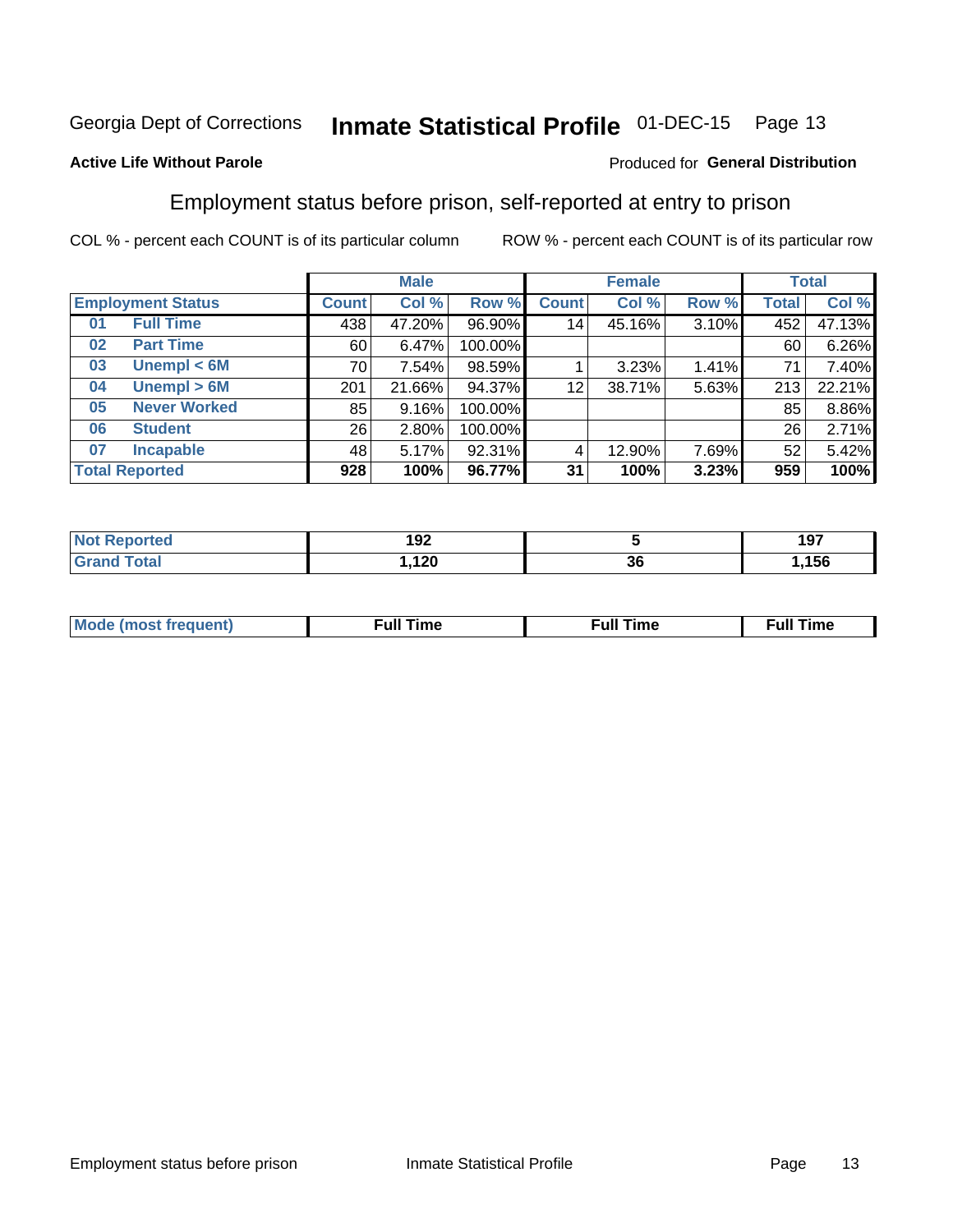#### **Inmate Statistical Profile 01-DEC-15** Page 13

## **Active Life Without Parole**

### Produced for General Distribution

## Employment status before prison, self-reported at entry to prison

COL % - percent each COUNT is of its particular column

|                           |              | <b>Male</b> |         |                 | <b>Female</b> |       |       | <b>Total</b> |
|---------------------------|--------------|-------------|---------|-----------------|---------------|-------|-------|--------------|
| <b>Employment Status</b>  | <b>Count</b> | Col %       | Row %   | <b>Count</b>    | Col %         | Row % | Total | Col %        |
| <b>Full Time</b><br>01    | 438          | 47.20%      | 96.90%  | 14 <sub>1</sub> | 45.16%        | 3.10% | 452   | 47.13%       |
| <b>Part Time</b><br>02    | 60           | 6.47%       | 100.00% |                 |               |       | 60    | 6.26%        |
| Unempl $<$ 6M<br>03       | 70 l         | 7.54%       | 98.59%  |                 | 3.23%         | 1.41% | 71    | 7.40%        |
| Unempl $> 6M$<br>04       | 201          | 21.66%      | 94.37%  | 12              | 38.71%        | 5.63% | 213   | 22.21%       |
| <b>Never Worked</b><br>05 | 85           | 9.16%       | 100.00% |                 |               |       | 85    | 8.86%        |
| <b>Student</b><br>06      | 26           | 2.80%       | 100.00% |                 |               |       | 26    | 2.71%        |
| <b>Incapable</b><br>07    | 481          | 5.17%       | 92.31%  |                 | 12.90%        | 7.69% | 52    | 5.42%        |
| <b>Total Reported</b>     | 928          | 100%        | 96.77%  | 31              | 100%          | 3.23% | 959   | 100%         |

| rer | 192 |    | 197   |
|-----|-----|----|-------|
|     | 120 | 36 | .,156 |

| Mc | ∴ul! | ----<br>ıme<br>w |
|----|------|------------------|
|    |      |                  |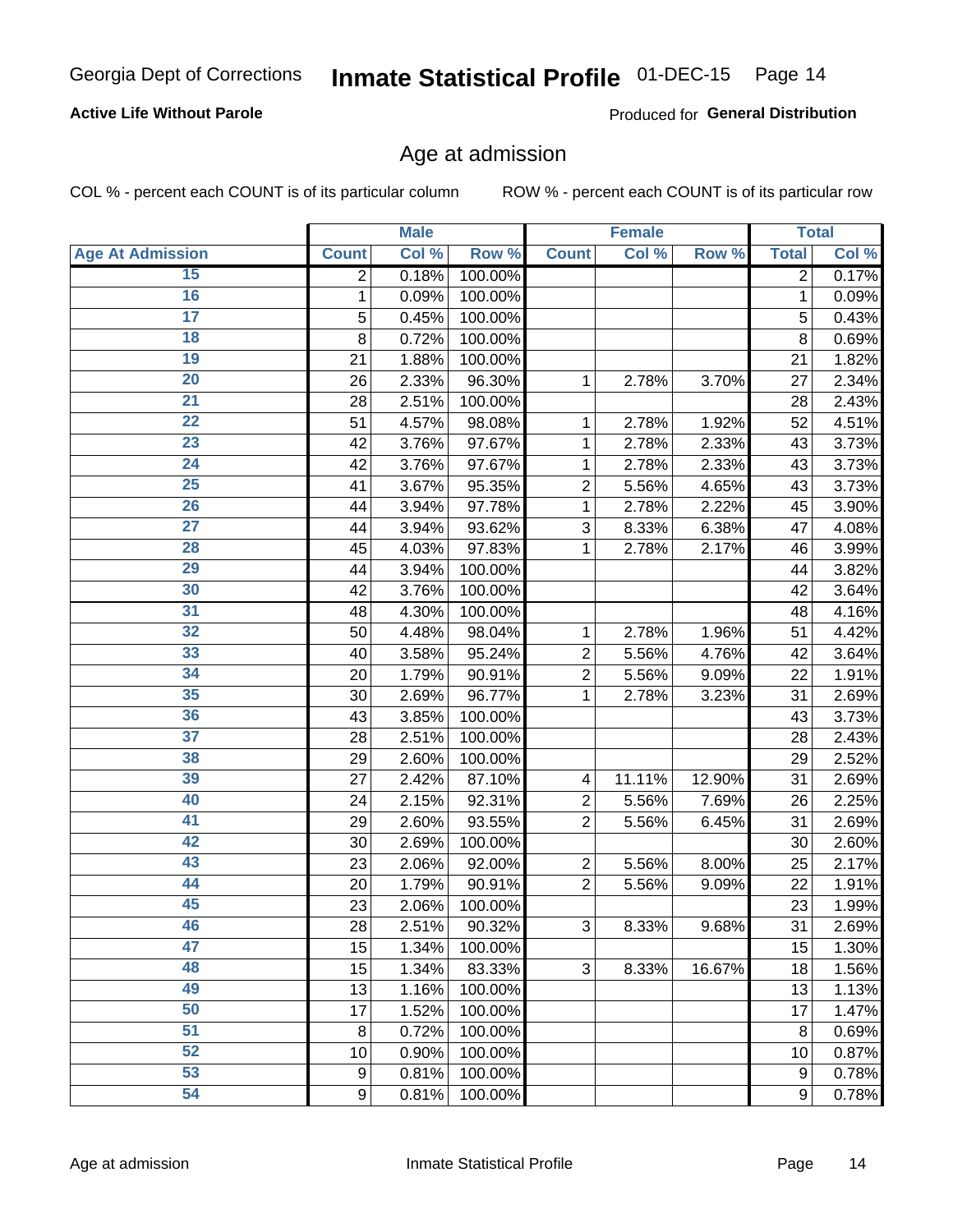## **Active Life Without Parole**

Produced for General Distribution

## Age at admission

COL % - percent each COUNT is of its particular column

|                         |                | <b>Male</b> |         |                         | <b>Female</b> |        |                | <b>Total</b> |
|-------------------------|----------------|-------------|---------|-------------------------|---------------|--------|----------------|--------------|
| <b>Age At Admission</b> | <b>Count</b>   | Col %       | Row %   | <b>Count</b>            | Col %         | Row %  | <b>Total</b>   | Col %        |
| 15                      | $\overline{2}$ | 0.18%       | 100.00% |                         |               |        | $\overline{2}$ | 0.17%        |
| 16                      | 1              | 0.09%       | 100.00% |                         |               |        | 1              | 0.09%        |
| $\overline{17}$         | 5              | 0.45%       | 100.00% |                         |               |        | 5              | 0.43%        |
| 18                      | 8              | 0.72%       | 100.00% |                         |               |        | 8              | 0.69%        |
| 19                      | 21             | 1.88%       | 100.00% |                         |               |        | 21             | 1.82%        |
| $\overline{20}$         | 26             | 2.33%       | 96.30%  | 1                       | 2.78%         | 3.70%  | 27             | 2.34%        |
| 21                      | 28             | 2.51%       | 100.00% |                         |               |        | 28             | 2.43%        |
| $\overline{22}$         | 51             | 4.57%       | 98.08%  | 1                       | 2.78%         | 1.92%  | 52             | 4.51%        |
| $\overline{23}$         | 42             | 3.76%       | 97.67%  | 1                       | 2.78%         | 2.33%  | 43             | 3.73%        |
| $\overline{24}$         | 42             | 3.76%       | 97.67%  | 1                       | 2.78%         | 2.33%  | 43             | 3.73%        |
| $\overline{25}$         | 41             | 3.67%       | 95.35%  | $\overline{2}$          | 5.56%         | 4.65%  | 43             | 3.73%        |
| 26                      | 44             | 3.94%       | 97.78%  | 1                       | 2.78%         | 2.22%  | 45             | 3.90%        |
| $\overline{27}$         | 44             | 3.94%       | 93.62%  | 3                       | 8.33%         | 6.38%  | 47             | 4.08%        |
| 28                      | 45             | 4.03%       | 97.83%  | 1                       | 2.78%         | 2.17%  | 46             | 3.99%        |
| 29                      | 44             | 3.94%       | 100.00% |                         |               |        | 44             | 3.82%        |
| 30                      | 42             | 3.76%       | 100.00% |                         |               |        | 42             | 3.64%        |
| 31                      | 48             | 4.30%       | 100.00% |                         |               |        | 48             | 4.16%        |
| 32                      | 50             | 4.48%       | 98.04%  | 1                       | 2.78%         | 1.96%  | 51             | 4.42%        |
| 33                      | 40             | 3.58%       | 95.24%  | $\overline{2}$          | 5.56%         | 4.76%  | 42             | 3.64%        |
| $\overline{34}$         | 20             | 1.79%       | 90.91%  | $\overline{2}$          | 5.56%         | 9.09%  | 22             | 1.91%        |
| 35                      | 30             | 2.69%       | 96.77%  | 1                       | 2.78%         | 3.23%  | 31             | 2.69%        |
| 36                      | 43             | 3.85%       | 100.00% |                         |               |        | 43             | 3.73%        |
| $\overline{37}$         | 28             | 2.51%       | 100.00% |                         |               |        | 28             | 2.43%        |
| 38                      | 29             | 2.60%       | 100.00% |                         |               |        | 29             | 2.52%        |
| 39                      | 27             | 2.42%       | 87.10%  | $\overline{\mathbf{4}}$ | 11.11%        | 12.90% | 31             | 2.69%        |
| 40                      | 24             | 2.15%       | 92.31%  | $\overline{2}$          | 5.56%         | 7.69%  | 26             | 2.25%        |
| 41                      | 29             | 2.60%       | 93.55%  | $\overline{2}$          | 5.56%         | 6.45%  | 31             | 2.69%        |
| 42                      | 30             | 2.69%       | 100.00% |                         |               |        | 30             | 2.60%        |
| 43                      | 23             | 2.06%       | 92.00%  | $\overline{2}$          | 5.56%         | 8.00%  | 25             | 2.17%        |
| 44                      | 20             | 1.79%       | 90.91%  | $\overline{2}$          | 5.56%         | 9.09%  | 22             | 1.91%        |
| 45                      | 23             | 2.06%       | 100.00% |                         |               |        | 23             | 1.99%        |
| 46                      | 28             | 2.51%       | 90.32%  | 3                       | 8.33%         | 9.68%  | 31             | 2.69%        |
| 47                      | 15             | 1.34%       | 100.00% |                         |               |        | 15             | 1.30%        |
| 48                      | 15             | 1.34%       | 83.33%  | 3                       | 8.33%         | 16.67% | 18             | 1.56%        |
| 49                      | 13             | 1.16%       | 100.00% |                         |               |        | 13             | 1.13%        |
| 50                      | 17             | 1.52%       | 100.00% |                         |               |        | 17             | 1.47%        |
| $\overline{51}$         | 8              | 0.72%       | 100.00% |                         |               |        | 8              | 0.69%        |
| $\overline{52}$         | 10             | 0.90%       | 100.00% |                         |               |        | 10             | 0.87%        |
| 53                      | 9              | 0.81%       | 100.00% |                         |               |        | 9              | 0.78%        |
| 54                      | 9              | 0.81%       | 100.00% |                         |               |        | 9              | 0.78%        |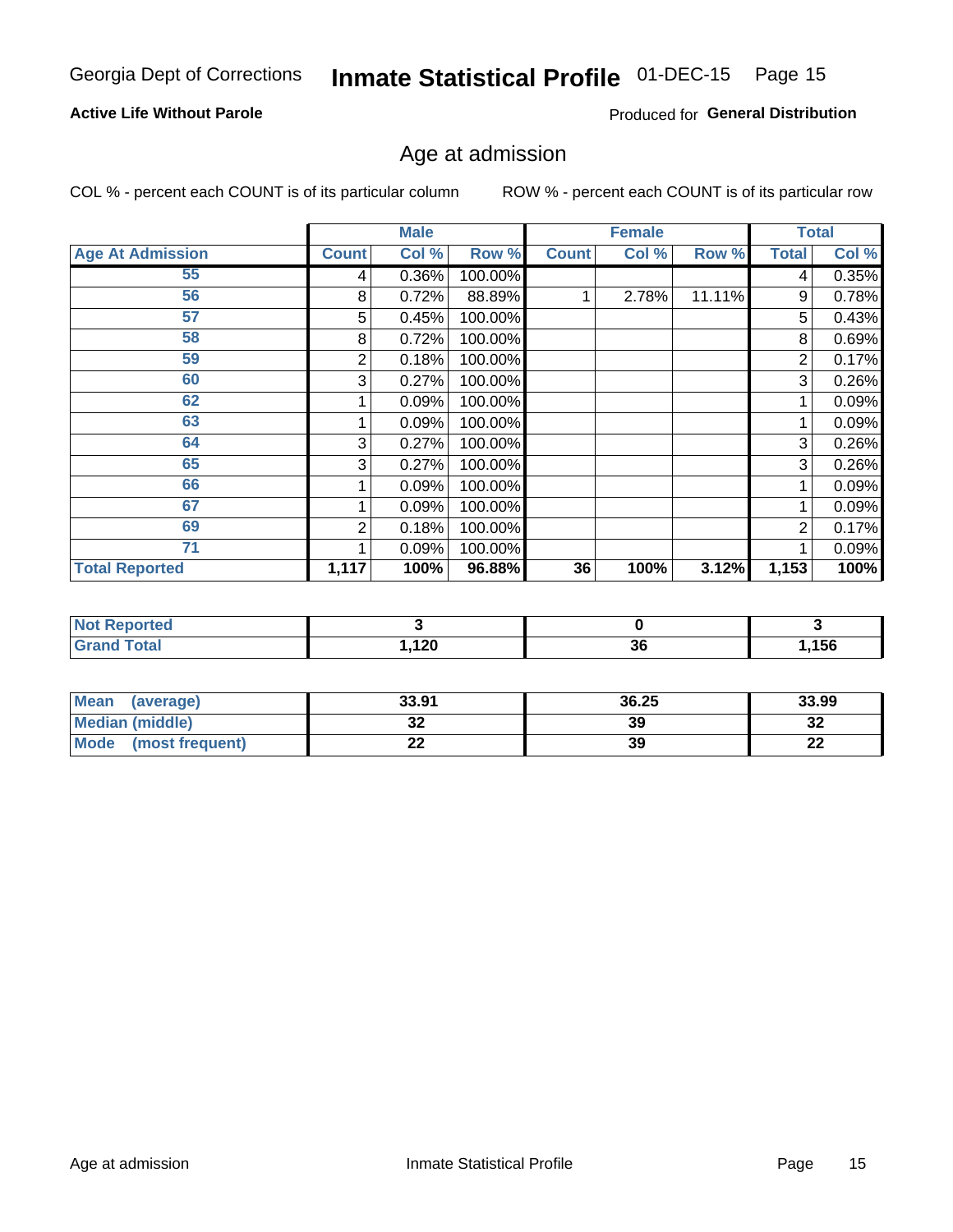## **Active Life Without Parole**

Produced for General Distribution

## Age at admission

COL % - percent each COUNT is of its particular column

|                         |              | <b>Male</b> |         |              | <b>Female</b> |        |              | <b>Total</b> |
|-------------------------|--------------|-------------|---------|--------------|---------------|--------|--------------|--------------|
| <b>Age At Admission</b> | <b>Count</b> | Col %       | Row %   | <b>Count</b> | Col %         | Row %  | <b>Total</b> | Col %        |
| 55                      | 4            | 0.36%       | 100.00% |              |               |        | 4            | 0.35%        |
| 56                      | 8            | 0.72%       | 88.89%  |              | 2.78%         | 11.11% | 9            | 0.78%        |
| 57                      | 5            | 0.45%       | 100.00% |              |               |        | 5            | 0.43%        |
| 58                      | 8            | 0.72%       | 100.00% |              |               |        | 8            | 0.69%        |
| 59                      | 2            | 0.18%       | 100.00% |              |               |        | 2            | 0.17%        |
| 60                      | 3            | 0.27%       | 100.00% |              |               |        | 3            | 0.26%        |
| 62                      |              | 0.09%       | 100.00% |              |               |        |              | 0.09%        |
| 63                      |              | 0.09%       | 100.00% |              |               |        |              | 0.09%        |
| 64                      | 3            | 0.27%       | 100.00% |              |               |        | 3            | 0.26%        |
| 65                      | 3            | 0.27%       | 100.00% |              |               |        | 3            | 0.26%        |
| 66                      |              | 0.09%       | 100.00% |              |               |        |              | 0.09%        |
| 67                      |              | 0.09%       | 100.00% |              |               |        |              | 0.09%        |
| 69                      | 2            | 0.18%       | 100.00% |              |               |        | 2            | 0.17%        |
| 71                      |              | 0.09%       | 100.00% |              |               |        |              | 0.09%        |
| <b>Total Reported</b>   | 1,117        | 100%        | 96.88%  | 36           | 100%          | 3.12%  | 1,153        | 100%         |

| <b>Not Reported</b>          |      |    |       |
|------------------------------|------|----|-------|
| <b>Total</b><br><b>C</b> ron | ,120 | 36 | .156، |

| <b>Mean</b><br>(average) | 33.91 | 36.25 | 33.99     |
|--------------------------|-------|-------|-----------|
| Median (middle)          | JZ    | 39    | …<br>34   |
| Mode<br>(most frequent)  | --    | 39    | ng,<br>LL |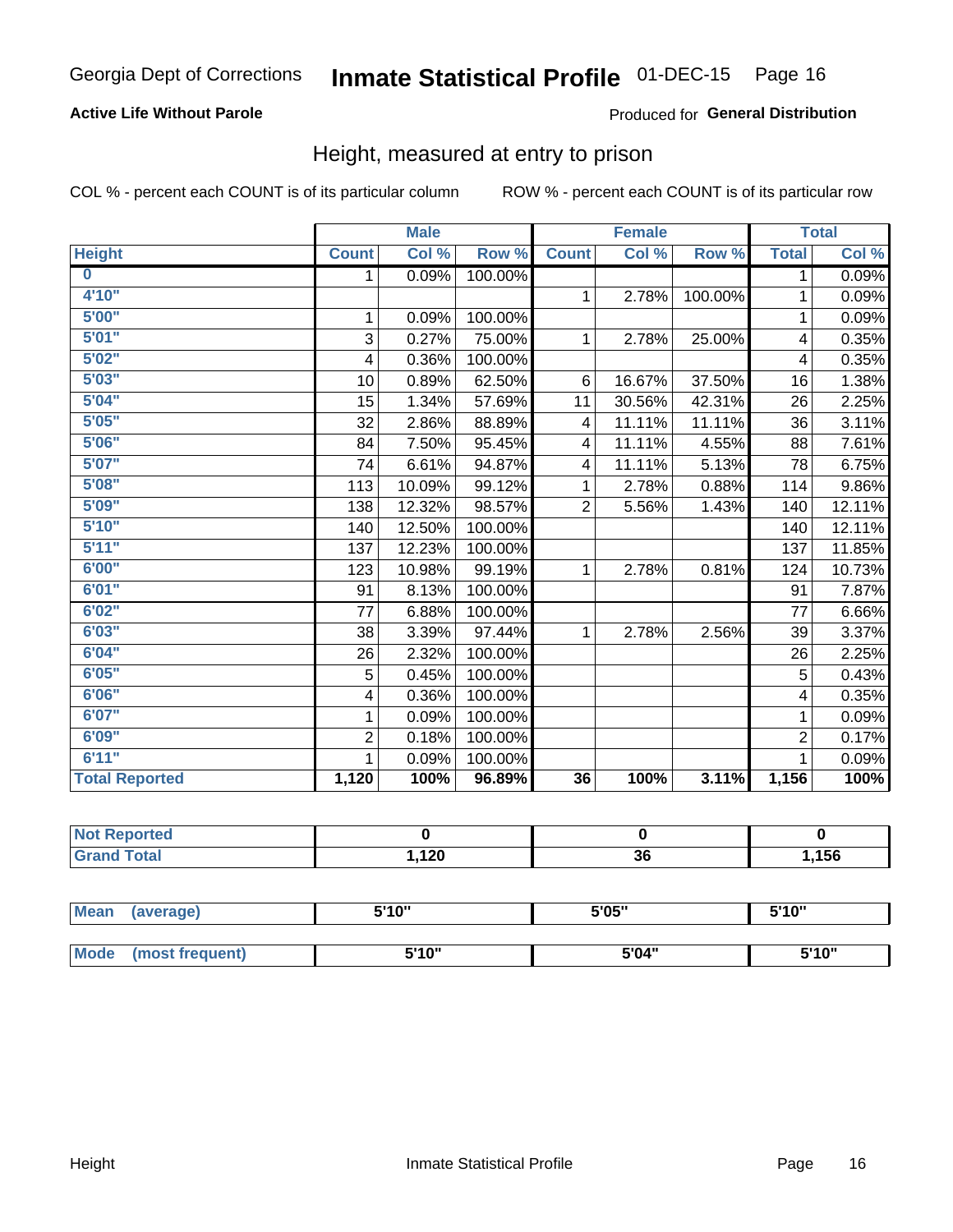## **Active Life Without Parole**

## Produced for General Distribution

## Height, measured at entry to prison

COL % - percent each COUNT is of its particular column

|                         |                | <b>Male</b> |         |                | <b>Female</b> |         |                | <b>Total</b> |
|-------------------------|----------------|-------------|---------|----------------|---------------|---------|----------------|--------------|
| <b>Height</b>           | <b>Count</b>   | Col %       | Row %   | <b>Count</b>   | Col %         | Row %   | <b>Total</b>   | Col %        |
| $\overline{\mathbf{0}}$ | 1              | 0.09%       | 100.00% |                |               |         | 1              | 0.09%        |
| 4'10"                   |                |             |         | $\mathbf{1}$   | 2.78%         | 100.00% | 1              | 0.09%        |
| 5'00''                  | 1              | 0.09%       | 100.00% |                |               |         | 1              | 0.09%        |
| 5'01"                   | 3              | 0.27%       | 75.00%  | 1              | 2.78%         | 25.00%  | 4              | 0.35%        |
| 5'02"                   | 4              | 0.36%       | 100.00% |                |               |         | 4              | 0.35%        |
| 5'03''                  | 10             | 0.89%       | 62.50%  | 6              | 16.67%        | 37.50%  | 16             | 1.38%        |
| 5'04"                   | 15             | 1.34%       | 57.69%  | 11             | 30.56%        | 42.31%  | 26             | 2.25%        |
| 5'05"                   | 32             | 2.86%       | 88.89%  | 4              | 11.11%        | 11.11%  | 36             | 3.11%        |
| 5'06''                  | 84             | 7.50%       | 95.45%  | 4              | 11.11%        | 4.55%   | 88             | 7.61%        |
| 5'07''                  | 74             | 6.61%       | 94.87%  | 4              | 11.11%        | 5.13%   | 78             | 6.75%        |
| 5'08''                  | 113            | 10.09%      | 99.12%  | 1              | 2.78%         | 0.88%   | 114            | 9.86%        |
| 5'09''                  | 138            | 12.32%      | 98.57%  | $\overline{2}$ | 5.56%         | 1.43%   | 140            | 12.11%       |
| 5'10''                  | 140            | 12.50%      | 100.00% |                |               |         | 140            | 12.11%       |
| 5'11''                  | 137            | 12.23%      | 100.00% |                |               |         | 137            | 11.85%       |
| 6'00''                  | 123            | 10.98%      | 99.19%  | $\mathbf{1}$   | 2.78%         | 0.81%   | 124            | 10.73%       |
| 6'01''                  | 91             | 8.13%       | 100.00% |                |               |         | 91             | 7.87%        |
| 6'02"                   | 77             | 6.88%       | 100.00% |                |               |         | 77             | 6.66%        |
| 6'03''                  | 38             | 3.39%       | 97.44%  | $\mathbf{1}$   | 2.78%         | 2.56%   | 39             | 3.37%        |
| 6'04"                   | 26             | 2.32%       | 100.00% |                |               |         | 26             | 2.25%        |
| 6'05"                   | 5              | 0.45%       | 100.00% |                |               |         | 5              | 0.43%        |
| 6'06''                  | 4              | 0.36%       | 100.00% |                |               |         | 4              | 0.35%        |
| 6'07''                  | 1              | 0.09%       | 100.00% |                |               |         | 1              | 0.09%        |
| 6'09''                  | $\overline{2}$ | 0.18%       | 100.00% |                |               |         | $\overline{2}$ | 0.17%        |
| 6'11''                  |                | 0.09%       | 100.00% |                |               |         |                | 0.09%        |
| <b>Total Reported</b>   | 1,120          | 100%        | 96.89%  | 36             | 100%          | 3.11%   | 1,156          | 100%         |

| <b>NOT</b><br>Reported |      |    |     |
|------------------------|------|----|-----|
| $f \wedge f \wedge f$  | ,120 | 36 | 156 |

| <b>Mean</b> | (average)       | 5'10" | 5'05" | 5'10"<br>ັ |
|-------------|-----------------|-------|-------|------------|
|             |                 |       |       |            |
| Mode        | (most frequent) | 5'10" | 5'04" | 5'10"      |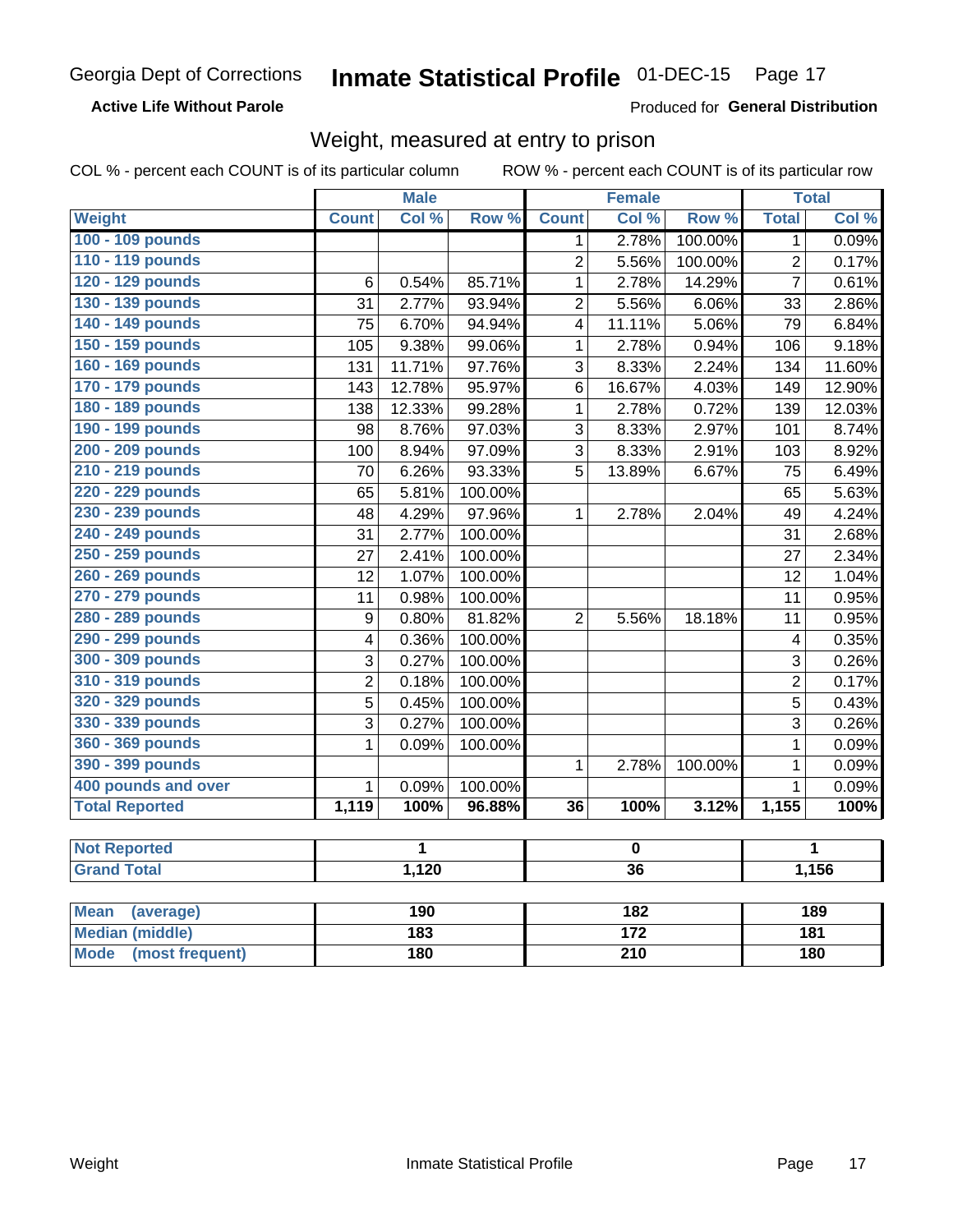**Active Life Without Parole** 

Produced for General Distribution

## Weight, measured at entry to prison

COL % - percent each COUNT is of its particular column

|                          |                  | <b>Male</b> |         |                 | <b>Female</b> |         |                | <b>Total</b> |
|--------------------------|------------------|-------------|---------|-----------------|---------------|---------|----------------|--------------|
| <b>Weight</b>            | <b>Count</b>     | Col %       | Row %   | <b>Count</b>    | Col %         | Row %   | <b>Total</b>   | Col %        |
| 100 - 109 pounds         |                  |             |         | 1               | 2.78%         | 100.00% | 1              | 0.09%        |
| 110 - 119 pounds         |                  |             |         | $\overline{2}$  | 5.56%         | 100.00% | $\overline{2}$ | 0.17%        |
| 120 - 129 pounds         | 6                | 0.54%       | 85.71%  | $\mathbf{1}$    | 2.78%         | 14.29%  | $\overline{7}$ | 0.61%        |
| 130 - 139 pounds         | 31               | 2.77%       | 93.94%  | $\overline{2}$  | 5.56%         | 6.06%   | 33             | 2.86%        |
| 140 - 149 pounds         | 75               | 6.70%       | 94.94%  | 4               | 11.11%        | 5.06%   | 79             | 6.84%        |
| 150 - 159 pounds         | 105              | 9.38%       | 99.06%  | $\mathbf{1}$    | 2.78%         | 0.94%   | 106            | 9.18%        |
| 160 - 169 pounds         | 131              | 11.71%      | 97.76%  | 3               | 8.33%         | 2.24%   | 134            | 11.60%       |
| 170 - 179 pounds         | 143              | 12.78%      | 95.97%  | 6               | 16.67%        | 4.03%   | 149            | 12.90%       |
| 180 - 189 pounds         | 138              | 12.33%      | 99.28%  | $\mathbf 1$     | 2.78%         | 0.72%   | 139            | 12.03%       |
| 190 - 199 pounds         | 98               | 8.76%       | 97.03%  | 3               | 8.33%         | 2.97%   | 101            | 8.74%        |
| 200 - 209 pounds         | 100              | 8.94%       | 97.09%  | 3               | 8.33%         | 2.91%   | 103            | 8.92%        |
| 210 - 219 pounds         | 70               | 6.26%       | 93.33%  | 5               | 13.89%        | 6.67%   | 75             | 6.49%        |
| 220 - 229 pounds         | 65               | 5.81%       | 100.00% |                 |               |         | 65             | 5.63%        |
| 230 - 239 pounds         | 48               | 4.29%       | 97.96%  | $\mathbf{1}$    | 2.78%         | 2.04%   | 49             | 4.24%        |
| 240 - 249 pounds         | 31               | 2.77%       | 100.00% |                 |               |         | 31             | 2.68%        |
| 250 - 259 pounds         | 27               | 2.41%       | 100.00% |                 |               |         | 27             | 2.34%        |
| 260 - 269 pounds         | 12               | 1.07%       | 100.00% |                 |               |         | 12             | 1.04%        |
| 270 - 279 pounds         | 11               | 0.98%       | 100.00% |                 |               |         | 11             | 0.95%        |
| 280 - 289 pounds         | $\boldsymbol{9}$ | 0.80%       | 81.82%  | $\overline{2}$  | 5.56%         | 18.18%  | 11             | 0.95%        |
| 290 - 299 pounds         | 4                | 0.36%       | 100.00% |                 |               |         | 4              | 0.35%        |
| 300 - 309 pounds         | 3                | 0.27%       | 100.00% |                 |               |         | 3              | 0.26%        |
| 310 - 319 pounds         | $\overline{2}$   | 0.18%       | 100.00% |                 |               |         | $\overline{2}$ | 0.17%        |
| 320 - 329 pounds         | 5                | 0.45%       | 100.00% |                 |               |         | 5              | 0.43%        |
| 330 - 339 pounds         | $\overline{3}$   | 0.27%       | 100.00% |                 |               |         | 3              | 0.26%        |
| 360 - 369 pounds         | 1                | 0.09%       | 100.00% |                 |               |         | $\mathbf{1}$   | 0.09%        |
| 390 - 399 pounds         |                  |             |         | $\mathbf{1}$    | 2.78%         | 100.00% | $\mathbf{1}$   | 0.09%        |
| 400 pounds and over      | $\mathbf{1}$     | 0.09%       | 100.00% |                 |               |         | $\mathbf{1}$   | 0.09%        |
| <b>Total Reported</b>    | 1,119            | 100%        | 96.88%  | $\overline{36}$ | 100%          | 3.12%   | 1,155          | 100%         |
|                          |                  |             |         |                 |               |         |                |              |
| <b>Not Reported</b>      |                  | 1           |         | $\pmb{0}$       |               |         | 1<br>1,156     |              |
| <b>Grand Total</b>       |                  | 1,120       |         |                 | 36            |         |                |              |
| <b>Mean</b><br>(average) |                  | 190         |         |                 | 182           |         |                | 189          |

| Mean<br>(average)       | 190 | 182 | 189 |
|-------------------------|-----|-----|-----|
| Median (middle)         | 183 | 172 | 181 |
| Mode<br>(most frequent) | 180 | 210 | 180 |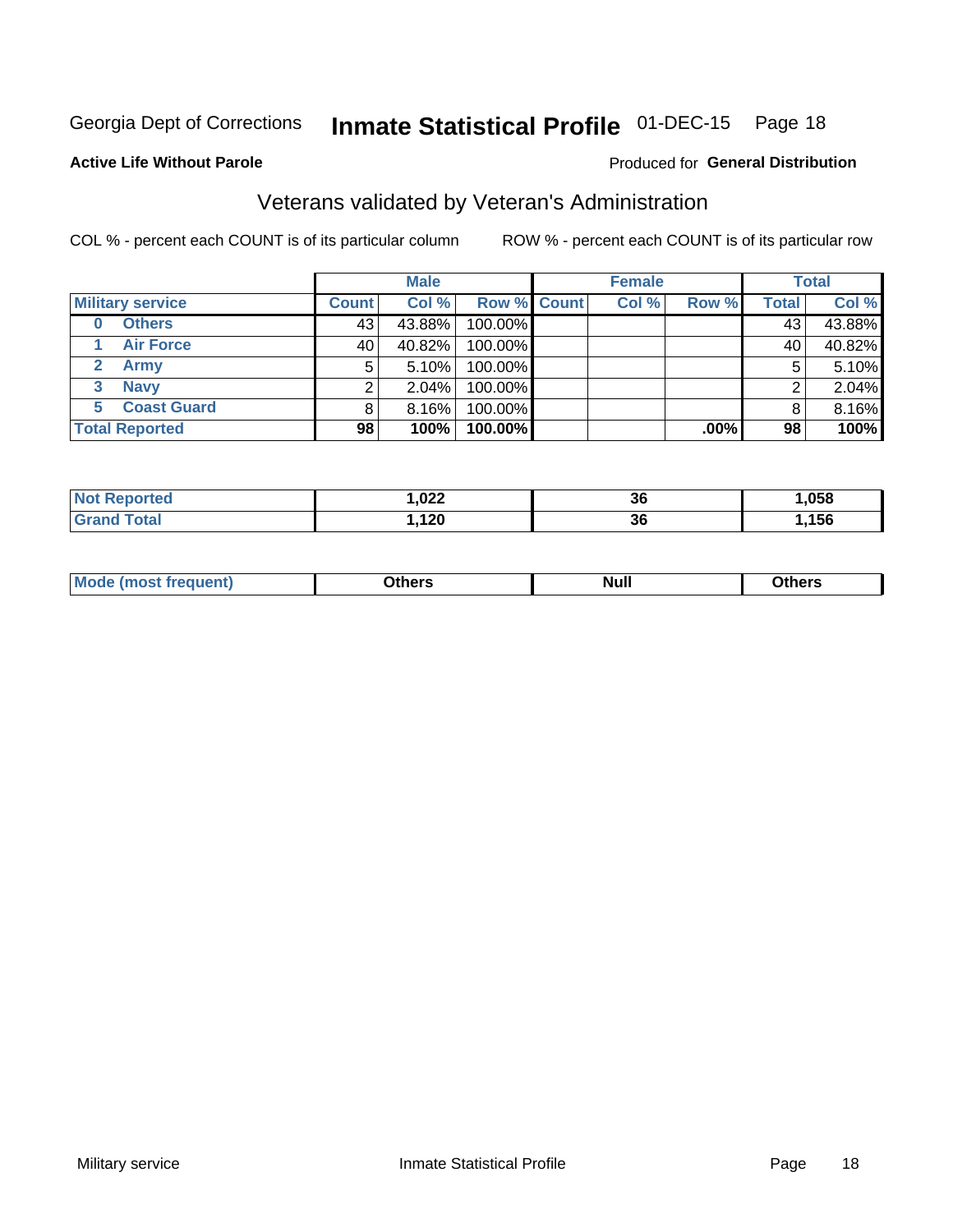## Inmate Statistical Profile 01-DEC-15 Page 18

#### **Active Life Without Parole**

### Produced for General Distribution

## Veterans validated by Veteran's Administration

COL % - percent each COUNT is of its particular column

|                         | <b>Male</b>  |          |                    | <b>Female</b> |       |         | <b>Total</b> |        |
|-------------------------|--------------|----------|--------------------|---------------|-------|---------|--------------|--------|
| <b>Military service</b> | <b>Count</b> | Col %    | <b>Row % Count</b> |               | Col % | Row %   | <b>Total</b> | Col %  |
| <b>Others</b><br>0      | 43           | 43.88%   | 100.00%            |               |       |         | 43           | 43.88% |
| <b>Air Force</b>        | 40           | 40.82%   | 100.00%            |               |       |         | 40           | 40.82% |
| <b>Army</b>             | 5            | 5.10%    | 100.00%            |               |       |         | 5            | 5.10%  |
| <b>Navy</b><br>3        |              | $2.04\%$ | 100.00%            |               |       |         | ◠            | 2.04%  |
| <b>Coast Guard</b><br>5 |              | 8.16%    | 100.00%            |               |       |         | 8            | 8.16%  |
| <b>Total Reported</b>   | 98           | 100%     | 100.00%            |               |       | $.00\%$ | 98           | 100%   |

| neo<br>N | ,022<br>$\overline{\phantom{a}}$ | 36 | .058 |
|----------|----------------------------------|----|------|
| $C = 4$  | ィっハ<br>, 1 Z V                   | 36 | ,156 |

| Mo<br><b>Null</b><br>วthers<br>______<br>____<br>____ |
|-------------------------------------------------------|
|-------------------------------------------------------|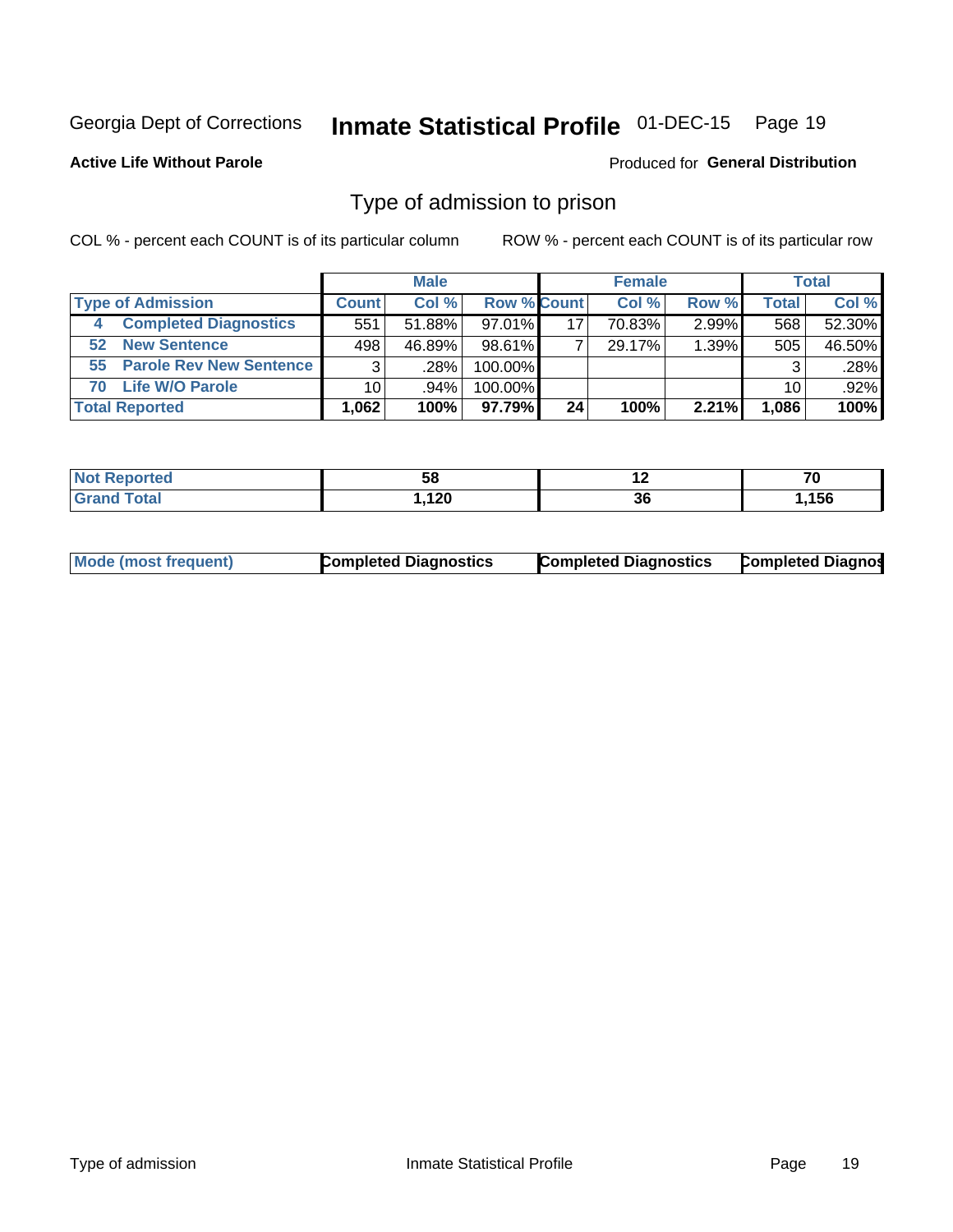#### **Inmate Statistical Profile 01-DEC-15** Page 19

**Active Life Without Parole** 

**Produced for General Distribution** 

## Type of admission to prison

COL % - percent each COUNT is of its particular column

|    |                              |                 | <b>Male</b> |                    |    | <b>Female</b> |          |       | <b>Total</b> |
|----|------------------------------|-----------------|-------------|--------------------|----|---------------|----------|-------|--------------|
|    | <b>Type of Admission</b>     | <b>Count</b>    | Col %       | <b>Row % Count</b> |    | Col %         | Row %    | Total | Col %        |
| -4 | <b>Completed Diagnostics</b> | 551             | $51.88\%$   | 97.01%             | 17 | 70.83%        | $2.99\%$ | 568   | 52.30%       |
| 52 | <b>New Sentence</b>          | 498             | 46.89%      | 98.61%             |    | 29.17%        | 1.39%    | 505   | 46.50%       |
|    | 55 Parole Rev New Sentence   | 3               | ا 28%.      | 100.00%            |    |               |          | 3     | .28%         |
| 70 | <b>Life W/O Parole</b>       | 10 <sup>1</sup> | $.94\%$     | 100.00%            |    |               |          | 10    | $.92\%$      |
|    | <b>Total Reported</b>        | 1,062           | 100%        | 97.79%             | 24 | 100%          | 2.21%    | 1,086 | 100%         |

| N   | 58           | $\overline{\phantom{a}}$  | 70                       |
|-----|--------------|---------------------------|--------------------------|
| тес | Ju           |                           | $\overline{\phantom{0}}$ |
|     | ה ה<br>, IZU | $\ddot{\phantom{0}}$<br>v | ,156                     |

|  | Mode (most frequent) | <b>Completed Diagnostics</b> | <b>Completed Diagnostics</b> | <b>Completed Diagnos</b> |
|--|----------------------|------------------------------|------------------------------|--------------------------|
|--|----------------------|------------------------------|------------------------------|--------------------------|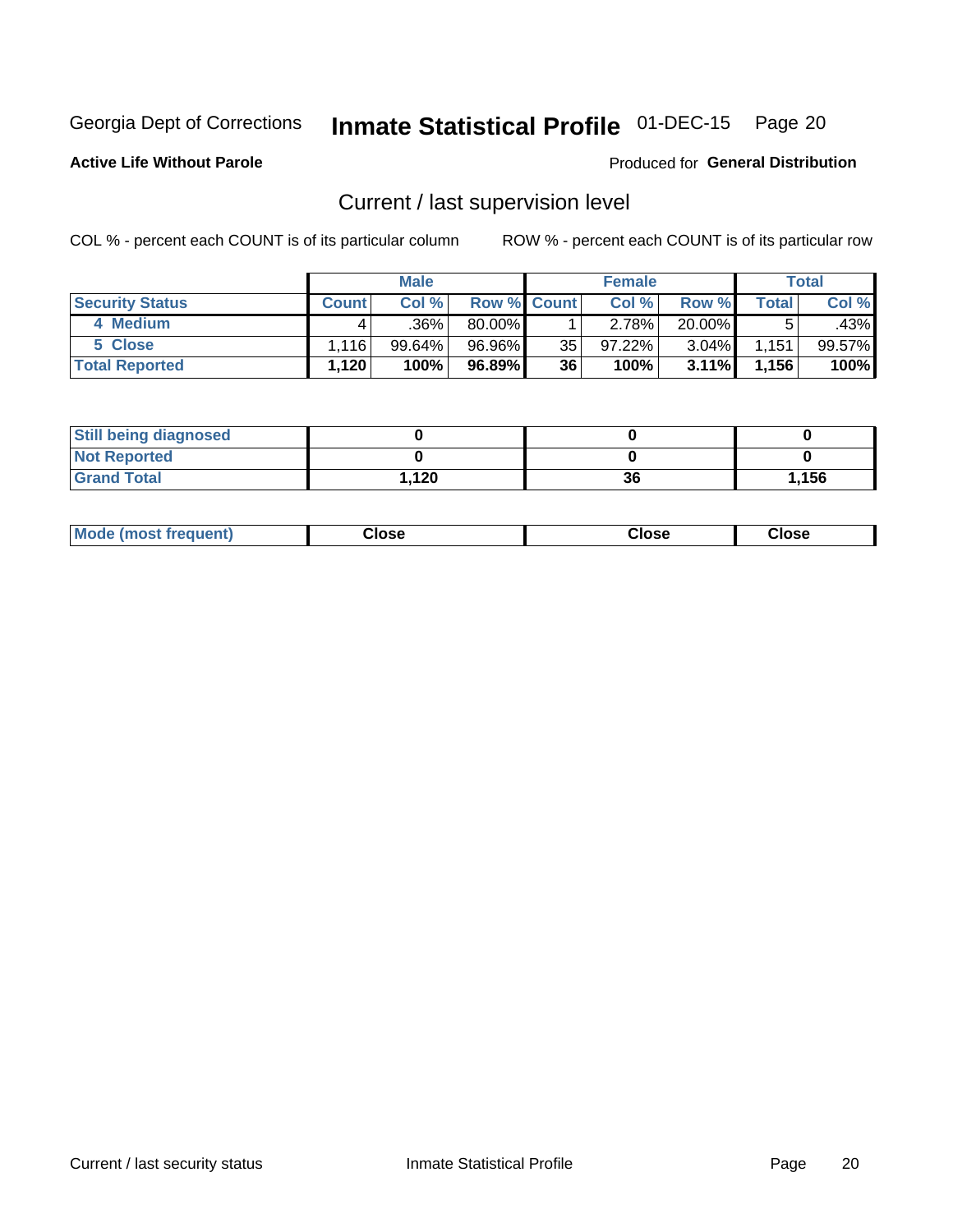## Inmate Statistical Profile 01-DEC-15 Page 20

**Active Life Without Parole** 

### Produced for General Distribution

## Current / last supervision level

COL % - percent each COUNT is of its particular column

|                        |              | <b>Male</b>         |             |    | <b>Female</b> |          |              | <b>Total</b> |
|------------------------|--------------|---------------------|-------------|----|---------------|----------|--------------|--------------|
| <b>Security Status</b> | <b>Count</b> | Col %               | Row % Count |    | Col %         | Row %    | <b>Total</b> | Col %        |
| 4 Medium               |              | $.36\%$ $^{\prime}$ | 80.00%      |    | 2.78%         | 20.00%   | 5            | .43%         |
| 5 Close                | 1.116        | 99.64%              | 96.96%      | 35 | 97.22%        | $3.04\%$ | 1,151        | $99.57\%$    |
| <b>Total Reported</b>  | 1,120        | 100%                | 96.89%      | 36 | 100%          | $3.11\%$ | 1,156        | 100%         |

| <b>Still being diagnosed</b> |      |    |       |
|------------------------------|------|----|-------|
| <b>Not Reported</b>          |      |    |       |
| <b>Grand Total</b>           | .120 | 36 | 1,156 |

| <b>AhoM</b><br>rreauent) | <b>Close</b> | Close | Close |
|--------------------------|--------------|-------|-------|
|                          |              |       |       |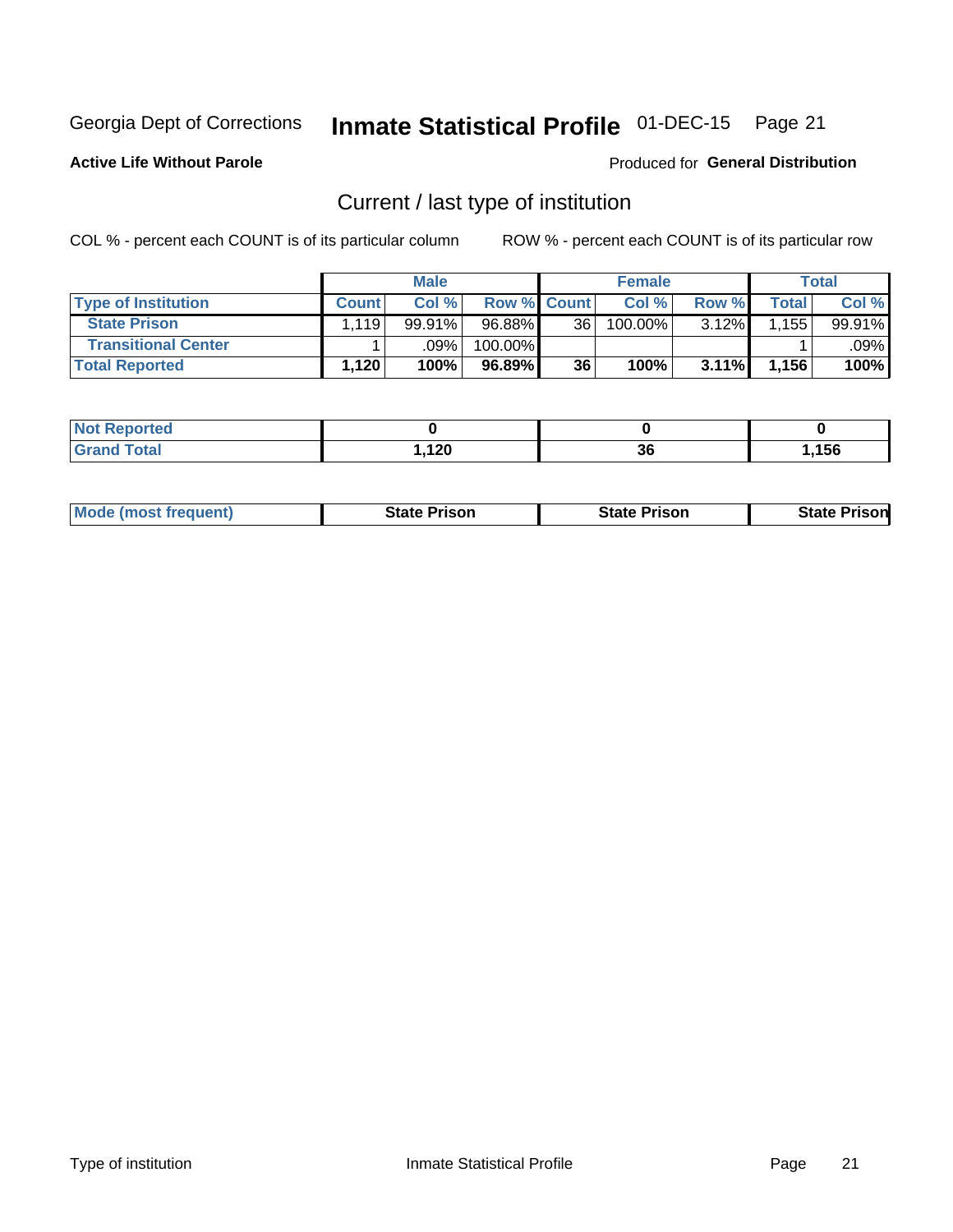## Inmate Statistical Profile 01-DEC-15 Page 21

**Active Life Without Parole** 

Produced for General Distribution

## Current / last type of institution

COL % - percent each COUNT is of its particular column

|                            |              | <b>Male</b> |                    |    | <b>Female</b> |       |       | Total  |
|----------------------------|--------------|-------------|--------------------|----|---------------|-------|-------|--------|
| <b>Type of Institution</b> | <b>Count</b> | Col %       | <b>Row % Count</b> |    | Col %         | Row % | Total | Col %  |
| <b>State Prison</b>        | .119'        | 99.91%      | 96.88%             | 36 | $100.00\%$    | 3.12% | .155  | 99.91% |
| <b>Transitional Center</b> |              | .09%        | 100.00%            |    |               |       |       | .09% l |
| <b>Total Reported</b>      | 1,120'       | 100%        | $96.89\%$          | 36 | 100%          | 3.11% | 1,156 | 100%   |

| τeα                         |                     |          |      |
|-----------------------------|---------------------|----------|------|
| $\sim$ $\sim$ $\sim$ $\sim$ | ה ה<br>$\cdot$ $ -$ | ^^<br>ად | ,156 |

| <b>Mode (most frequent)</b> | State Prison | <b>State Prison</b> | <b>State</b><br>isonl |
|-----------------------------|--------------|---------------------|-----------------------|
|                             |              |                     |                       |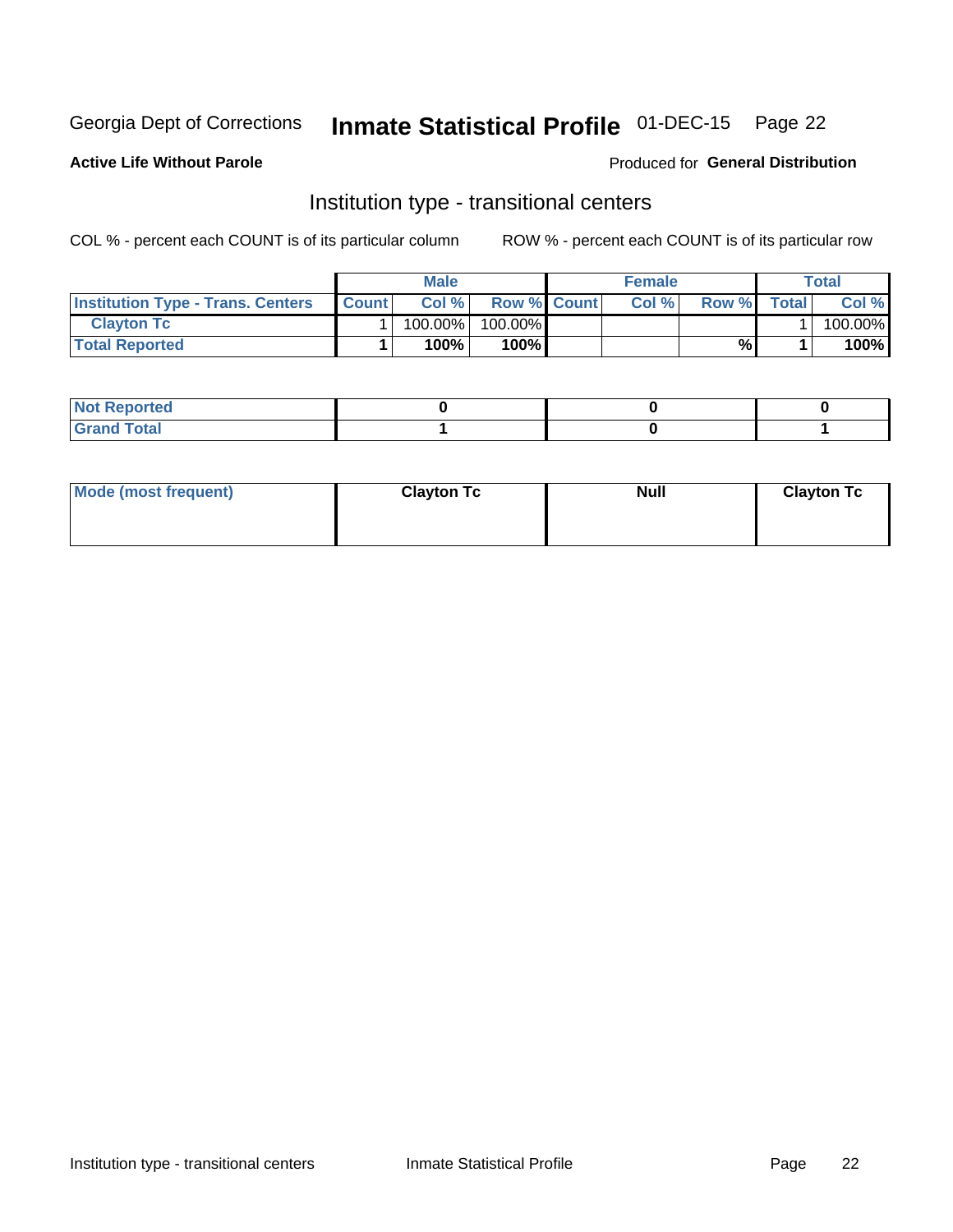## Inmate Statistical Profile 01-DEC-15 Page 22

**Active Life Without Parole** 

### Produced for General Distribution

## Institution type - transitional centers

COL % - percent each COUNT is of its particular column

|                                          |              | Male    |                    | <b>Female</b> |       |              | Total   |
|------------------------------------------|--------------|---------|--------------------|---------------|-------|--------------|---------|
| <b>Institution Type - Trans. Centers</b> | <b>Count</b> | Col%    | <b>Row % Count</b> | Col%          | Row % | <b>Total</b> | Col %   |
| <b>Clayton Tc</b>                        |              | 100.00% | 100.00%            |               |       |              | 100.00% |
| <b>Total Reported</b>                    |              | $100\%$ | 100%               |               | %     |              | 100%    |

| <b>Not Reported</b>  |  |  |
|----------------------|--|--|
| <b>Total</b><br>r va |  |  |

| Mode (most frequent) | <b>Clayton Tc</b> | <b>Null</b> | <b>Clayton Tc</b> |
|----------------------|-------------------|-------------|-------------------|
|                      |                   |             |                   |
|                      |                   |             |                   |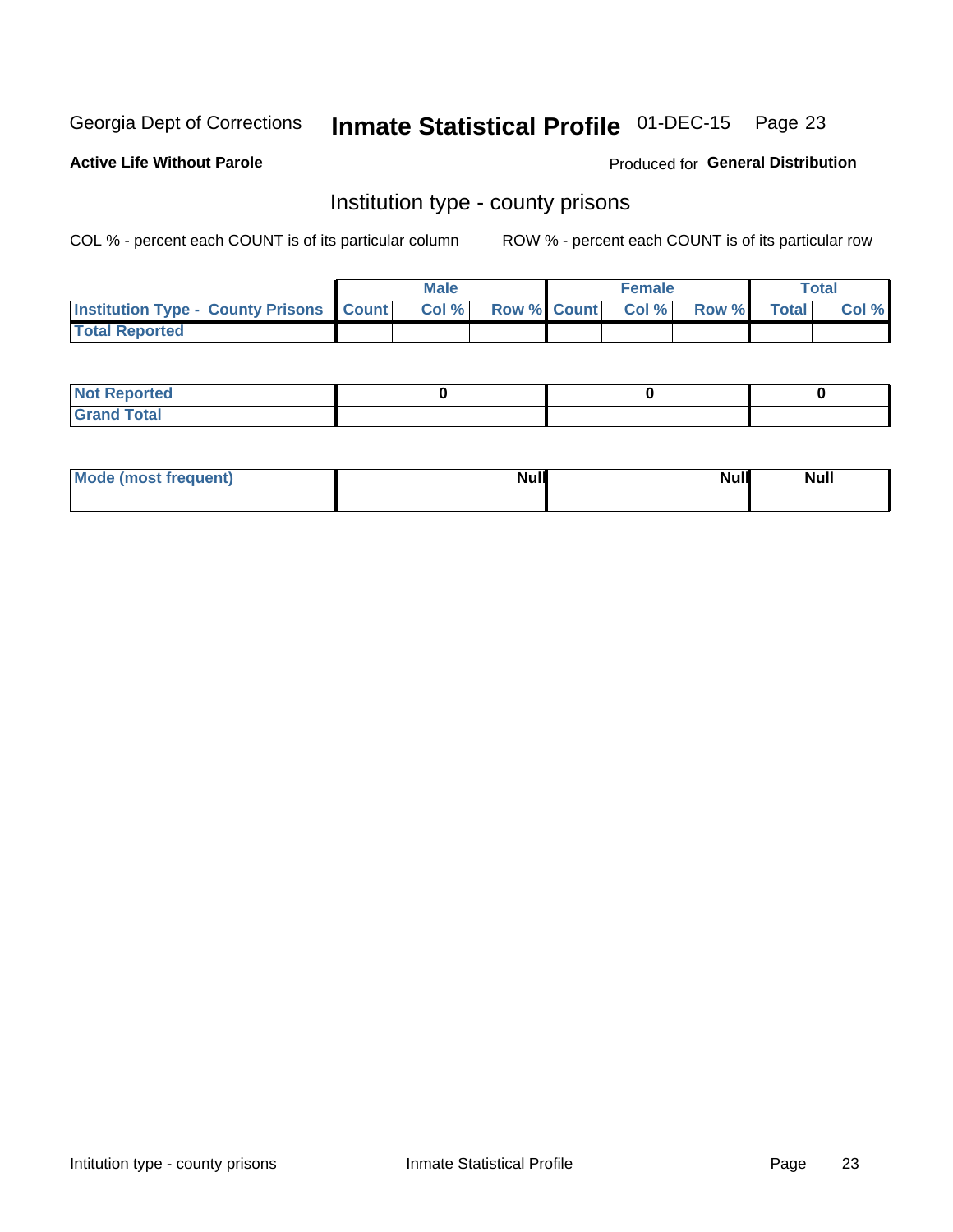## Inmate Statistical Profile 01-DEC-15 Page 23

**Active Life Without Parole** 

**Produced for General Distribution** 

## Institution type - county prisons

COL % - percent each COUNT is of its particular column

|                                                    | <b>Male</b> |  | <b>Female</b>            |             | <b>Total</b> |
|----------------------------------------------------|-------------|--|--------------------------|-------------|--------------|
| <b>Institution Type - County Prisons   Count  </b> | Col %       |  | <b>Row % Count Col %</b> | Row % Total | Col %        |
| <b>Total Reported</b>                              |             |  |                          |             |              |

| <b>Not</b><br>: Reported<br>$\cdots$ |  |  |
|--------------------------------------|--|--|
| <b>Total</b><br>---                  |  |  |

| Mode (most frequent) | <b>Null</b> | <b>Null</b><br><b>Null</b> |
|----------------------|-------------|----------------------------|
|                      |             |                            |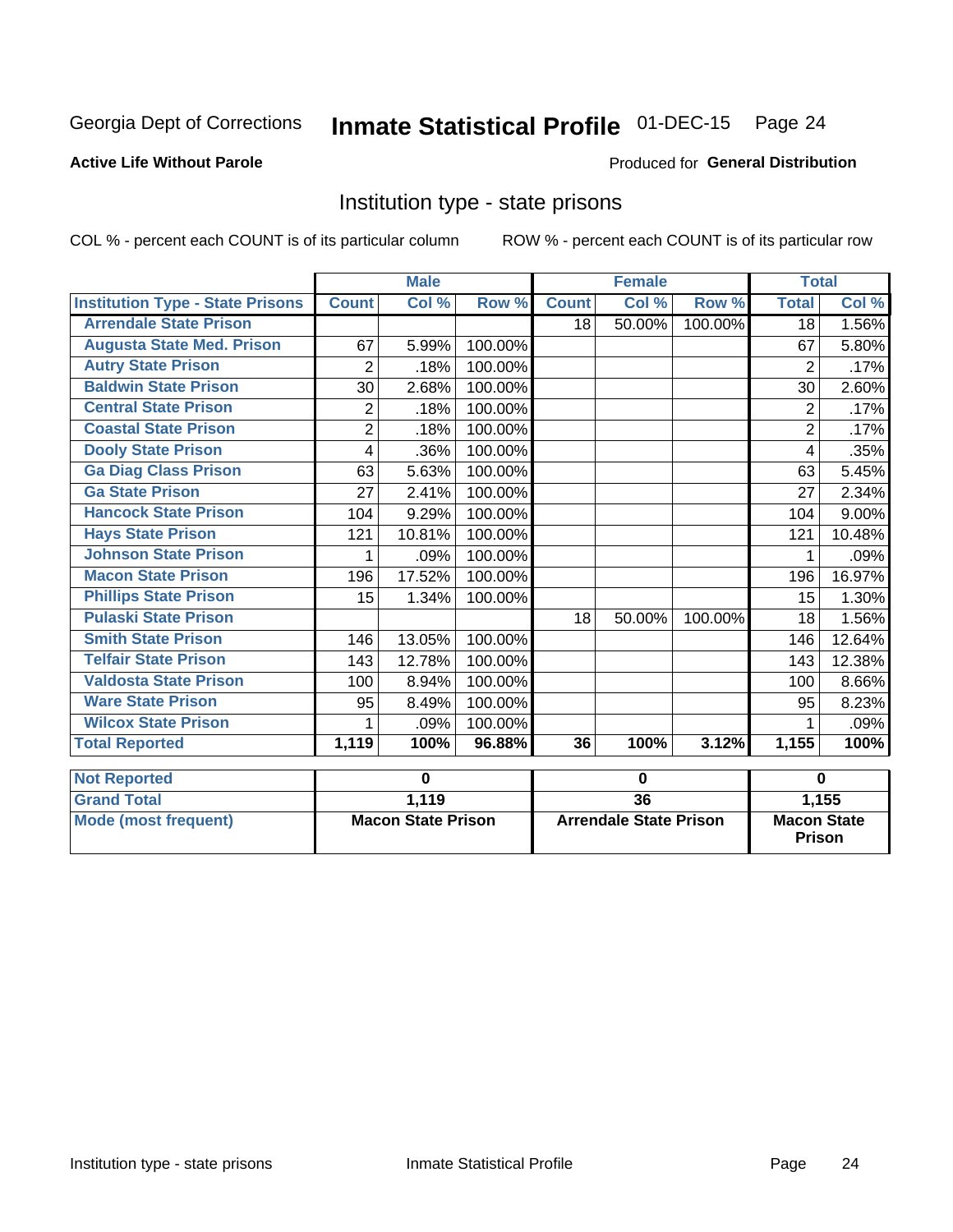## Inmate Statistical Profile 01-DEC-15 Page 24

## **Active Life Without Parole**

#### Produced for General Distribution

## Institution type - state prisons

|                                         |              | <b>Male</b>               |         | <b>Female</b> |                               | <b>Total</b> |                              |        |
|-----------------------------------------|--------------|---------------------------|---------|---------------|-------------------------------|--------------|------------------------------|--------|
| <b>Institution Type - State Prisons</b> | <b>Count</b> | Col %                     | Row %   | <b>Count</b>  | $\overline{\text{Col }^9}$    | Row %        | <b>Total</b>                 | Col %  |
| <b>Arrendale State Prison</b>           |              |                           |         | 18            | 50.00%                        | $100.00\%$   | 18 <sup>1</sup>              | 1.56%  |
| <b>Augusta State Med. Prison</b>        | 67           | 5.99%                     | 100.00% |               |                               |              | 67                           | 5.80%  |
| <b>Autry State Prison</b>               | 2            | .18%                      | 100.00% |               |                               |              | 2                            | .17%   |
| <b>Baldwin State Prison</b>             | 30           | 2.68%                     | 100.00% |               |                               |              | 30                           | 2.60%  |
| <b>Central State Prison</b>             | 2            | .18%                      | 100.00% |               |                               |              | $\overline{2}$               | .17%   |
| <b>Coastal State Prison</b>             | 2            | .18%                      | 100.00% |               |                               |              | 2                            | .17%   |
| <b>Dooly State Prison</b>               | 4            | .36%                      | 100.00% |               |                               |              | 4                            | .35%   |
| <b>Ga Diag Class Prison</b>             | 63           | 5.63%                     | 100.00% |               |                               |              | 63                           | 5.45%  |
| <b>Ga State Prison</b>                  | 27           | 2.41%                     | 100.00% |               |                               |              | 27                           | 2.34%  |
| <b>Hancock State Prison</b>             | 104          | 9.29%                     | 100.00% |               |                               |              | 104                          | 9.00%  |
| <b>Hays State Prison</b>                | 121          | 10.81%                    | 100.00% |               |                               |              | 121                          | 10.48% |
| <b>Johnson State Prison</b>             | 1            | .09%                      | 100.00% |               |                               |              | 1                            | .09%   |
| <b>Macon State Prison</b>               | 196          | 17.52%                    | 100.00% |               |                               |              | 196                          | 16.97% |
| <b>Phillips State Prison</b>            | 15           | 1.34%                     | 100.00% |               |                               |              | 15                           | 1.30%  |
| <b>Pulaski State Prison</b>             |              |                           |         | 18            | 50.00%                        | 100.00%      | 18                           | 1.56%  |
| <b>Smith State Prison</b>               | 146          | 13.05%                    | 100.00% |               |                               |              | 146                          | 12.64% |
| <b>Telfair State Prison</b>             | 143          | 12.78%                    | 100.00% |               |                               |              | 143                          | 12.38% |
| <b>Valdosta State Prison</b>            | 100          | 8.94%                     | 100.00% |               |                               |              | 100                          | 8.66%  |
| <b>Ware State Prison</b>                | 95           | 8.49%                     | 100.00% |               |                               |              | 95                           | 8.23%  |
| <b>Wilcox State Prison</b>              |              | .09%                      | 100.00% |               |                               |              |                              | .09%   |
| <b>Total Reported</b>                   | 1,119        | 100%                      | 96.88%  | 36            | 100%                          | 3.12%        | 1,155                        | 100%   |
| <b>Not Reported</b>                     |              | $\bf{0}$                  |         |               | $\bf{0}$                      |              | $\bf{0}$                     |        |
| <b>Grand Total</b>                      |              | 1,119                     |         |               | $\overline{36}$               |              |                              | 1,155  |
| <b>Mode (most frequent)</b>             |              | <b>Macon State Prison</b> |         |               | <b>Arrendale State Prison</b> |              | <b>Macon State</b><br>Prison |        |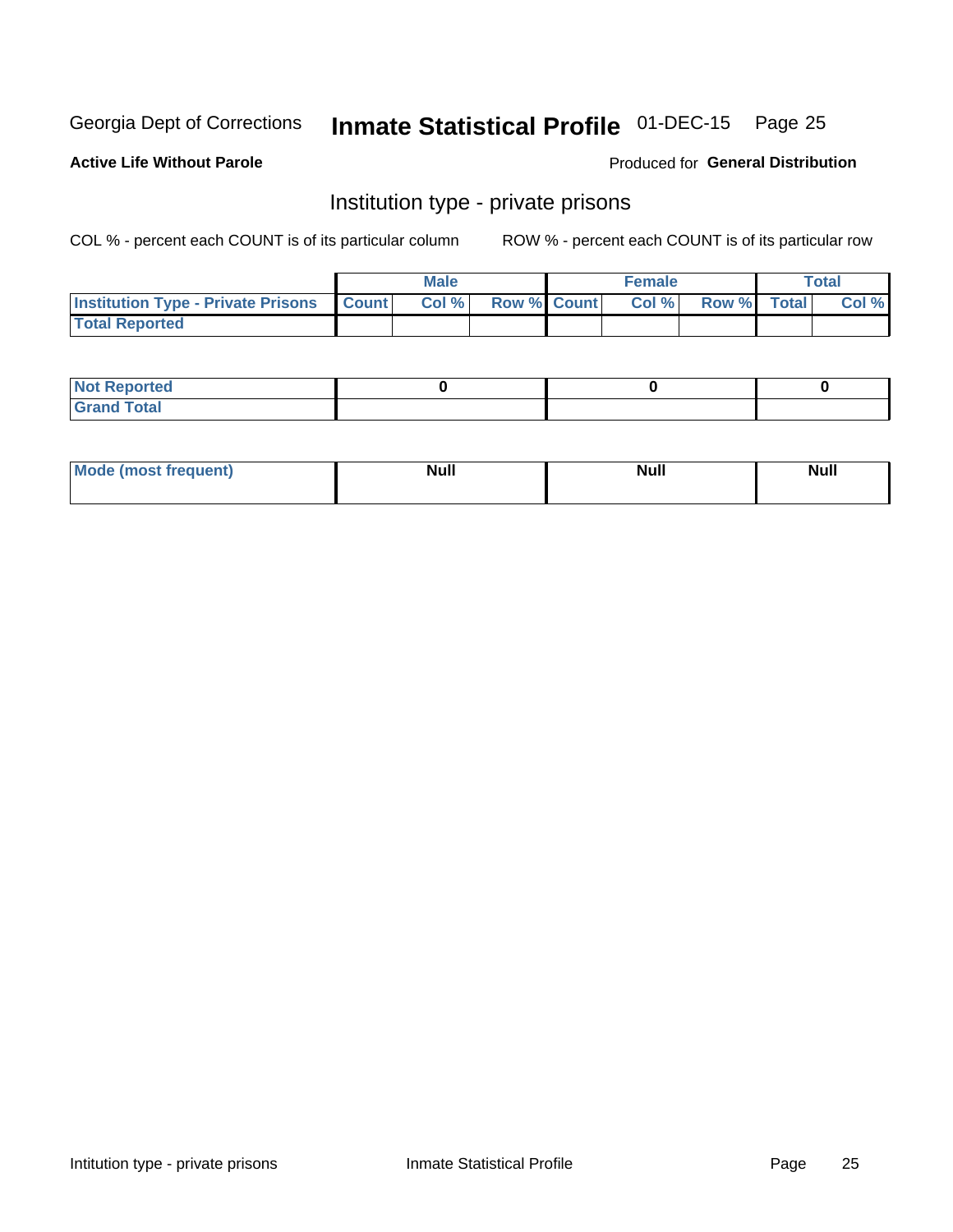## Inmate Statistical Profile 01-DEC-15 Page 25

## **Active Life Without Parole**

### Produced for General Distribution

## Institution type - private prisons

COL % - percent each COUNT is of its particular column

|                                                     | <b>Male</b> |                    | <b>Female</b> |             | Total |
|-----------------------------------------------------|-------------|--------------------|---------------|-------------|-------|
| <b>Institution Type - Private Prisons   Count  </b> | Col %       | <b>Row % Count</b> | Col %         | Row % Total | Col % |
| <b>Total Reported</b>                               |             |                    |               |             |       |

| Not Reported           |  |  |
|------------------------|--|--|
| <b>Cotal</b><br>______ |  |  |

| <b>Mo</b><br>frequent) | <b>Null</b> | <b>Null</b> | . . I *<br><b>IVUII</b> |
|------------------------|-------------|-------------|-------------------------|
|                        |             |             |                         |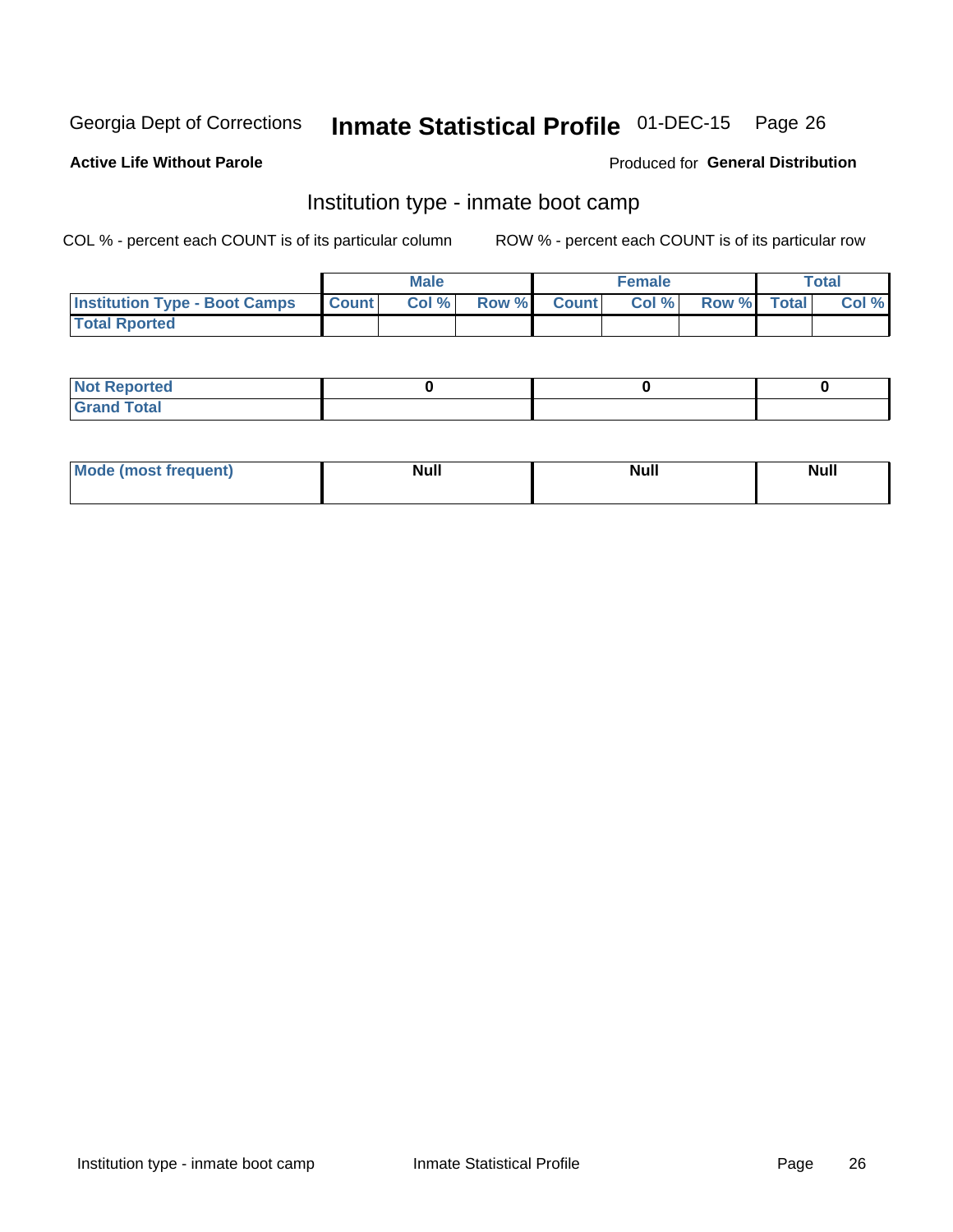## Inmate Statistical Profile 01-DEC-15 Page 26

#### **Active Life Without Parole**

## Produced for General Distribution

## Institution type - inmate boot camp

COL % - percent each COUNT is of its particular column

|                                      |              | <b>Male</b> |               |              | <b>Female</b> |             | <b>Total</b> |
|--------------------------------------|--------------|-------------|---------------|--------------|---------------|-------------|--------------|
| <b>Institution Type - Boot Camps</b> | <b>Count</b> | Col %       | <b>Row %I</b> | <b>Count</b> | Col %         | Row % Total | Col %        |
| <b>Total Rported</b>                 |              |             |               |              |               |             |              |

| <b>Not Reported</b>            |  |  |
|--------------------------------|--|--|
| <b>Total</b><br>C <sub>r</sub> |  |  |

| Mod<br>uamo | Nul.<br>$- - - - - -$ | <b>Null</b> | . .<br>uu.<br>------ |
|-------------|-----------------------|-------------|----------------------|
|             |                       |             |                      |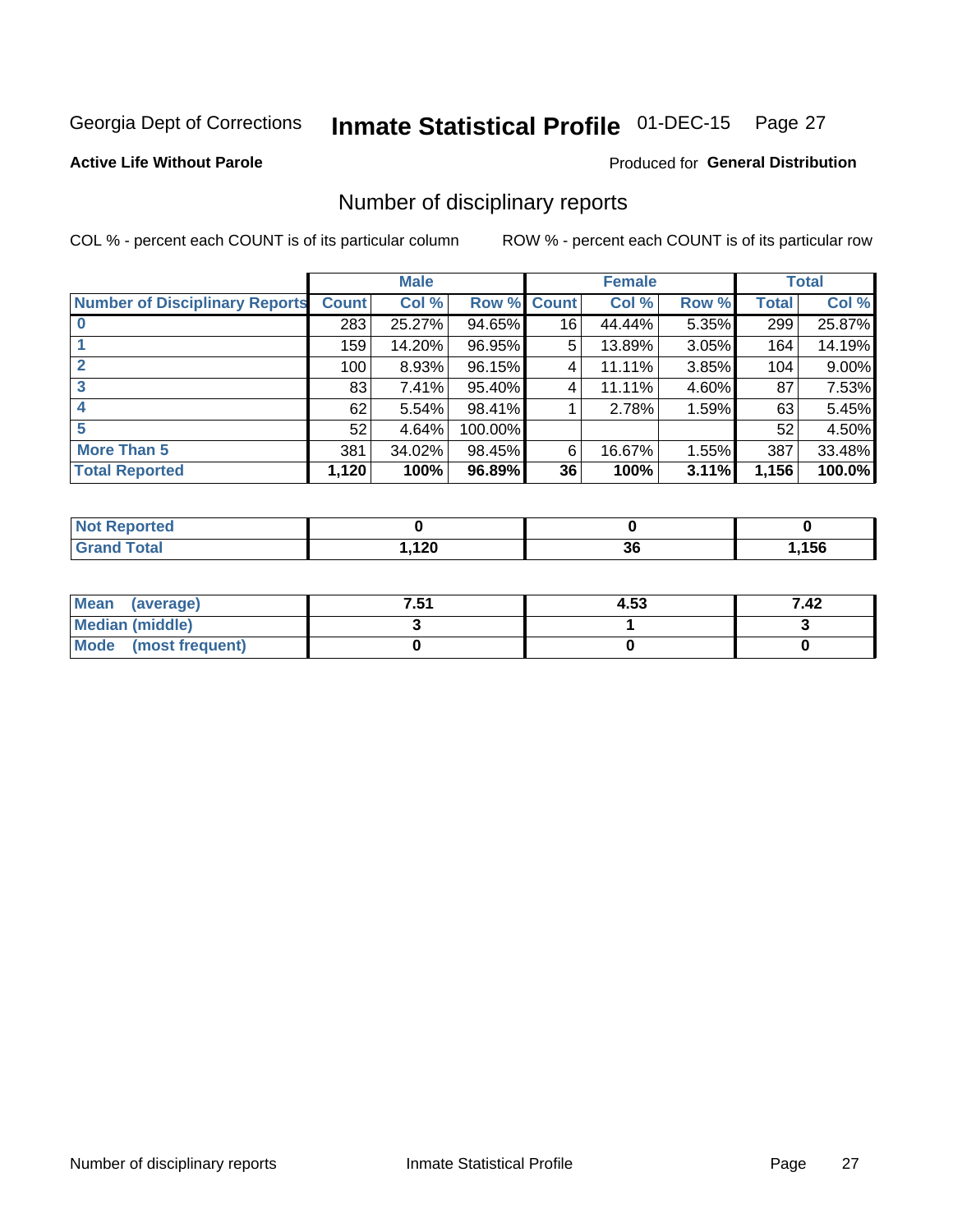## Inmate Statistical Profile 01-DEC-15 Page 27

## **Active Life Without Parole**

## Produced for General Distribution

## Number of disciplinary reports

COL % - percent each COUNT is of its particular column

|                                       |              | <b>Male</b> |         |              | <b>Female</b> |       |              | <b>Total</b> |
|---------------------------------------|--------------|-------------|---------|--------------|---------------|-------|--------------|--------------|
| <b>Number of Disciplinary Reports</b> | <b>Count</b> | Col %       | Row %   | <b>Count</b> | Col %         | Row % | <b>Total</b> | Col %        |
|                                       | 283          | 25.27%      | 94.65%  | 16           | 44.44%        | 5.35% | 299          | 25.87%       |
|                                       | 159          | 14.20%      | 96.95%  | 5            | 13.89%        | 3.05% | 164          | 14.19%       |
| $\mathbf{2}$                          | 100          | 8.93%       | 96.15%  | 4            | 11.11%        | 3.85% | 104          | 9.00%        |
| 3                                     | 83           | $7.41\%$    | 95.40%  | 4            | 11.11%        | 4.60% | 87           | 7.53%        |
|                                       | 62           | 5.54%       | 98.41%  |              | 2.78%         | 1.59% | 63           | 5.45%        |
| 5                                     | 52           | 4.64%       | 100.00% |              |               |       | 52           | 4.50%        |
| <b>More Than 5</b>                    | 381          | 34.02%      | 98.45%  | 6            | 16.67%        | 1.55% | 387          | 33.48%       |
| <b>Total Reported</b>                 | 1,120        | 100%        | 96.89%  | 36           | 100%          | 3.11% | 1,156        | 100.0%       |

| тео<br>NO    |     |          |     |
|--------------|-----|----------|-----|
| <b>Total</b> | 120 | ^^<br>ად | 156 |

| Mean (average)       | 7.51 | 4.53 | 7.42 |
|----------------------|------|------|------|
| Median (middle)      |      |      |      |
| Mode (most frequent) |      |      |      |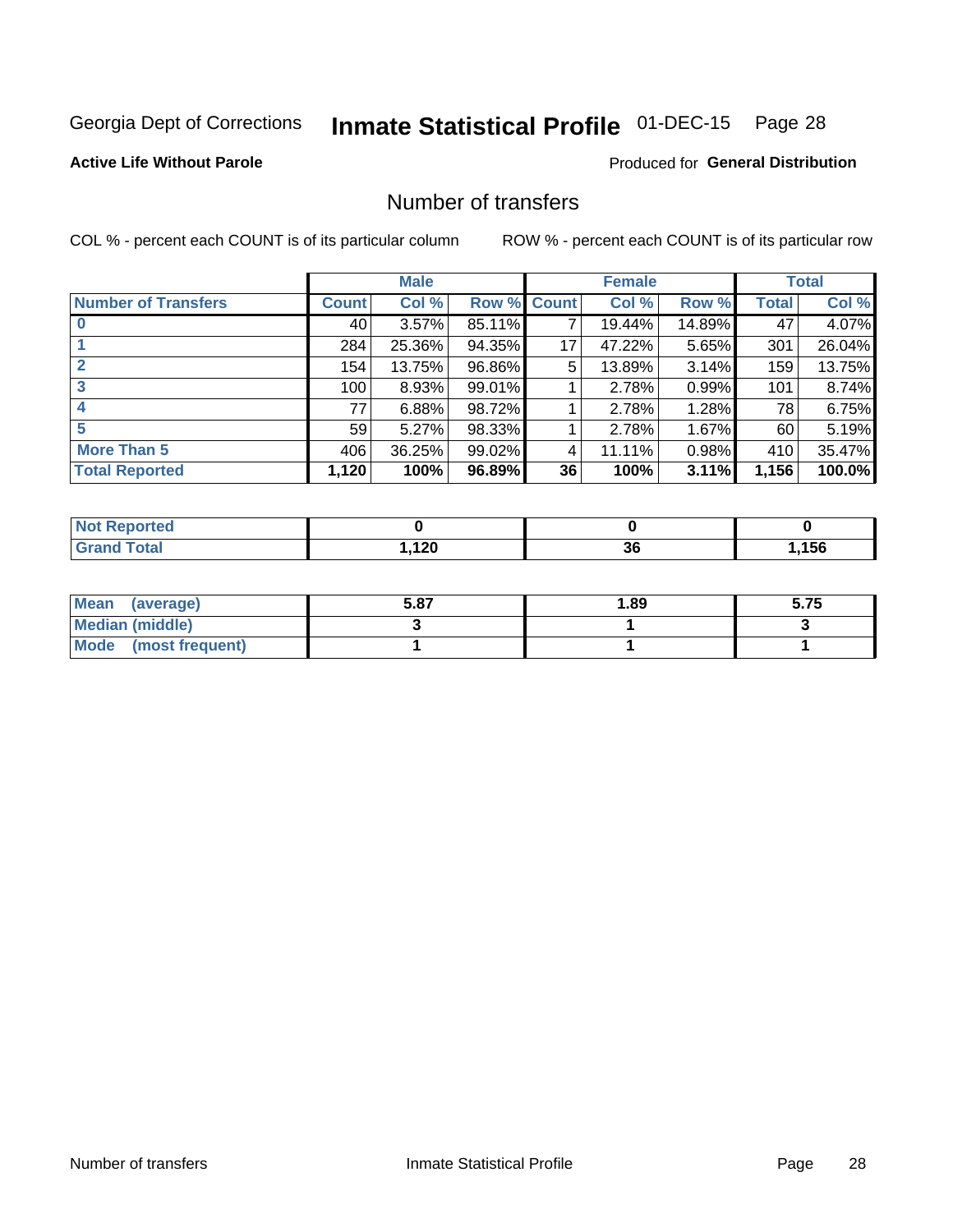## Inmate Statistical Profile 01-DEC-15 Page 28

## **Active Life Without Parole**

## **Produced for General Distribution**

## Number of transfers

COL % - percent each COUNT is of its particular column

|                            |              | <b>Male</b> |        |              | <b>Female</b> |          |              | <b>Total</b> |
|----------------------------|--------------|-------------|--------|--------------|---------------|----------|--------------|--------------|
| <b>Number of Transfers</b> | <b>Count</b> | Col %       | Row %  | <b>Count</b> | Col %         | Row %    | <b>Total</b> | Col %        |
|                            | 40 l         | 3.57%       | 85.11% | 7            | 19.44%        | 14.89%   | 47           | 4.07%        |
|                            | 284          | 25.36%      | 94.35% | 17           | 47.22%        | $5.65\%$ | 301          | 26.04%       |
|                            | 154          | 13.75%      | 96.86% | 5            | 13.89%        | 3.14%    | 159          | 13.75%       |
| 3                          | 100          | 8.93%       | 99.01% |              | 2.78%         | 0.99%    | 101          | 8.74%        |
|                            | 77           | 6.88%       | 98.72% |              | 2.78%         | 1.28%    | 78           | 6.75%        |
| 5                          | 59           | 5.27%       | 98.33% |              | 2.78%         | $1.67\%$ | 60           | 5.19%        |
| <b>More Than 5</b>         | 406          | 36.25%      | 99.02% | 4            | 11.11%        | 0.98%    | 410          | 35.47%       |
| <b>Total Reported</b>      | 1,120        | 100%        | 96.89% | 36           | 100%          | 3.11%    | 1,156        | 100.0%       |

| วrted<br><b>NOT</b> |     |          |     |
|---------------------|-----|----------|-----|
| <b>Total</b>        | 120 | ^^<br>ათ | 156 |

| Mean (average)         | 5.87 | 1.89 | 5.75 |
|------------------------|------|------|------|
| <b>Median (middle)</b> |      |      |      |
| Mode (most frequent)   |      |      |      |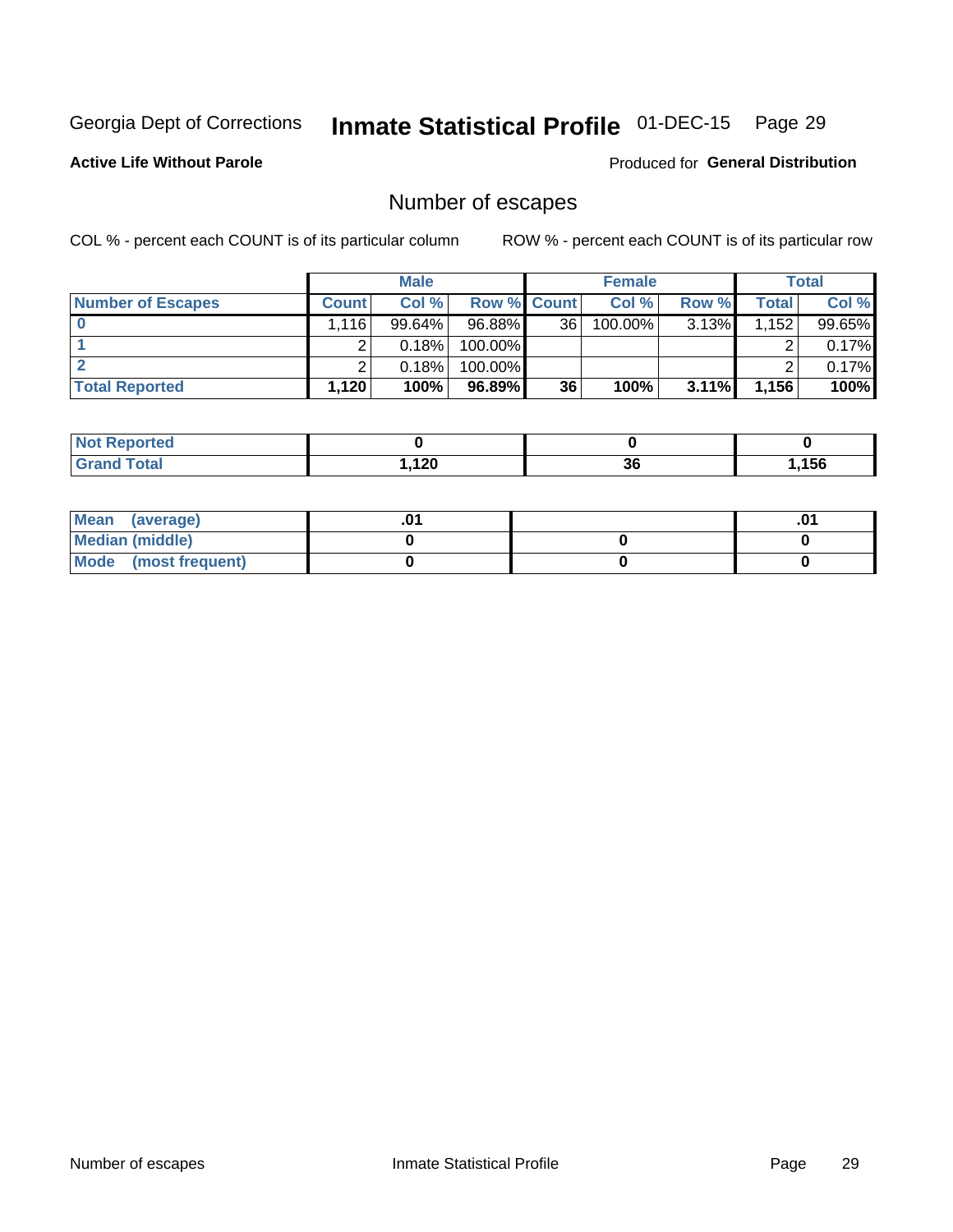## Inmate Statistical Profile 01-DEC-15 Page 29

**Active Life Without Parole** 

**Produced for General Distribution** 

## Number of escapes

COL % - percent each COUNT is of its particular column

|                          |              | <b>Male</b> |                    |    | <b>Female</b> |          |       | <b>Total</b> |
|--------------------------|--------------|-------------|--------------------|----|---------------|----------|-------|--------------|
| <b>Number of Escapes</b> | <b>Count</b> | Col%        | <b>Row % Count</b> |    | Col %         | Row %    | Total | Col %        |
|                          | .116         | 99.64%      | 96.88%             | 36 | $100.00\%$    | $3.13\%$ | 1,152 | 99.65%       |
|                          |              | 0.18%       | 100.00%            |    |               |          |       | 0.17%        |
|                          |              | 0.18%       | 100.00%            |    |               |          |       | 0.17%        |
| <b>Total Reported</b>    | $.120+$      | 100%        | 96.89%             | 36 | 100%          | $3.11\%$ | 1,156 | 100%         |

| <b>Not Reported</b> |      |    |      |
|---------------------|------|----|------|
| <b>Grand Total</b>  | ,120 | 36 | ,156 |

| Mean (average)       |  | י ש |
|----------------------|--|-----|
| Median (middle)      |  |     |
| Mode (most frequent) |  |     |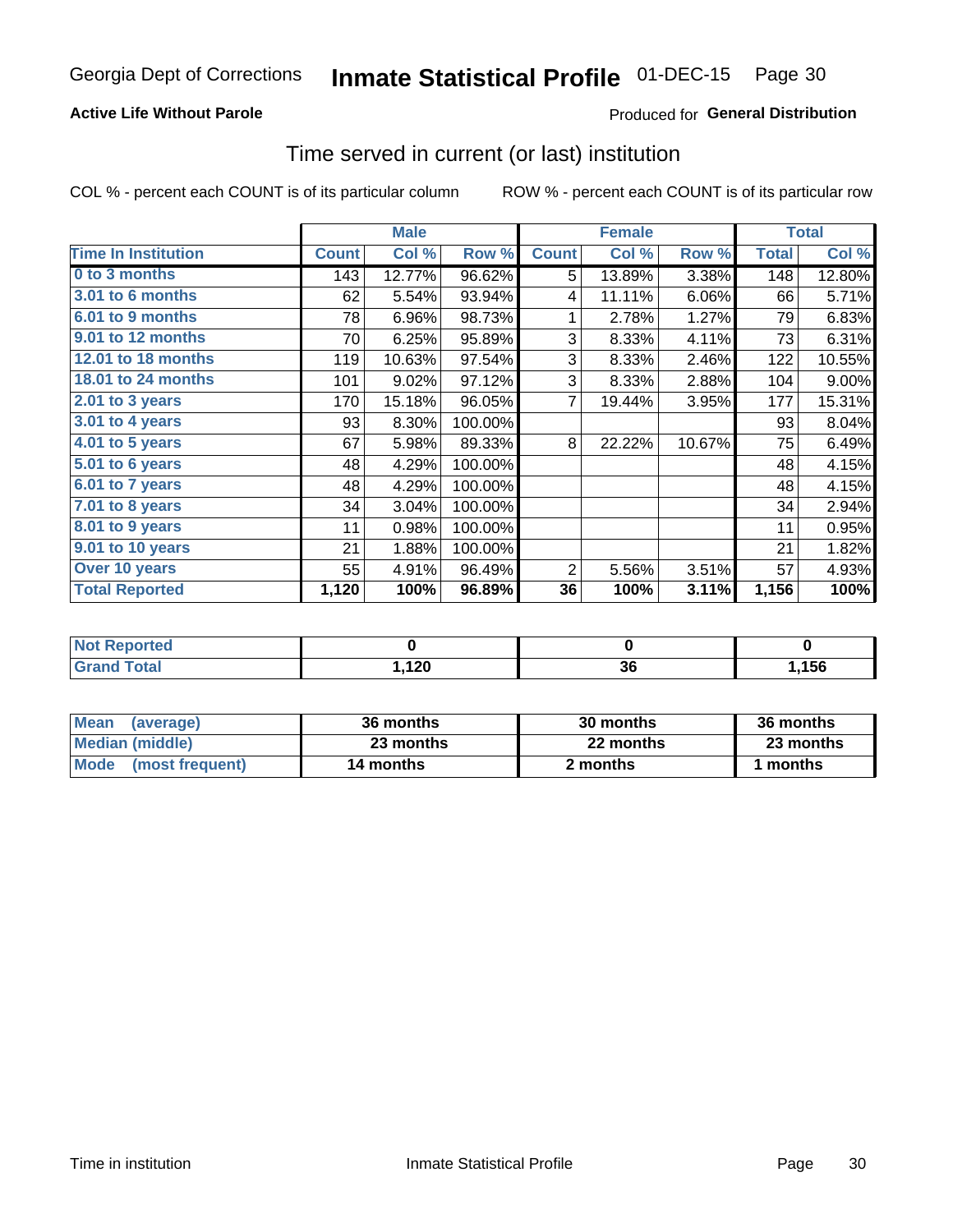## **Active Life Without Parole**

## Produced for General Distribution

## Time served in current (or last) institution

COL % - percent each COUNT is of its particular column

|                            |              | <b>Male</b> |         |              | <b>Female</b> |        |              | <b>Total</b> |
|----------------------------|--------------|-------------|---------|--------------|---------------|--------|--------------|--------------|
| <b>Time In Institution</b> | <b>Count</b> | Col %       | Row %   | <b>Count</b> | Col %         | Row %  | <b>Total</b> | Col %        |
| 0 to 3 months              | 143          | 12.77%      | 96.62%  | 5            | 13.89%        | 3.38%  | 148          | 12.80%       |
| 3.01 to 6 months           | 62           | 5.54%       | 93.94%  | 4            | 11.11%        | 6.06%  | 66           | 5.71%        |
| 6.01 to 9 months           | 78           | 6.96%       | 98.73%  | 1            | 2.78%         | 1.27%  | 79           | 6.83%        |
| 9.01 to 12 months          | 70           | 6.25%       | 95.89%  | 3            | 8.33%         | 4.11%  | 73           | 6.31%        |
| 12.01 to 18 months         | 119          | 10.63%      | 97.54%  | 3            | 8.33%         | 2.46%  | 122          | 10.55%       |
| <b>18.01 to 24 months</b>  | 101          | 9.02%       | 97.12%  | 3            | 8.33%         | 2.88%  | 104          | 9.00%        |
| 2.01 to 3 years            | 170          | 15.18%      | 96.05%  | 7            | 19.44%        | 3.95%  | 177          | 15.31%       |
| 3.01 to 4 years            | 93           | 8.30%       | 100.00% |              |               |        | 93           | 8.04%        |
| $4.01$ to 5 years          | 67           | 5.98%       | 89.33%  | 8            | 22.22%        | 10.67% | 75           | 6.49%        |
| 5.01 to 6 years            | 48           | 4.29%       | 100.00% |              |               |        | 48           | 4.15%        |
| 6.01 to 7 years            | 48           | 4.29%       | 100.00% |              |               |        | 48           | 4.15%        |
| $7.01$ to 8 years          | 34           | 3.04%       | 100.00% |              |               |        | 34           | 2.94%        |
| 8.01 to 9 years            | 11           | 0.98%       | 100.00% |              |               |        | 11           | 0.95%        |
| 9.01 to 10 years           | 21           | 1.88%       | 100.00% |              |               |        | 21           | 1.82%        |
| Over 10 years              | 55           | 4.91%       | 96.49%  | 2            | 5.56%         | 3.51%  | 57           | 4.93%        |
| <b>Total Reported</b>      | 1,120        | 100%        | 96.89%  | 36           | 100%          | 3.11%  | 1,156        | 100%         |

| <b>Not Reported</b> |       |    |      |
|---------------------|-------|----|------|
| <b>Total</b>        | 120   | ^^ | .156 |
| Grand               | 5.140 | ას |      |

| <b>Mean</b><br>(average) | 36 months | 30 months | 36 months |
|--------------------------|-----------|-----------|-----------|
| Median (middle)          | 23 months | 22 months | 23 months |
| Mode (most frequent)     | 14 months | 2 months  | ' months  |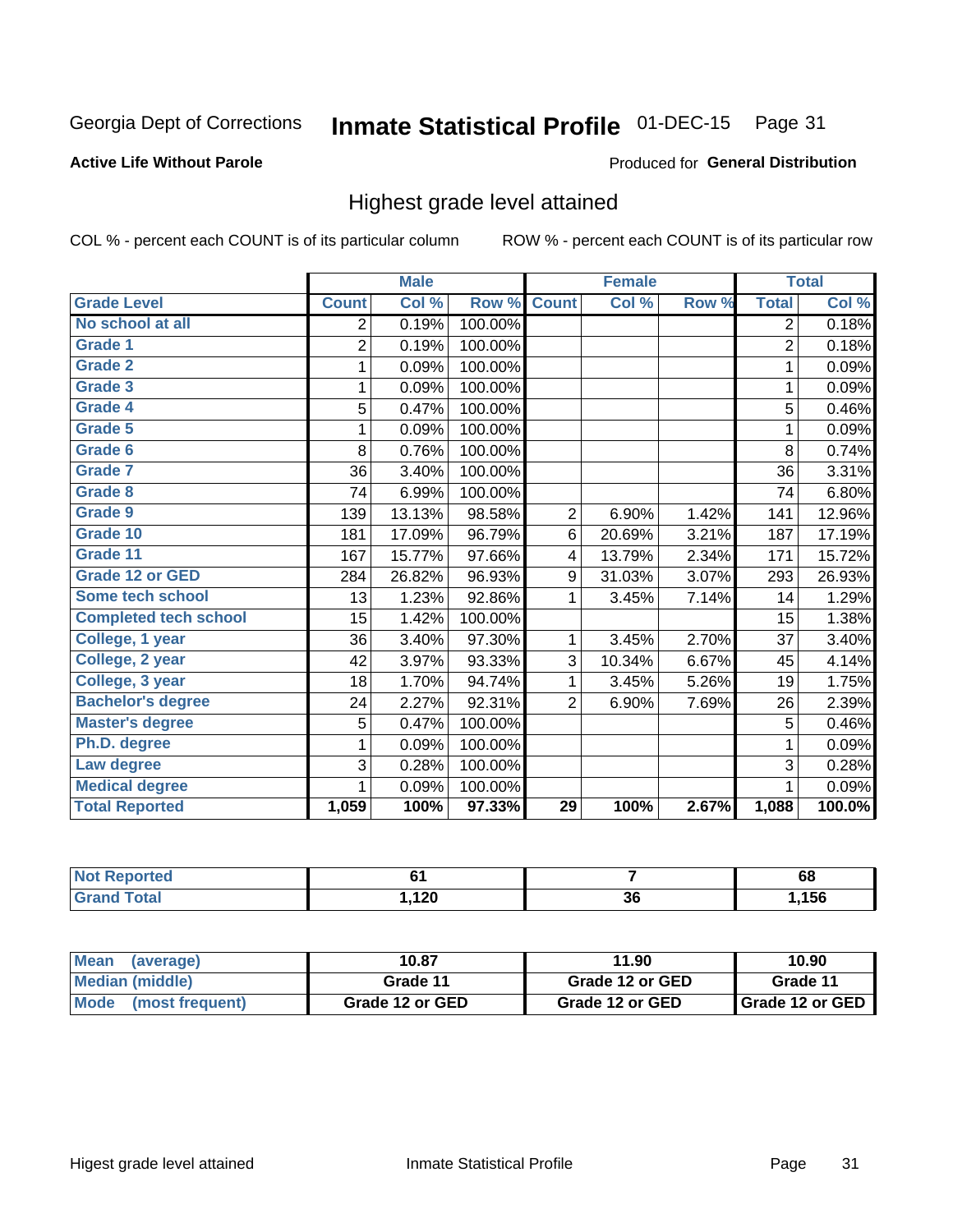#### **Inmate Statistical Profile 01-DEC-15** Page 31

## **Active Life Without Parole**

### Produced for General Distribution

## Highest grade level attained

COL % - percent each COUNT is of its particular column

|                              |                | <b>Male</b> |         |                         | <b>Female</b> |       |                | <b>Total</b> |
|------------------------------|----------------|-------------|---------|-------------------------|---------------|-------|----------------|--------------|
| <b>Grade Level</b>           | <b>Count</b>   | Col %       | Row %   | <b>Count</b>            | Col %         | Row % | <b>Total</b>   | Col %        |
| No school at all             | 2              | 0.19%       | 100.00% |                         |               |       | 2              | 0.18%        |
| Grade 1                      | $\overline{2}$ | 0.19%       | 100.00% |                         |               |       | $\overline{2}$ | 0.18%        |
| <b>Grade 2</b>               | 1              | 0.09%       | 100.00% |                         |               |       | 1              | 0.09%        |
| Grade 3                      | 1              | 0.09%       | 100.00% |                         |               |       | $\mathbf 1$    | 0.09%        |
| Grade 4                      | 5              | 0.47%       | 100.00% |                         |               |       | 5              | 0.46%        |
| Grade 5                      | 1              | 0.09%       | 100.00% |                         |               |       | 1              | 0.09%        |
| Grade 6                      | 8              | 0.76%       | 100.00% |                         |               |       | 8              | 0.74%        |
| <b>Grade 7</b>               | 36             | 3.40%       | 100.00% |                         |               |       | 36             | 3.31%        |
| Grade 8                      | 74             | 6.99%       | 100.00% |                         |               |       | 74             | 6.80%        |
| Grade 9                      | 139            | 13.13%      | 98.58%  | $\overline{2}$          | 6.90%         | 1.42% | 141            | 12.96%       |
| Grade 10                     | 181            | 17.09%      | 96.79%  | 6                       | 20.69%        | 3.21% | 187            | 17.19%       |
| Grade 11                     | 167            | 15.77%      | 97.66%  | $\overline{\mathbf{4}}$ | 13.79%        | 2.34% | 171            | 15.72%       |
| <b>Grade 12 or GED</b>       | 284            | 26.82%      | 96.93%  | 9                       | 31.03%        | 3.07% | 293            | 26.93%       |
| Some tech school             | 13             | 1.23%       | 92.86%  | 1                       | 3.45%         | 7.14% | 14             | 1.29%        |
| <b>Completed tech school</b> | 15             | 1.42%       | 100.00% |                         |               |       | 15             | 1.38%        |
| College, 1 year              | 36             | 3.40%       | 97.30%  | 1                       | 3.45%         | 2.70% | 37             | 3.40%        |
| College, 2 year              | 42             | 3.97%       | 93.33%  | 3                       | 10.34%        | 6.67% | 45             | 4.14%        |
| College, 3 year              | 18             | 1.70%       | 94.74%  | 1                       | 3.45%         | 5.26% | 19             | 1.75%        |
| <b>Bachelor's degree</b>     | 24             | $2.27\%$    | 92.31%  | $\overline{2}$          | 6.90%         | 7.69% | 26             | 2.39%        |
| <b>Master's degree</b>       | 5              | 0.47%       | 100.00% |                         |               |       | 5              | 0.46%        |
| Ph.D. degree                 | 1              | 0.09%       | 100.00% |                         |               |       | 1              | 0.09%        |
| Law degree                   | 3              | 0.28%       | 100.00% |                         |               |       | 3              | 0.28%        |
| <b>Medical degree</b>        | 1              | 0.09%       | 100.00% |                         |               |       | 1              | 0.09%        |
| <b>Total Reported</b>        | 1,059          | 100%        | 97.33%  | $\overline{29}$         | 100%          | 2.67% | 1,088          | 100.0%       |

| orted       | $\sim$     |          | 68   |
|-------------|------------|----------|------|
| <b>otal</b> | 120<br>14V | ^'<br>ახ | .156 |

| <b>Mean</b><br>(average)       | 10.87           | 11.90           | 10.90             |
|--------------------------------|-----------------|-----------------|-------------------|
| Median (middle)                | Grade 11        | Grade 12 or GED | Grade 11          |
| <b>Mode</b><br>(most frequent) | Grade 12 or GED | Grade 12 or GED | I Grade 12 or GED |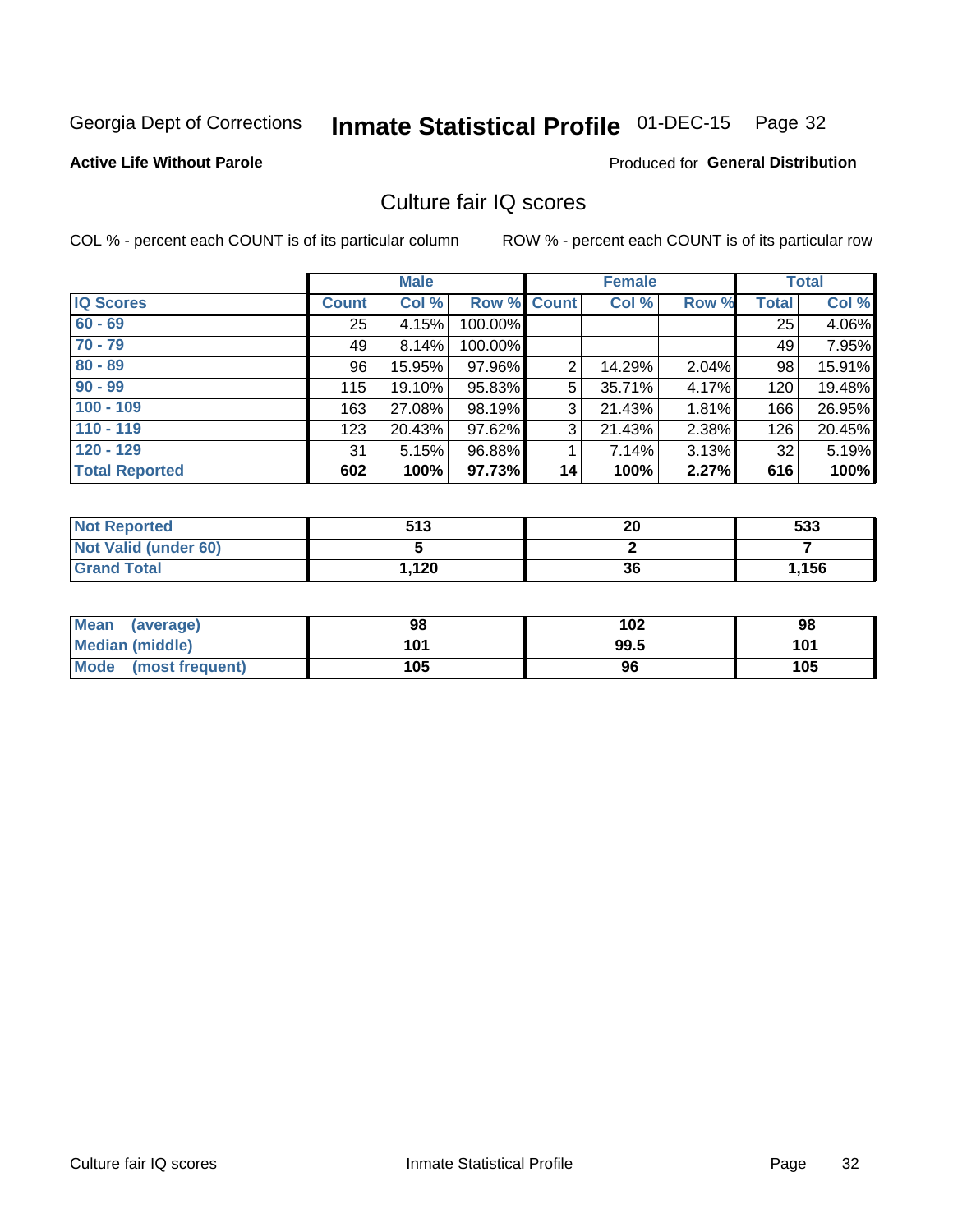## Inmate Statistical Profile 01-DEC-15 Page 32

#### **Active Life Without Parole**

## **Produced for General Distribution**

## Culture fair IQ scores

COL % - percent each COUNT is of its particular column

|                       |              | <b>Male</b> |             |                 | <b>Female</b> |       |              | <b>Total</b> |
|-----------------------|--------------|-------------|-------------|-----------------|---------------|-------|--------------|--------------|
| <b>IQ Scores</b>      | <b>Count</b> | Col %       | Row % Count |                 | Col %         | Row % | <b>Total</b> | Col %        |
| $60 - 69$             | 25           | 4.15%       | 100.00%     |                 |               |       | 25           | 4.06%        |
| $70 - 79$             | 49           | 8.14%       | 100.00%     |                 |               |       | 49           | 7.95%        |
| $80 - 89$             | 96           | 15.95%      | 97.96%      | 2               | 14.29%        | 2.04% | 98           | 15.91%       |
| $90 - 99$             | 115          | 19.10%      | 95.83%      | 5               | 35.71%        | 4.17% | 120          | 19.48%       |
| $100 - 109$           | 163          | 27.08%      | 98.19%      | 3               | 21.43%        | 1.81% | 166          | 26.95%       |
| $110 - 119$           | 123          | 20.43%      | 97.62%      | 3               | 21.43%        | 2.38% | 126          | 20.45%       |
| $120 - 129$           | 31           | 5.15%       | 96.88%      |                 | 7.14%         | 3.13% | 32           | 5.19%        |
| <b>Total Reported</b> | 602          | 100%        | 97.73%      | 14 <sub>1</sub> | 100%          | 2.27% | 616          | 100%         |

| <b>Not Reported</b>         | 513  | 20 | 533   |
|-----------------------------|------|----|-------|
| <b>Not Valid (under 60)</b> |      |    |       |
| <b>Grand Total</b>          | .120 | 36 | 1,156 |

| Mean (average)       | 98  | 102  | 98  |
|----------------------|-----|------|-----|
| Median (middle)      | 101 | 99.5 | 101 |
| Mode (most frequent) | 105 | 96   | 105 |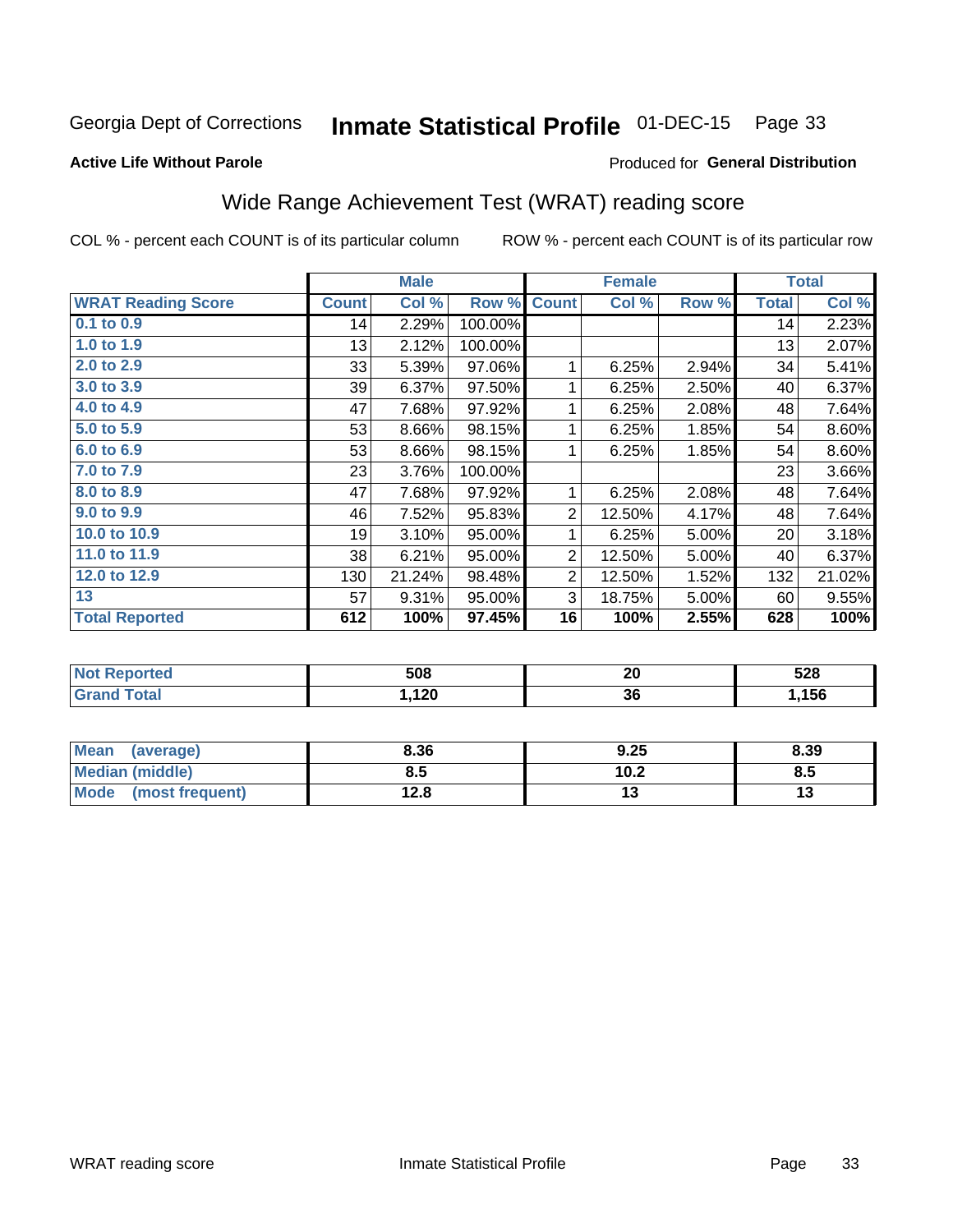#### **Inmate Statistical Profile 01-DEC-15** Page 33

#### **Active Life Without Parole**

### Produced for General Distribution

## Wide Range Achievement Test (WRAT) reading score

COL % - percent each COUNT is of its particular column

|                           |              | <b>Male</b> |         |                | <b>Female</b> |       |              | <b>Total</b> |
|---------------------------|--------------|-------------|---------|----------------|---------------|-------|--------------|--------------|
| <b>WRAT Reading Score</b> | <b>Count</b> | Col %       | Row %   | <b>Count</b>   | Col %         | Row % | <b>Total</b> | Col %        |
| 0.1 to 0.9                | 14           | 2.29%       | 100.00% |                |               |       | 14           | 2.23%        |
| 1.0 to 1.9                | 13           | 2.12%       | 100.00% |                |               |       | 13           | 2.07%        |
| 2.0 to 2.9                | 33           | 5.39%       | 97.06%  |                | 6.25%         | 2.94% | 34           | 5.41%        |
| 3.0 to 3.9                | 39           | 6.37%       | 97.50%  | 1              | 6.25%         | 2.50% | 40           | 6.37%        |
| 4.0 to 4.9                | 47           | 7.68%       | 97.92%  | 1              | 6.25%         | 2.08% | 48           | 7.64%        |
| 5.0 to 5.9                | 53           | 8.66%       | 98.15%  | 1              | 6.25%         | 1.85% | 54           | 8.60%        |
| 6.0 to 6.9                | 53           | 8.66%       | 98.15%  | 1              | 6.25%         | 1.85% | 54           | 8.60%        |
| 7.0 to 7.9                | 23           | 3.76%       | 100.00% |                |               |       | 23           | 3.66%        |
| 8.0 to 8.9                | 47           | 7.68%       | 97.92%  | 1              | 6.25%         | 2.08% | 48           | 7.64%        |
| 9.0 to 9.9                | 46           | 7.52%       | 95.83%  | $\overline{2}$ | 12.50%        | 4.17% | 48           | 7.64%        |
| 10.0 to 10.9              | 19           | 3.10%       | 95.00%  | 1              | 6.25%         | 5.00% | 20           | 3.18%        |
| 11.0 to 11.9              | 38           | 6.21%       | 95.00%  | 2              | 12.50%        | 5.00% | 40           | 6.37%        |
| 12.0 to 12.9              | 130          | 21.24%      | 98.48%  | $\overline{2}$ | 12.50%        | 1.52% | 132          | 21.02%       |
| 13                        | 57           | 9.31%       | 95.00%  | 3              | 18.75%        | 5.00% | 60           | 9.55%        |
| <b>Total Reported</b>     | 612          | 100%        | 97.45%  | 16             | 100%          | 2.55% | 628          | 100%         |

| <b>NOT</b><br>≺eportea | 508  | n,<br>ZU | 528  |
|------------------------|------|----------|------|
| 'otal                  | .120 | ^^<br>ახ | ,156 |

| Mean<br>(average)       | 8.36         | 9.25 | 8.39 |
|-------------------------|--------------|------|------|
| Median (middle)         | გ.ა          | 10.2 | ၓ.ͻ  |
| Mode<br>(most frequent) | 19 Q<br>14.O |      | 13   |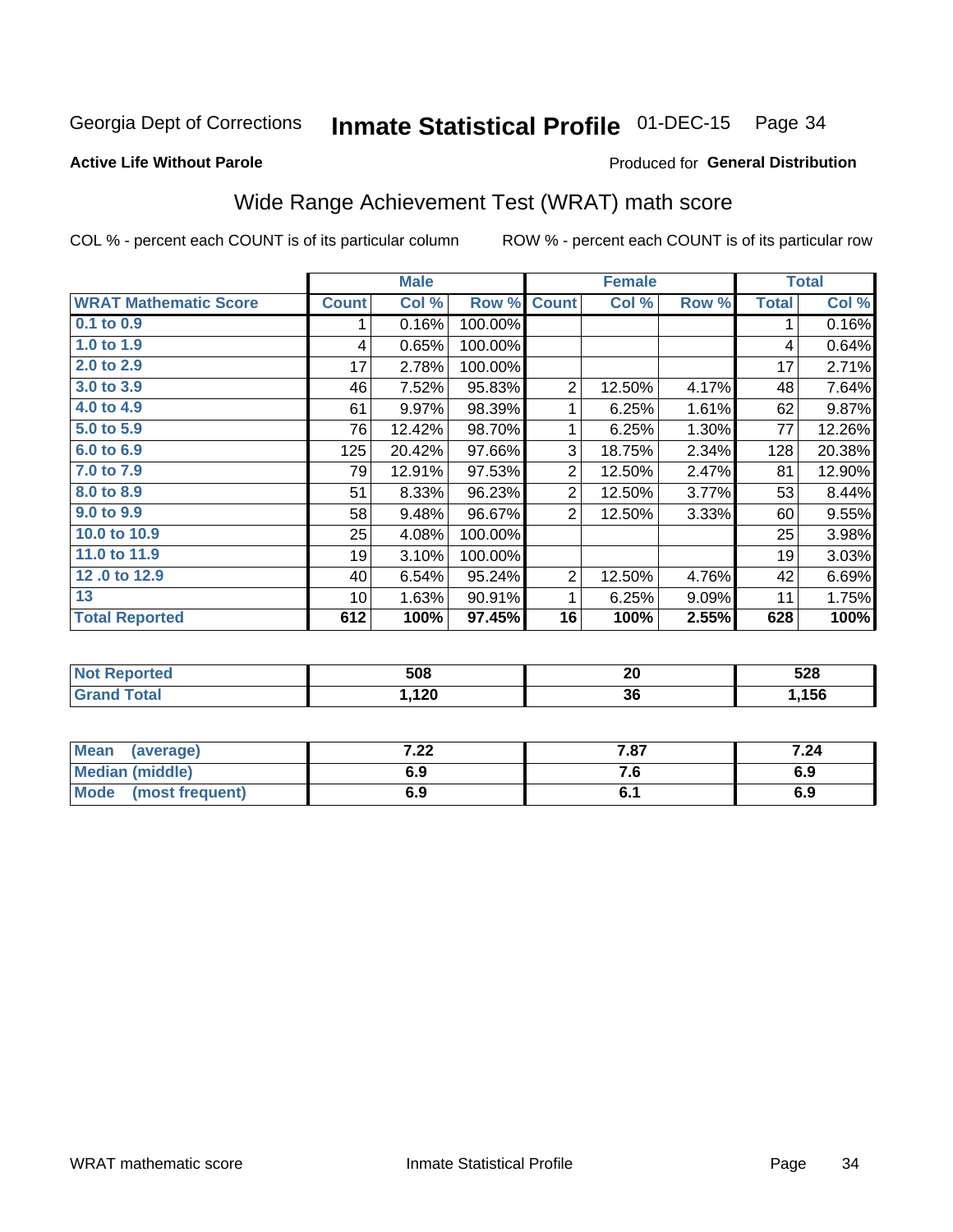#### **Inmate Statistical Profile 01-DEC-15** Page 34

### **Active Life Without Parole**

### Produced for General Distribution

## Wide Range Achievement Test (WRAT) math score

COL % - percent each COUNT is of its particular column

|                              |              | <b>Male</b> |         |                | <b>Female</b> |          |              | <b>Total</b> |
|------------------------------|--------------|-------------|---------|----------------|---------------|----------|--------------|--------------|
| <b>WRAT Mathematic Score</b> | <b>Count</b> | Col %       | Row %   | <b>Count</b>   | Col %         | Row %    | <b>Total</b> | Col %        |
| 0.1 to 0.9                   |              | 0.16%       | 100.00% |                |               |          | 1            | 0.16%        |
| 1.0 to 1.9                   | 4            | 0.65%       | 100.00% |                |               |          | 4            | 0.64%        |
| 2.0 to 2.9                   | 17           | 2.78%       | 100.00% |                |               |          | 17           | 2.71%        |
| 3.0 to 3.9                   | 46           | 7.52%       | 95.83%  | $\overline{2}$ | 12.50%        | 4.17%    | 48           | 7.64%        |
| 4.0 to 4.9                   | 61           | 9.97%       | 98.39%  | 1              | 6.25%         | 1.61%    | 62           | 9.87%        |
| 5.0 to 5.9                   | 76           | 12.42%      | 98.70%  | 1              | 6.25%         | $1.30\%$ | 77           | 12.26%       |
| 6.0 to 6.9                   | 125          | 20.42%      | 97.66%  | 3              | 18.75%        | 2.34%    | 128          | 20.38%       |
| 7.0 to 7.9                   | 79           | 12.91%      | 97.53%  | $\overline{2}$ | 12.50%        | 2.47%    | 81           | 12.90%       |
| 8.0 to 8.9                   | 51           | 8.33%       | 96.23%  | $\overline{2}$ | 12.50%        | 3.77%    | 53           | 8.44%        |
| 9.0 to 9.9                   | 58           | 9.48%       | 96.67%  | $\overline{2}$ | 12.50%        | 3.33%    | 60           | 9.55%        |
| 10.0 to 10.9                 | 25           | 4.08%       | 100.00% |                |               |          | 25           | 3.98%        |
| 11.0 to 11.9                 | 19           | 3.10%       | 100.00% |                |               |          | 19           | 3.03%        |
| 12.0 to 12.9                 | 40           | 6.54%       | 95.24%  | $\overline{2}$ | 12.50%        | 4.76%    | 42           | 6.69%        |
| 13                           | 10           | 1.63%       | 90.91%  | 1              | 6.25%         | 9.09%    | 11           | 1.75%        |
| <b>Total Reported</b>        | 612          | 100%        | 97.45%  | 16             | 100%          | 2.55%    | 628          | 100%         |

| <b>NOT</b><br>≺eportea | 508  | n,<br>ZU | 528  |
|------------------------|------|----------|------|
| 'otal                  | .120 | ^^<br>ახ | ,156 |

| Mean<br>(average)       | ר ה<br>$\cdot$ 22 $\cdot$ | 7.87 | 7.24 |
|-------------------------|---------------------------|------|------|
| <b>Median (middle)</b>  | 6.9                       | . ט  | 6.9  |
| Mode<br>(most frequent) | 6.9                       | υ. ι | 6.9  |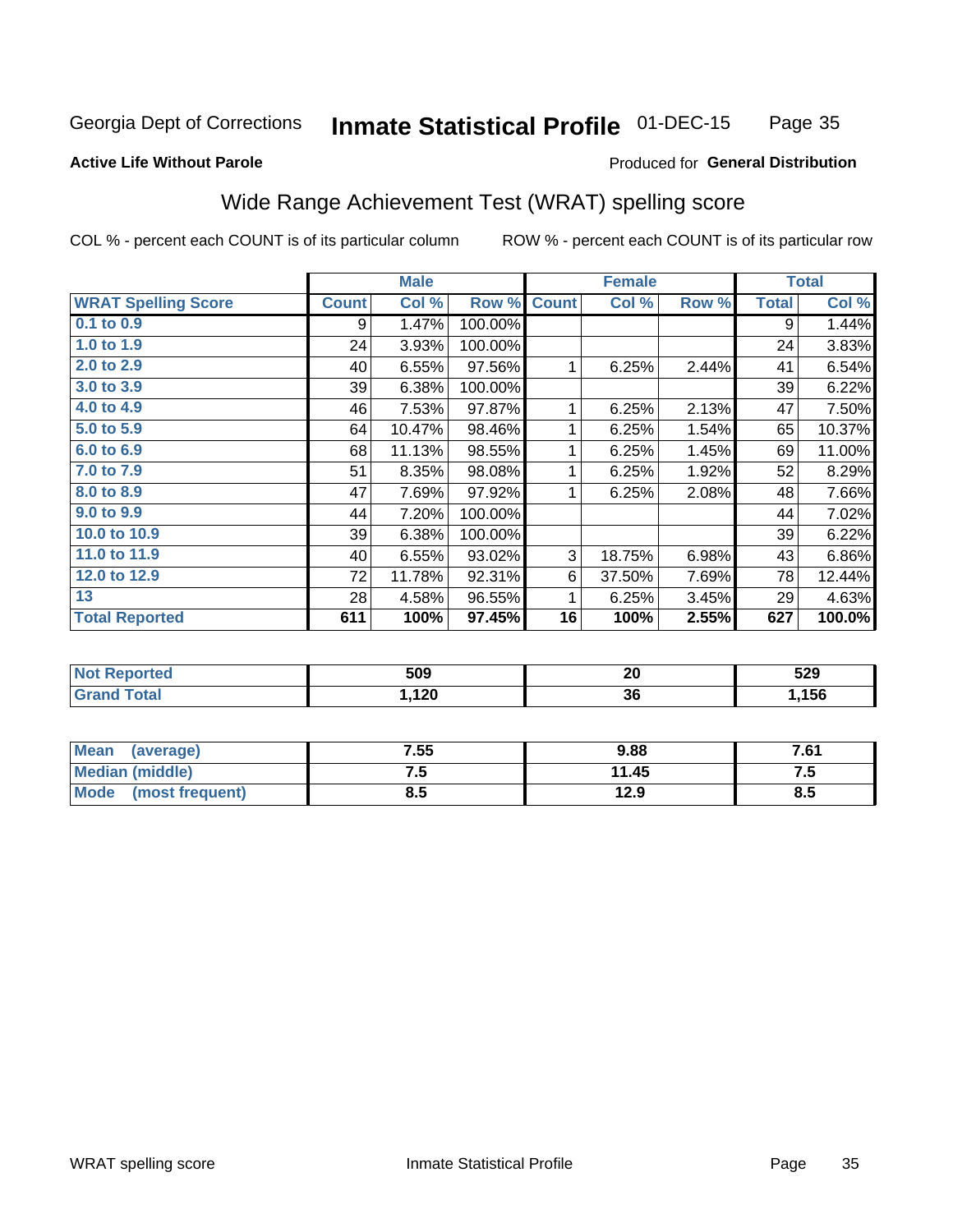#### **Inmate Statistical Profile 01-DEC-15** Page 35

#### **Active Life Without Parole**

### Produced for General Distribution

## Wide Range Achievement Test (WRAT) spelling score

COL % - percent each COUNT is of its particular column

|                            |              | <b>Male</b> |         |              | <b>Female</b> |       |              | <b>Total</b> |
|----------------------------|--------------|-------------|---------|--------------|---------------|-------|--------------|--------------|
| <b>WRAT Spelling Score</b> | <b>Count</b> | Col %       | Row %   | <b>Count</b> | Col %         | Row % | <b>Total</b> | Col %        |
| $0.1$ to $0.9$             | 9            | 1.47%       | 100.00% |              |               |       | 9            | 1.44%        |
| 1.0 to 1.9                 | 24           | 3.93%       | 100.00% |              |               |       | 24           | 3.83%        |
| 2.0 to 2.9                 | 40           | 6.55%       | 97.56%  | 1            | 6.25%         | 2.44% | 41           | 6.54%        |
| 3.0 to 3.9                 | 39           | 6.38%       | 100.00% |              |               |       | 39           | 6.22%        |
| 4.0 to 4.9                 | 46           | 7.53%       | 97.87%  | 1            | 6.25%         | 2.13% | 47           | 7.50%        |
| 5.0 to 5.9                 | 64           | 10.47%      | 98.46%  | 1            | 6.25%         | 1.54% | 65           | 10.37%       |
| 6.0 to 6.9                 | 68           | 11.13%      | 98.55%  | 1            | 6.25%         | 1.45% | 69           | 11.00%       |
| 7.0 to 7.9                 | 51           | 8.35%       | 98.08%  | 1            | 6.25%         | 1.92% | 52           | 8.29%        |
| 8.0 to 8.9                 | 47           | 7.69%       | 97.92%  | 1            | 6.25%         | 2.08% | 48           | 7.66%        |
| 9.0 to 9.9                 | 44           | 7.20%       | 100.00% |              |               |       | 44           | 7.02%        |
| 10.0 to 10.9               | 39           | 6.38%       | 100.00% |              |               |       | 39           | 6.22%        |
| 11.0 to 11.9               | 40           | 6.55%       | 93.02%  | 3            | 18.75%        | 6.98% | 43           | 6.86%        |
| 12.0 to 12.9               | 72           | 11.78%      | 92.31%  | 6            | 37.50%        | 7.69% | 78           | 12.44%       |
| 13                         | 28           | 4.58%       | 96.55%  | 1            | 6.25%         | 3.45% | 29           | 4.63%        |
| <b>Total Reported</b>      | 611          | 100%        | 97.45%  | 16           | 100%          | 2.55% | 627          | 100.0%       |
|                            |              |             |         |              |               |       |              |              |

| <b>Not Reported</b> | 509   | n0<br>Zu | 529   |
|---------------------|-------|----------|-------|
| Total<br>'Grand     | 1,120 | 36       | .156, |

| Mean (average)         | 7.55 | 9.88  | 7.61 |
|------------------------|------|-------|------|
| <b>Median (middle)</b> | ن -  | 11.45 | ن. ا |
| Mode (most frequent)   | 8.5  | 12.9  | 8.5  |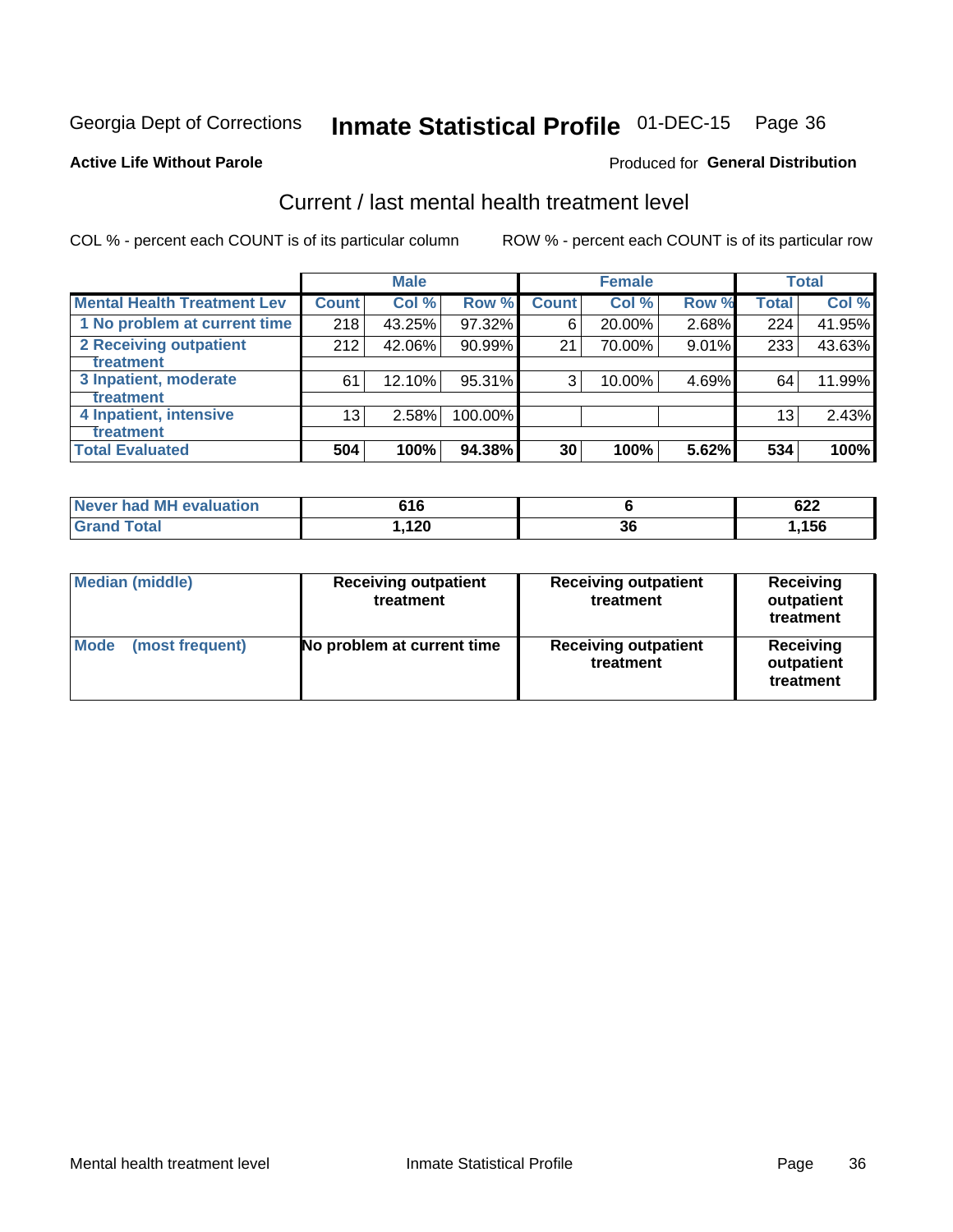## Inmate Statistical Profile 01-DEC-15 Page 36

#### **Active Life Without Parole**

### **Produced for General Distribution**

## Current / last mental health treatment level

COL % - percent each COUNT is of its particular column

|                                    |              | <b>Male</b> |         |              | <b>Female</b> |       |                 | <b>Total</b> |
|------------------------------------|--------------|-------------|---------|--------------|---------------|-------|-----------------|--------------|
| <b>Mental Health Treatment Lev</b> | <b>Count</b> | Col %       | Row %   | <b>Count</b> | Col %         | Row % | Total           | Col %        |
| 1 No problem at current time       | 218          | 43.25%      | 97.32%  | 6            | 20.00%        | 2.68% | 224             | 41.95%       |
| 2 Receiving outpatient             | 212          | 42.06%      | 90.99%  | 21           | 70.00%        | 9.01% | 233             | 43.63%       |
| <b>Treatment</b>                   |              |             |         |              |               |       |                 |              |
| 3 Inpatient, moderate              | 61           | 12.10%      | 95.31%  | 3            | 10.00%        | 4.69% | 64              | 11.99%       |
| <b>Treatment</b>                   |              |             |         |              |               |       |                 |              |
| 4 Inpatient, intensive             | 13           | 2.58%       | 100.00% |              |               |       | 13 <sub>1</sub> | 2.43%        |
| Treatment                          |              |             |         |              |               |       |                 |              |
| <b>Total Evaluated</b>             | 504          | 100%        | 94.38%  | 30           | 100%          | 5.62% | 534             | 100%         |

| Never had MH evaluation | 616   |              | cos<br>0ZZ |
|-------------------------|-------|--------------|------------|
| Total                   | 1,120 | $\sim$<br>ათ | ,156       |

| <b>Median (middle)</b>         | <b>Receiving outpatient</b><br>treatment | <b>Receiving outpatient</b><br>treatment | <b>Receiving</b><br>outpatient<br>treatment |
|--------------------------------|------------------------------------------|------------------------------------------|---------------------------------------------|
| <b>Mode</b><br>(most frequent) | No problem at current time               | <b>Receiving outpatient</b><br>treatment | <b>Receiving</b><br>outpatient<br>treatment |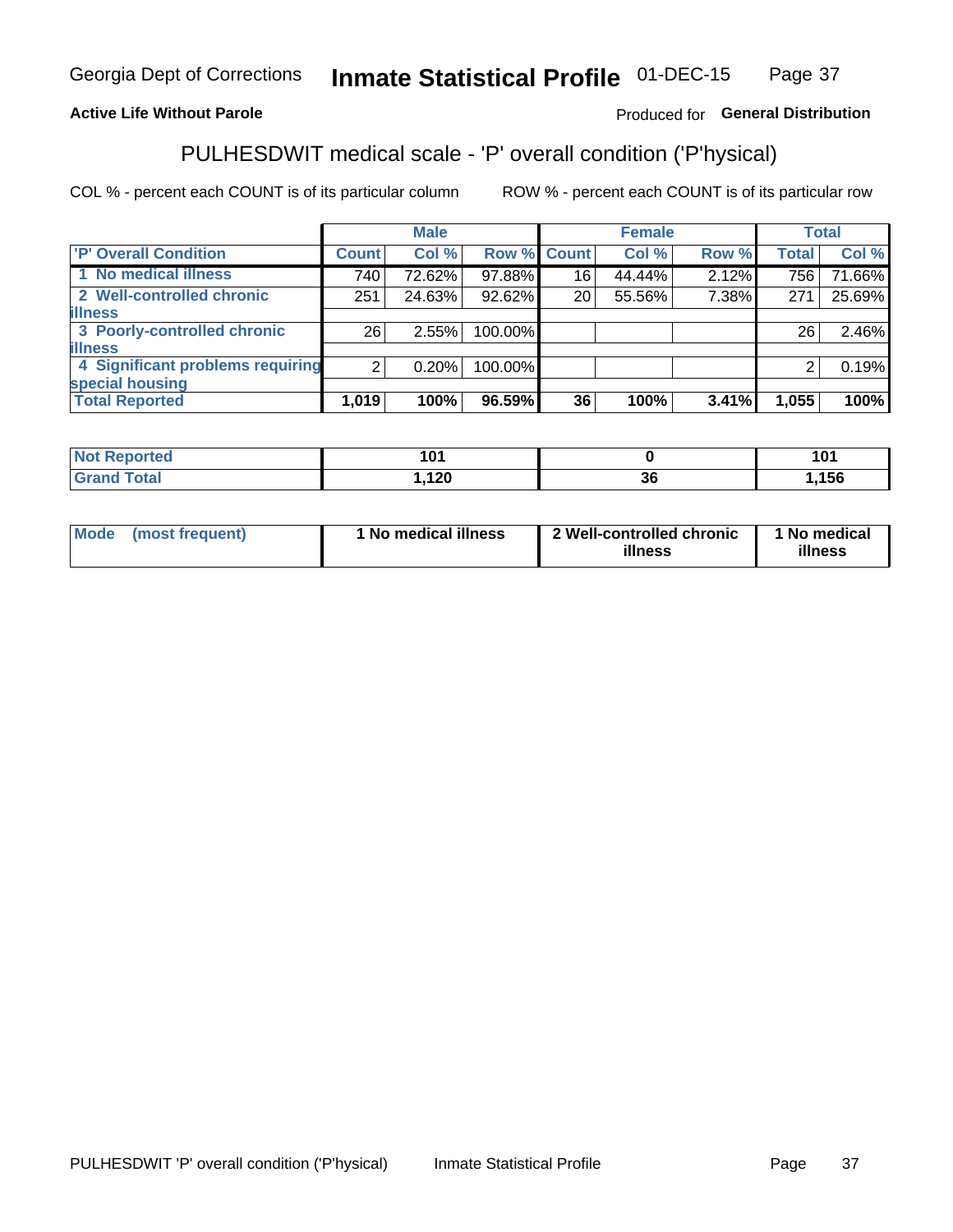#### Inmate Statistical Profile 01-DEC-15 Page 37

## **Active Life Without Parole**

## Produced for General Distribution

## PULHESDWIT medical scale - 'P' overall condition ('P'hysical)

COL % - percent each COUNT is of its particular column

|                                  |                | <b>Male</b> |         |                 | <b>Female</b> |       |              | <b>Total</b> |
|----------------------------------|----------------|-------------|---------|-----------------|---------------|-------|--------------|--------------|
| 'P' Overall Condition            | Count l        | Col %       |         | Row % Count     | Col %         | Row % | <b>Total</b> | Col %        |
| 1 No medical illness             | 740            | 72.62%      | 97.88%  | 16              | 44.44%        | 2.12% | 756          | 71.66%       |
| 2 Well-controlled chronic        | 251            | 24.63%      | 92.62%  | 20 <sub>1</sub> | 55.56%        | 7.38% | 271          | 25.69%       |
| <b>lillness</b>                  |                |             |         |                 |               |       |              |              |
| 3 Poorly-controlled chronic      | 26             | 2.55%       | 100.00% |                 |               |       | 26           | 2.46%        |
| <b>illness</b>                   |                |             |         |                 |               |       |              |              |
| 4 Significant problems requiring | 2 <sub>1</sub> | 0.20%       | 100.00% |                 |               |       | 2            | 0.19%        |
| special housing                  |                |             |         |                 |               |       |              |              |
| <b>Total Reported</b>            | 1,019          | 100%        | 96.59%  | 36              | 100%          | 3.41% | 1,055        | 100%         |

| .      | . .         |     | $\sim$ $\sim$ $\sim$<br>w |
|--------|-------------|-----|---------------------------|
| ______ | . 2 v<br>__ | -JU | <b>156</b>                |

| <b>Mode</b> | (most frequent) | 1 No medical illness | 2 Well-controlled chronic<br>illness | 1 No medical<br>illness |
|-------------|-----------------|----------------------|--------------------------------------|-------------------------|
|-------------|-----------------|----------------------|--------------------------------------|-------------------------|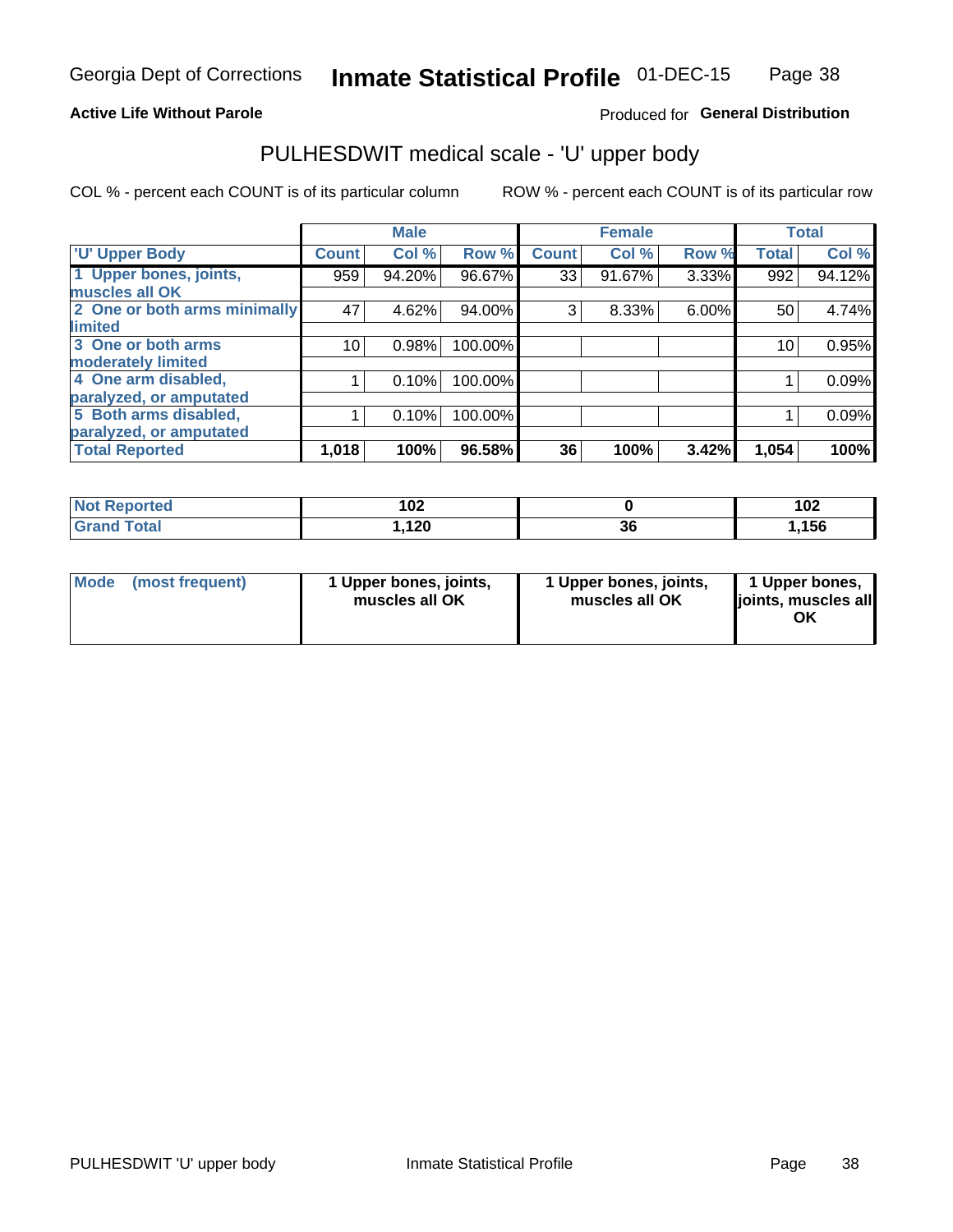## **Active Life Without Parole**

## Produced for General Distribution

## PULHESDWIT medical scale - 'U' upper body

COL % - percent each COUNT is of its particular column

|                              |               | <b>Male</b> |         |              | <b>Female</b> |       |              | <b>Total</b> |
|------------------------------|---------------|-------------|---------|--------------|---------------|-------|--------------|--------------|
| <b>U' Upper Body</b>         | <b>Count!</b> | Col %       | Row %   | <b>Count</b> | Col %         | Row % | <b>Total</b> | Col %        |
| 1 Upper bones, joints,       | 959           | 94.20%      | 96.67%  | 33           | 91.67%        | 3.33% | 992          | 94.12%       |
| muscles all OK               |               |             |         |              |               |       |              |              |
| 2 One or both arms minimally | 47            | 4.62%       | 94.00%  | 3            | 8.33%         | 6.00% | 50           | 4.74%        |
| limited                      |               |             |         |              |               |       |              |              |
| 3 One or both arms           | 10            | 0.98%       | 100.00% |              |               |       | 10           | 0.95%        |
| <b>moderately limited</b>    |               |             |         |              |               |       |              |              |
| 4 One arm disabled,          |               | 0.10%       | 100.00% |              |               |       |              | 0.09%        |
| paralyzed, or amputated      |               |             |         |              |               |       |              |              |
| 5 Both arms disabled,        |               | 0.10%       | 100.00% |              |               |       |              | 0.09%        |
| paralyzed, or amputated      |               |             |         |              |               |       |              |              |
| <b>Total Reported</b>        | 1,018         | 100%        | 96.58%  | 36           | 100%          | 3.42% | 1,054        | 100%         |

| <b>Not Reported</b> | מחו<br>I VZ |          | 102 |
|---------------------|-------------|----------|-----|
| <b>Grand Total</b>  | 1,120       | ^^<br>ათ | 156 |

|  | Mode (most frequent) | 1 Upper bones, joints,<br>muscles all OK | 1 Upper bones, joints,<br>muscles all OK | 1 Upper bones,<br>ljoints, muscles all<br>ΟK |
|--|----------------------|------------------------------------------|------------------------------------------|----------------------------------------------|
|--|----------------------|------------------------------------------|------------------------------------------|----------------------------------------------|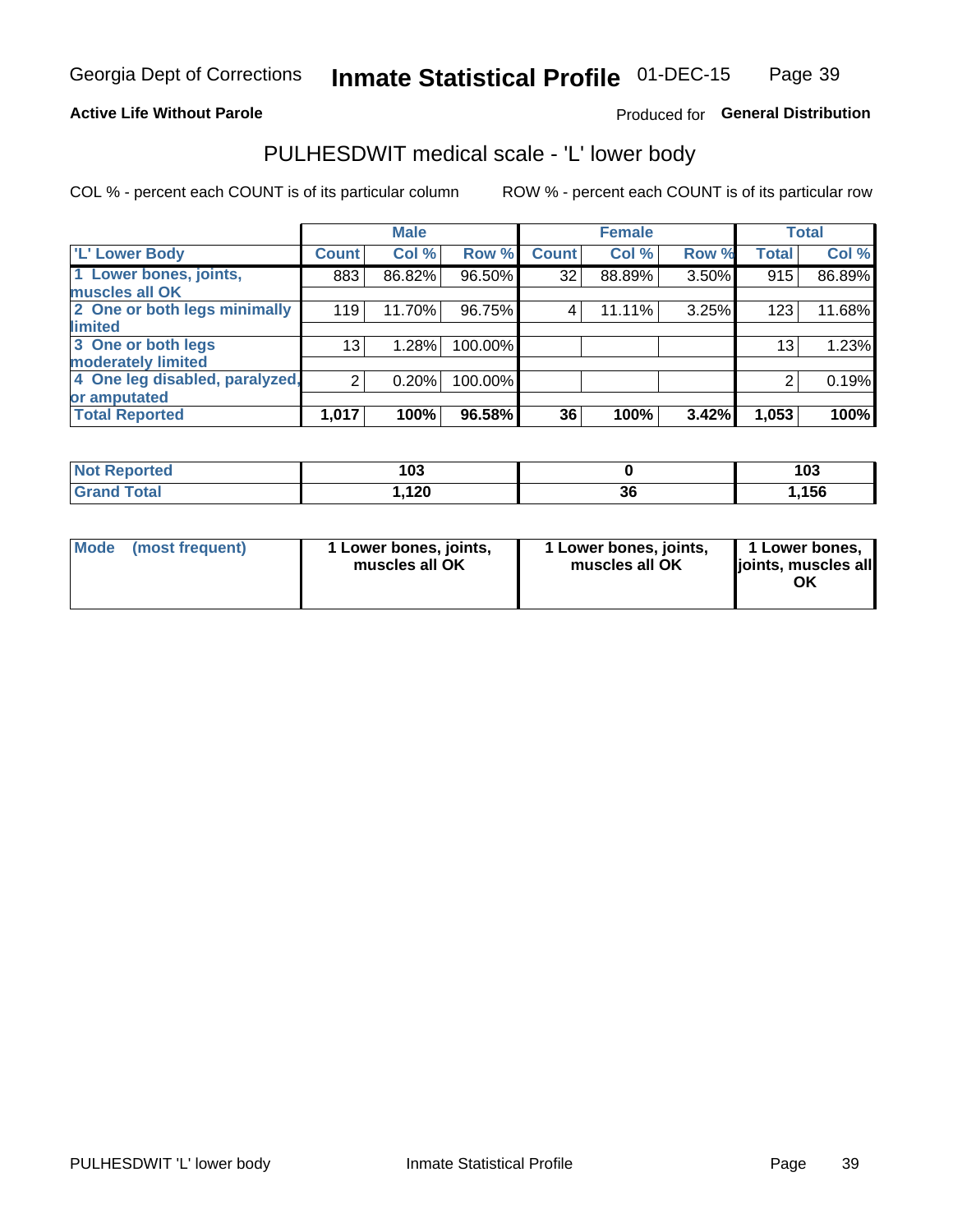## **Active Life Without Parole**

## Produced for General Distribution

## PULHESDWIT medical scale - 'L' lower body

COL % - percent each COUNT is of its particular column

|                                |              | <b>Male</b> |         |              | <b>Female</b> |       |                 | <b>Total</b> |
|--------------------------------|--------------|-------------|---------|--------------|---------------|-------|-----------------|--------------|
| 'L' Lower Body                 | <b>Count</b> | Col %       | Row %   | <b>Count</b> | Col %         | Row % | <b>Total</b>    | Col %        |
| 1 Lower bones, joints,         | 883          | 86.82%      | 96.50%  | 32           | 88.89%        | 3.50% | 915             | 86.89%       |
| muscles all OK                 |              |             |         |              |               |       |                 |              |
| 2 One or both legs minimally   | 119          | 11.70%      | 96.75%  | 4            | 11.11%        | 3.25% | 123             | 11.68%       |
| limited                        |              |             |         |              |               |       |                 |              |
| 3 One or both legs             | 13           | 1.28%       | 100.00% |              |               |       | 13 <sub>1</sub> | 1.23%        |
| moderately limited             |              |             |         |              |               |       |                 |              |
| 4 One leg disabled, paralyzed, | 2            | 0.20%       | 100.00% |              |               |       | 2               | 0.19%        |
| or amputated                   |              |             |         |              |               |       |                 |              |
| <b>Total Reported</b>          | 1,017        | 100%        | 96.58%  | 36           | 100%          | 3.42% | 1,053           | 100%         |

| <b>Not Reported</b> | 103  |          | 103  |
|---------------------|------|----------|------|
| <b>Grand Total</b>  | ,120 | ~~<br>ად | ,156 |

| Mode | (most frequent) | 1 Lower bones, joints,<br>muscles all OK | 1 Lower bones, joints,<br>muscles all OK | 1 Lower bones,<br>ljoints, muscles all<br>ΟK |
|------|-----------------|------------------------------------------|------------------------------------------|----------------------------------------------|
|------|-----------------|------------------------------------------|------------------------------------------|----------------------------------------------|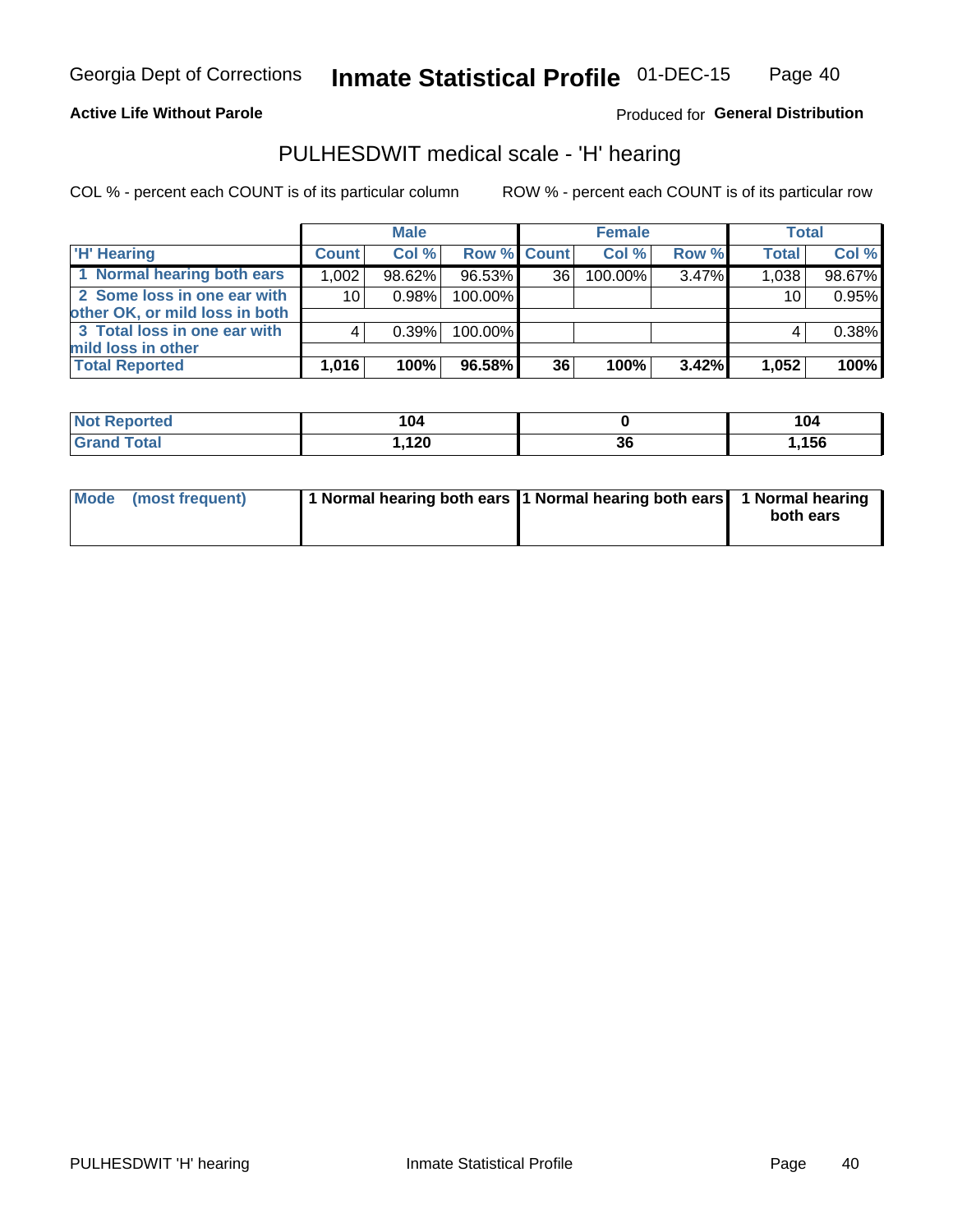## **Active Life Without Parole**

Produced for General Distribution

## PULHESDWIT medical scale - 'H' hearing

COL % - percent each COUNT is of its particular column

|                                                               |                 | <b>Male</b> |             |    | <b>Female</b> |       | <b>Total</b> |        |
|---------------------------------------------------------------|-----------------|-------------|-------------|----|---------------|-------|--------------|--------|
| <b>H'</b> Hearing                                             | <b>Count</b>    | Col %       | Row % Count |    | Col%          | Row % | <b>Total</b> | Col %  |
| 1 Normal hearing both ears                                    | 1,002           | 98.62%      | 96.53%      | 36 | 100.00%       | 3.47% | 1,038        | 98.67% |
| 2 Some loss in one ear with<br>other OK, or mild loss in both | 10 <sup>1</sup> | 0.98%       | 100.00%     |    |               |       | 10           | 0.95%  |
| 3 Total loss in one ear with<br>mild loss in other            |                 | 0.39%       | 100.00%     |    |               |       |              | 0.38%  |
| <b>Total Reported</b>                                         | 1,016           | 100%        | 96.58%      | 36 | 100%          | 3.42% | 1,052        | 100%   |

| Reported<br><b>Not</b> | 104            |    | 104<br>___ |
|------------------------|----------------|----|------------|
| <b>Total</b>           | ィクハ<br>I, I ŁU | 36 | .156،      |

| Mode (most frequent) | 1 Normal hearing both ears 1 Normal hearing both ears 1 Normal hearing |           |
|----------------------|------------------------------------------------------------------------|-----------|
|                      |                                                                        | both ears |
|                      |                                                                        |           |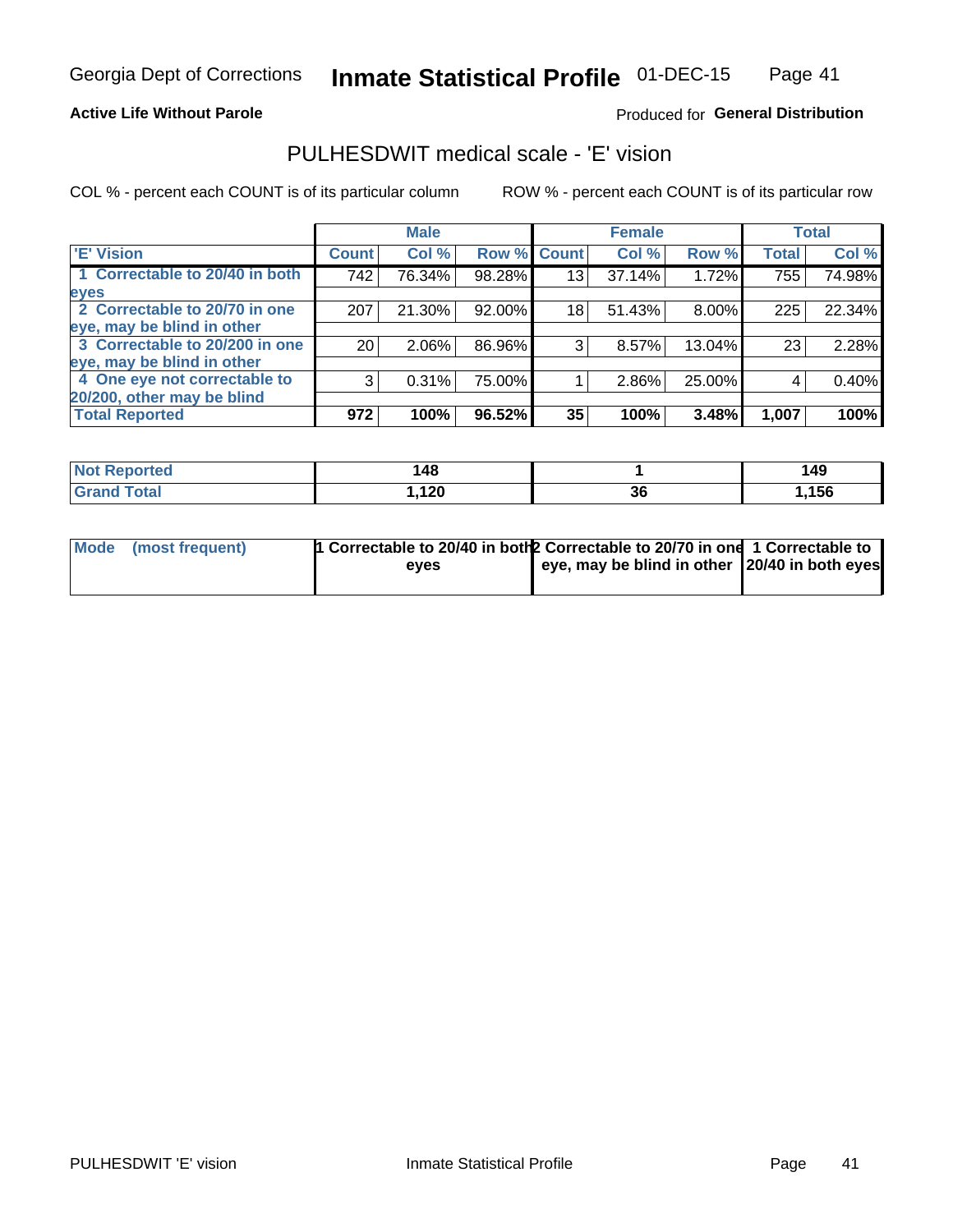## **Active Life Without Parole**

## Produced for General Distribution

## PULHESDWIT medical scale - 'E' vision

COL % - percent each COUNT is of its particular column

|                                |                 | <b>Male</b> |        |                 | <b>Female</b> |          |              | <b>Total</b> |
|--------------------------------|-----------------|-------------|--------|-----------------|---------------|----------|--------------|--------------|
| <b>E' Vision</b>               | <b>Count</b>    | Col %       | Row %  | <b>Count</b>    | Col %         | Row %    | <b>Total</b> | Col %        |
| 1 Correctable to 20/40 in both | 742             | 76.34%      | 98.28% | 13 <sub>1</sub> | 37.14%        | 1.72%    | 755          | 74.98%       |
| eyes                           |                 |             |        |                 |               |          |              |              |
| 2 Correctable to 20/70 in one  | 207             | 21.30%      | 92.00% | 18              | 51.43%        | $8.00\%$ | 225          | 22.34%       |
| eye, may be blind in other     |                 |             |        |                 |               |          |              |              |
| 3 Correctable to 20/200 in one | 20 <sub>1</sub> | $2.06\%$    | 86.96% | 3               | 8.57%         | 13.04%   | 23           | 2.28%        |
| eye, may be blind in other     |                 |             |        |                 |               |          |              |              |
| 4 One eye not correctable to   | 3               | 0.31%       | 75.00% |                 | 2.86%         | 25.00%   | 4            | 0.40%        |
| 20/200, other may be blind     |                 |             |        |                 |               |          |              |              |
| <b>Total Reported</b>          | 972             | 100%        | 96.52% | 35              | 100%          | 3.48%    | 1,007        | 100%         |

| <b>Not Reported</b>          | 48،   |                             | 149 |
|------------------------------|-------|-----------------------------|-----|
| <b>Total</b><br><b>Grand</b> | 1,120 | $\ddot{\phantom{0}}$<br>.st | 156 |

| Mode (most frequent) | 1 Correctable to 20/40 in both 2 Correctable to 20/70 in one 1 Correctable to<br>eves | eye, may be blind in other 20/40 in both eyes |  |
|----------------------|---------------------------------------------------------------------------------------|-----------------------------------------------|--|
|                      |                                                                                       |                                               |  |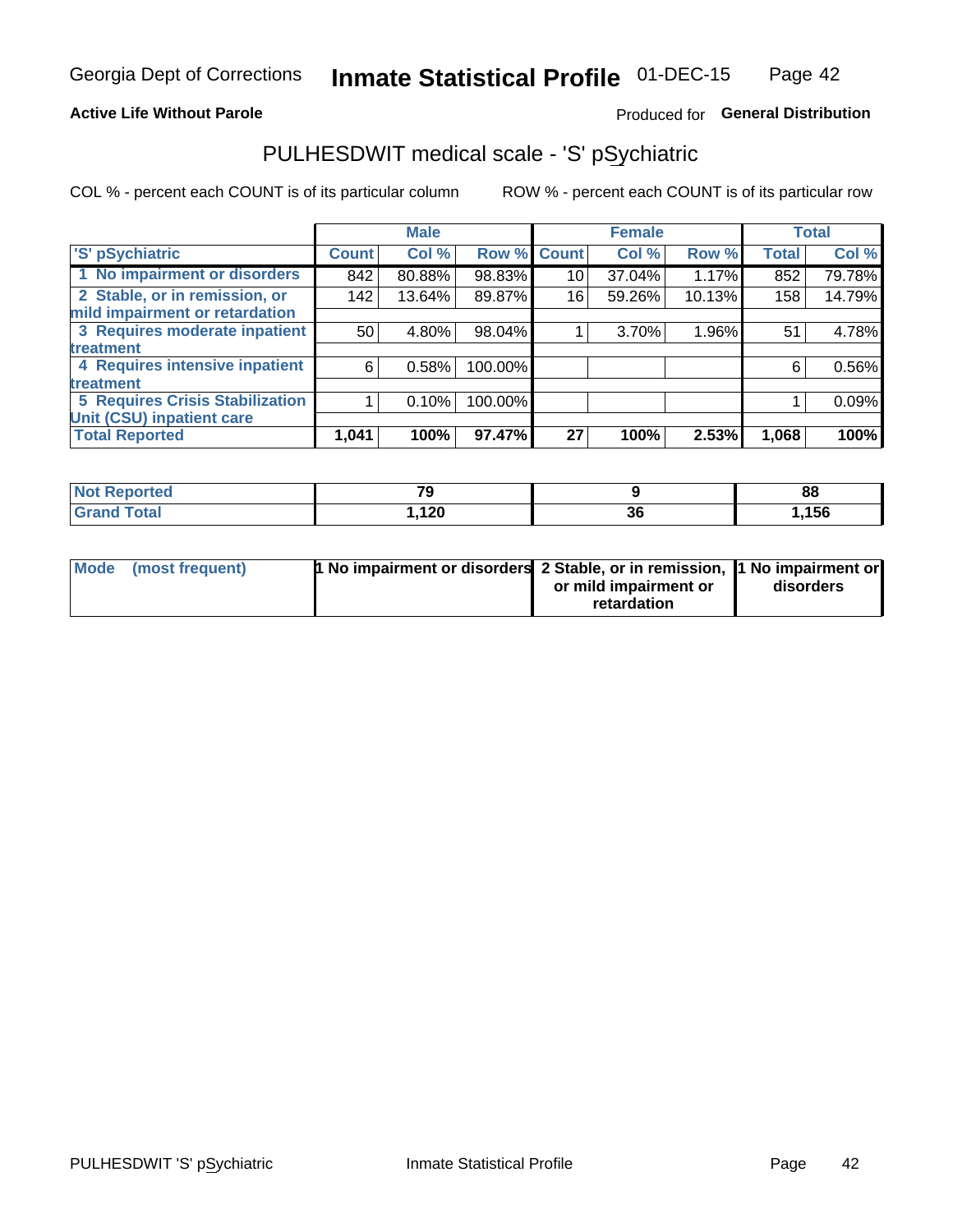## **Active Life Without Parole**

## Produced for General Distribution

## PULHESDWIT medical scale - 'S' pSychiatric

COL % - percent each COUNT is of its particular column

|                                        |              | <b>Male</b> |         |             | <b>Female</b> |        |              | <b>Total</b> |
|----------------------------------------|--------------|-------------|---------|-------------|---------------|--------|--------------|--------------|
| 'S' pSychiatric                        | <b>Count</b> | Col %       |         | Row % Count | Col %         | Row %  | <b>Total</b> | Col %        |
| 1 No impairment or disorders           | 842          | 80.88%      | 98.83%  | 10          | 37.04%        | 1.17%  | 852          | 79.78%       |
| 2 Stable, or in remission, or          | 142          | 13.64%      | 89.87%  | 16          | 59.26%        | 10.13% | 158          | 14.79%       |
| mild impairment or retardation         |              |             |         |             |               |        |              |              |
| 3 Requires moderate inpatient          | 50           | 4.80%       | 98.04%  |             | 3.70%         | 1.96%  | 51           | 4.78%        |
| treatment                              |              |             |         |             |               |        |              |              |
| 4 Requires intensive inpatient         | 6            | 0.58%       | 100.00% |             |               |        | 6            | 0.56%        |
| treatment                              |              |             |         |             |               |        |              |              |
| <b>5 Requires Crisis Stabilization</b> |              | 0.10%       | 100.00% |             |               |        |              | 0.09%        |
| Unit (CSU) inpatient care              |              |             |         |             |               |        |              |              |
| <b>Total Reported</b>                  | 1,041        | 100%        | 97.47%  | 27          | 100%          | 2.53%  | 1,068        | 100%         |

| <b>Not Reported</b>    | $\overline{\phantom{a}}$ |          | 88   |
|------------------------|--------------------------|----------|------|
| <b>Total</b><br>'Grand | ,120                     | ^^<br>ათ | ,156 |

| Mode (most frequent) | <b>1 No impairment or disorders</b> 2 Stable, or in remission, 11 No impairment or |                       |           |
|----------------------|------------------------------------------------------------------------------------|-----------------------|-----------|
|                      |                                                                                    | or mild impairment or | disorders |
|                      |                                                                                    | retardation           |           |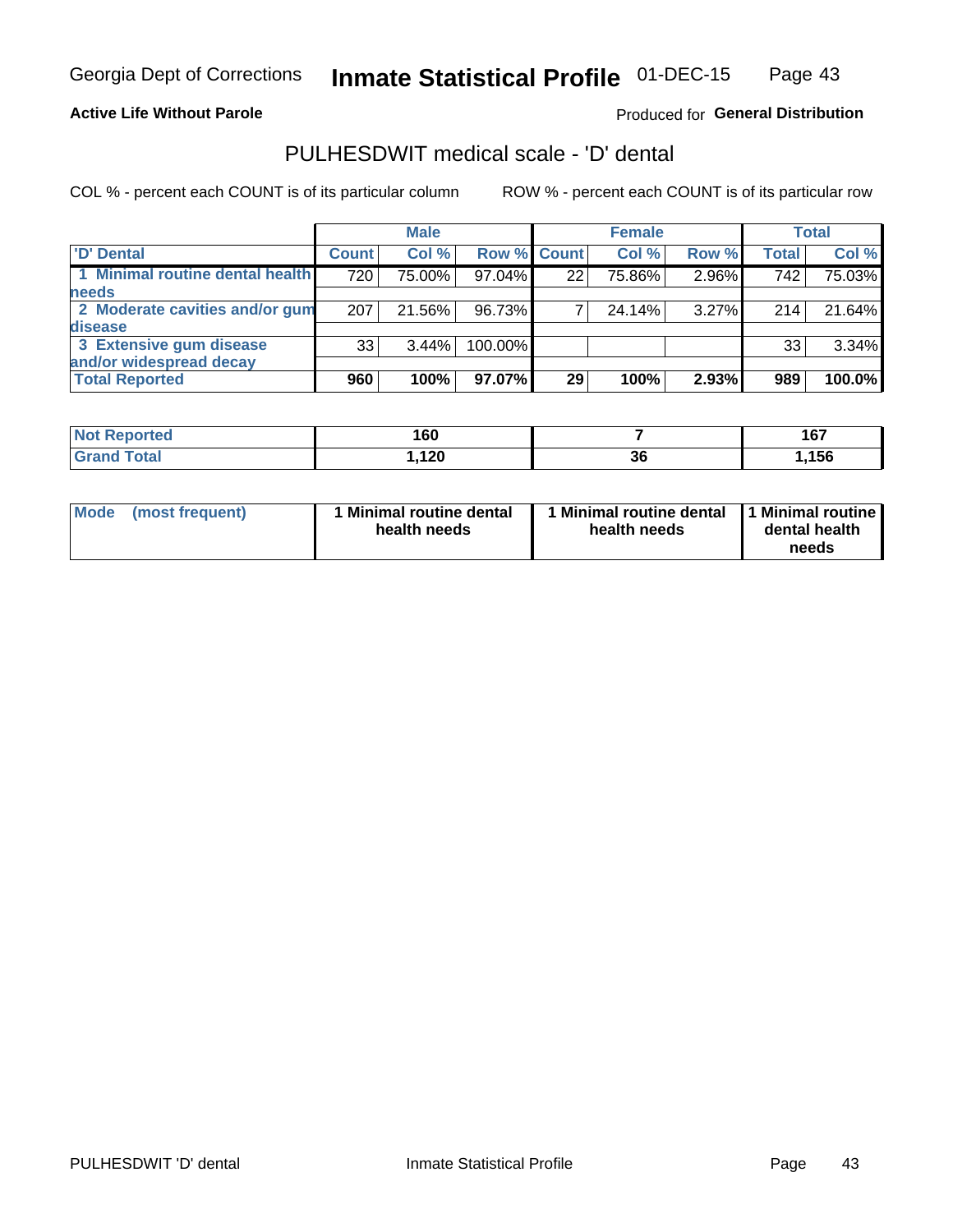## **Active Life Without Parole**

## Produced for General Distribution

## PULHESDWIT medical scale - 'D' dental

COL % - percent each COUNT is of its particular column

|                                 |              | <b>Male</b> |             |    | <b>Female</b> |       |              | Total  |
|---------------------------------|--------------|-------------|-------------|----|---------------|-------|--------------|--------|
| 'D' Dental                      | <b>Count</b> | Col %       | Row % Count |    | Col %         | Row % | <b>Total</b> | Col %  |
| 1 Minimal routine dental health | 720          | 75.00%      | 97.04%      | 22 | 75.86%        | 2.96% | 742          | 75.03% |
| <b>needs</b>                    |              |             |             |    |               |       |              |        |
| 2 Moderate cavities and/or gum  | 207          | 21.56%      | 96.73%      |    | 24.14%        | 3.27% | 2141         | 21.64% |
| <b>disease</b>                  |              |             |             |    |               |       |              |        |
| 3 Extensive gum disease         | 33           | $3.44\%$    | 100.00%     |    |               |       | 33           | 3.34%  |
| and/or widespread decay         |              |             |             |    |               |       |              |        |
| <b>Total Reported</b>           | 960          | 100%        | 97.07%      | 29 | 100%          | 2.93% | 989          | 100.0% |

| <b>NOT REDOLTED</b><br> | 160           |          | 167  |
|-------------------------|---------------|----------|------|
| <b>Total</b>            | 120<br>I, IZU | 00<br>ახ | ,156 |

| Mode<br>(most frequent) | Minimal routine dental<br>health needs | <b>Minimal routine dental</b><br>health needs | 1 Minimal routine<br>dental health<br>needs |
|-------------------------|----------------------------------------|-----------------------------------------------|---------------------------------------------|
|-------------------------|----------------------------------------|-----------------------------------------------|---------------------------------------------|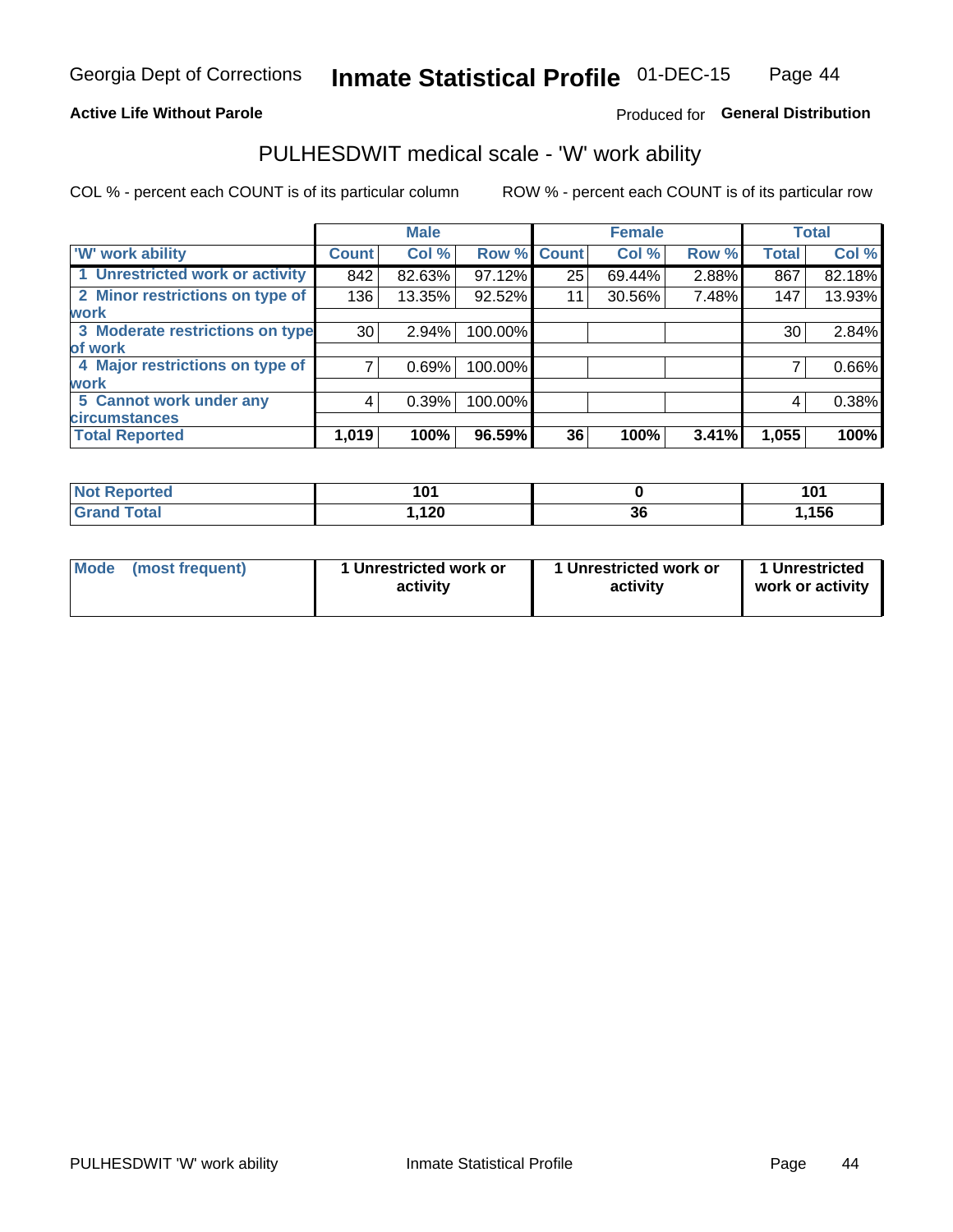### **Active Life Without Parole**

## Produced for General Distribution

## PULHESDWIT medical scale - 'W' work ability

COL % - percent each COUNT is of its particular column

|                                 |              | <b>Male</b> |         |             | <b>Female</b> |       |              | <b>Total</b> |
|---------------------------------|--------------|-------------|---------|-------------|---------------|-------|--------------|--------------|
| <b>W' work ability</b>          | <b>Count</b> | Col %       |         | Row % Count | Col %         | Row % | <b>Total</b> | Col %        |
| 1 Unrestricted work or activity | 842          | 82.63%      | 97.12%  | 25          | 69.44%        | 2.88% | 867          | 82.18%       |
| 2 Minor restrictions on type of | 136          | 13.35%      | 92.52%  | 11          | 30.56%        | 7.48% | 147          | 13.93%       |
| <b>work</b>                     |              |             |         |             |               |       |              |              |
| 3 Moderate restrictions on type | 30           | 2.94%       | 100.00% |             |               |       | 30           | 2.84%        |
| lof work                        |              |             |         |             |               |       |              |              |
| 4 Major restrictions on type of |              | 0.69%       | 100.00% |             |               |       |              | 0.66%        |
| <b>work</b>                     |              |             |         |             |               |       |              |              |
| 5 Cannot work under any         | 4            | 0.39%       | 100.00% |             |               |       | 4            | 0.38%        |
| <b>circumstances</b>            |              |             |         |             |               |       |              |              |
| <b>Total Reported</b>           | 1,019        | 100%        | 96.59%  | 36          | 100%          | 3.41% | 1,055        | 100%         |

| <b>Not Reported</b>   | 1 N 1<br>1 V I |          | ΙА.<br>1 V I |
|-----------------------|----------------|----------|--------------|
| <b>Total</b><br>Cron/ | ,120           | 00<br>36 | ,156         |

| Mode            | 1 Unrestricted work or | 1 Unrestricted work or | 1 Unrestricted   |
|-----------------|------------------------|------------------------|------------------|
| (most frequent) | activity               | activity               | work or activity |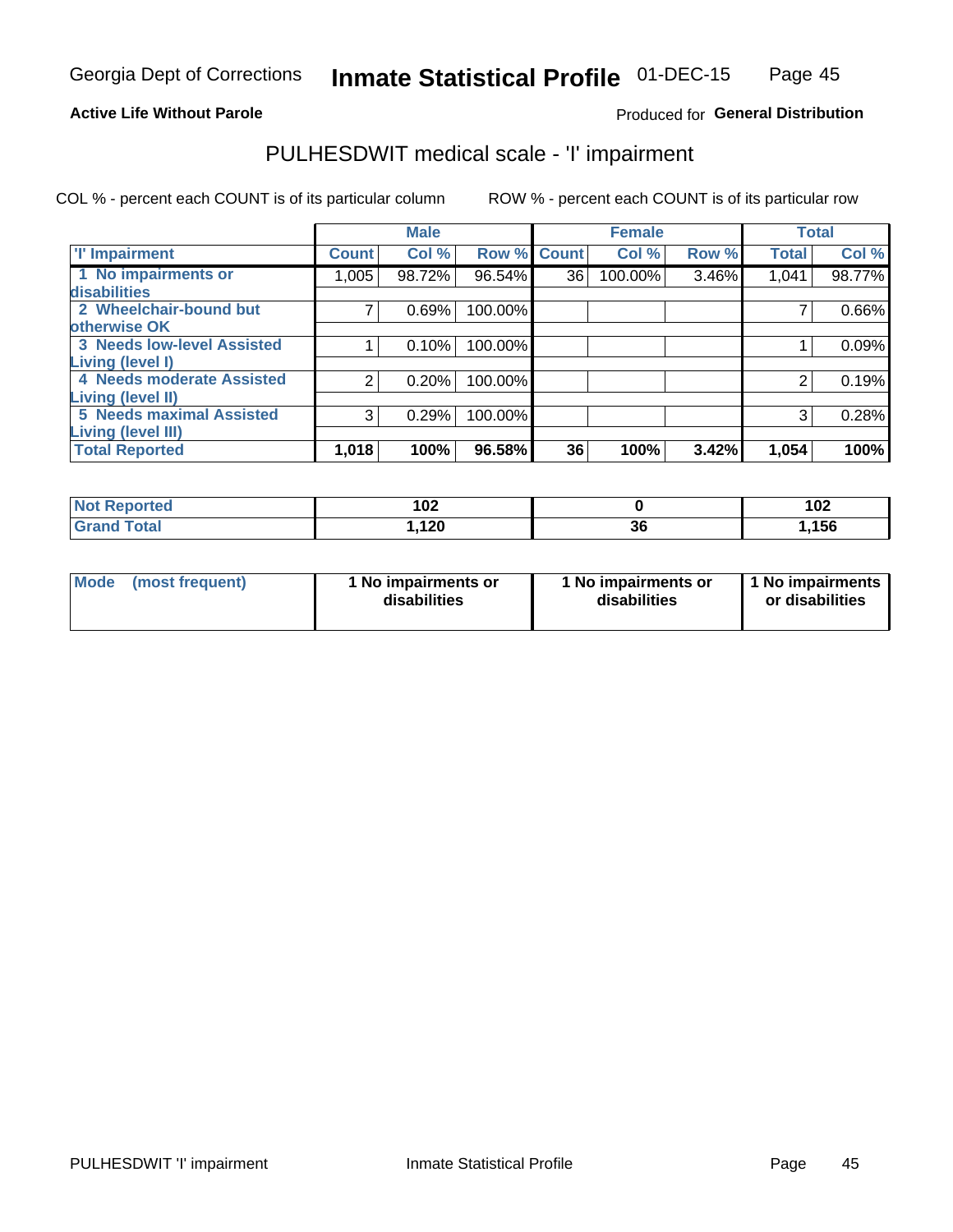### **Active Life Without Parole**

## Produced for General Distribution

## PULHESDWIT medical scale - 'I' impairment

|                                   |              | <b>Male</b> |         |              | <b>Female</b> |       |              | <b>Total</b> |
|-----------------------------------|--------------|-------------|---------|--------------|---------------|-------|--------------|--------------|
| <b>T' Impairment</b>              | <b>Count</b> | Col %       | Row %   | <b>Count</b> | Col %         | Row % | <b>Total</b> | Col %        |
| 1 No impairments or               | 1,005        | 98.72%      | 96.54%  | 36           | 100.00%       | 3.46% | 1,041        | 98.77%       |
| disabilities                      |              |             |         |              |               |       |              |              |
| 2 Wheelchair-bound but            |              | 0.69%       | 100.00% |              |               |       |              | 0.66%        |
| otherwise OK                      |              |             |         |              |               |       |              |              |
| <b>3 Needs low-level Assisted</b> |              | 0.10%       | 100.00% |              |               |       |              | 0.09%        |
| Living (level I)                  |              |             |         |              |               |       |              |              |
| 4 Needs moderate Assisted         | 2            | 0.20%       | 100.00% |              |               |       | 2            | 0.19%        |
| <b>Living (level II)</b>          |              |             |         |              |               |       |              |              |
| <b>5 Needs maximal Assisted</b>   | 3            | 0.29%       | 100.00% |              |               |       | 3            | 0.28%        |
| <b>Living (level III)</b>         |              |             |         |              |               |       |              |              |
| <b>Total Reported</b>             | 1,018        | 100%        | 96.58%  | 36           | 100%          | 3.42% | 1,054        | 100%         |

| Reported     | 102  |    | 102  |
|--------------|------|----|------|
| <b>Total</b> | ,120 | ან | ,156 |

| Mode | (most frequent) | 1 No impairments or<br>disabilities | 1 No impairments or<br>disabilities | 1 No impairments<br>or disabilities |
|------|-----------------|-------------------------------------|-------------------------------------|-------------------------------------|
|------|-----------------|-------------------------------------|-------------------------------------|-------------------------------------|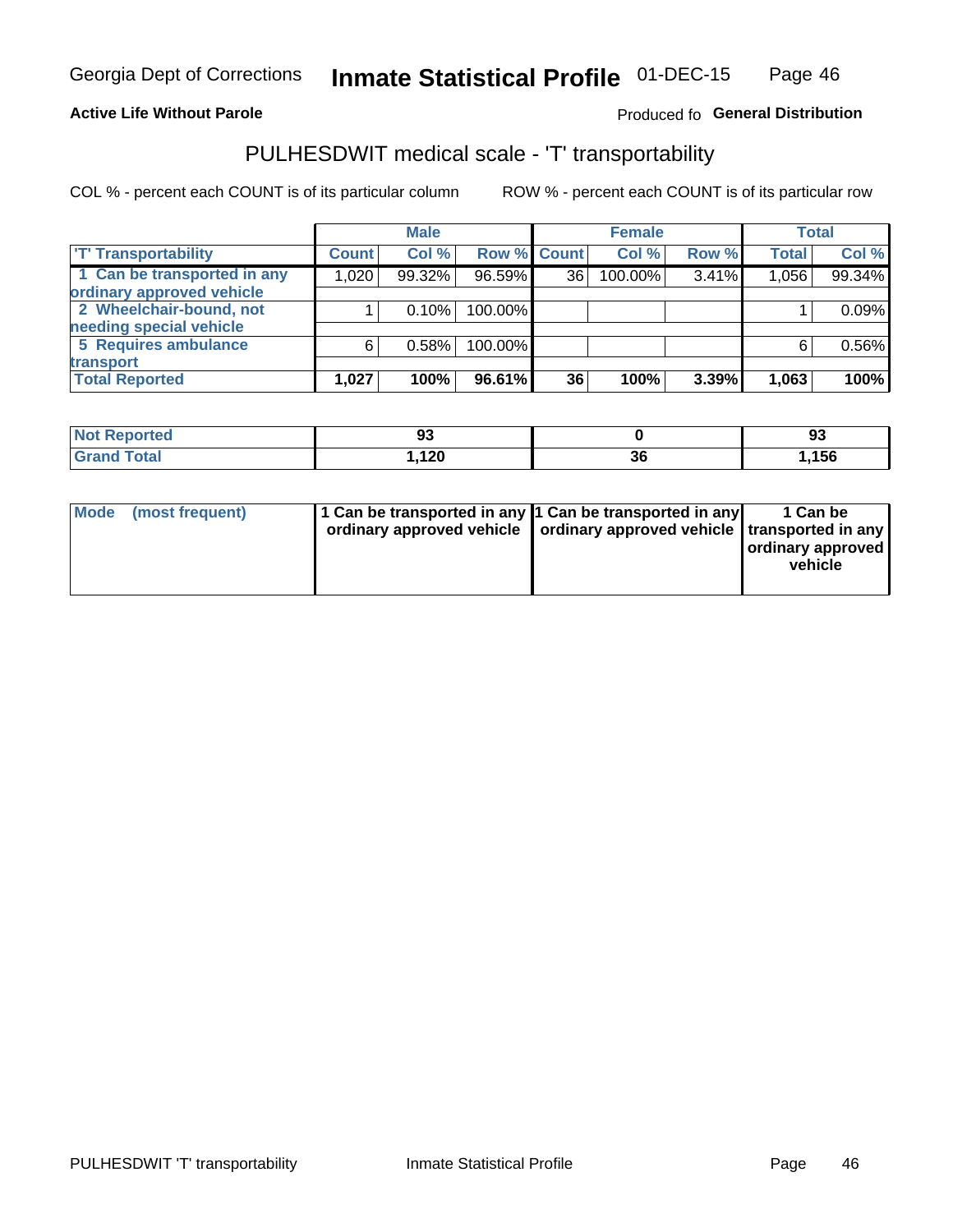## **Active Life Without Parole**

## Produced fo General Distribution

## PULHESDWIT medical scale - 'T' transportability

COL % - percent each COUNT is of its particular column

|                             |              | <b>Male</b> |             |    | <b>Female</b> |       |              | <b>Total</b> |
|-----------------------------|--------------|-------------|-------------|----|---------------|-------|--------------|--------------|
| <b>T' Transportability</b>  | <b>Count</b> | Col%        | Row % Count |    | Col %         | Row % | <b>Total</b> | Col %        |
| 1 Can be transported in any | 1,020        | 99.32%      | 96.59%      | 36 | 100.00%       | 3.41% | 1,056        | 99.34%       |
| ordinary approved vehicle   |              |             |             |    |               |       |              |              |
| 2 Wheelchair-bound, not     |              | 0.10%       | 100.00%     |    |               |       |              | 0.09%        |
| needing special vehicle     |              |             |             |    |               |       |              |              |
| 5 Requires ambulance        | 6            | 0.58%       | 100.00%     |    |               |       |              | 0.56%        |
| transport                   |              |             |             |    |               |       |              |              |
| <b>Total Reported</b>       | 1,027        | 100%        | 96.61%      | 36 | 100%          | 3.39% | 1,063        | 100%         |

| orted        | ಀಀ   |    | ດາ<br>ັນ |
|--------------|------|----|----------|
| <b>Total</b> | ,120 | ახ | .156,    |

| <b>Mode</b> | (most frequent) | 1 Can be transported in any 1 Can be transported in any | ordinary approved vehicle   ordinary approved vehicle   transported in any | 1 Can be<br>  ordinary approved<br>vehicle |
|-------------|-----------------|---------------------------------------------------------|----------------------------------------------------------------------------|--------------------------------------------|
|             |                 |                                                         |                                                                            |                                            |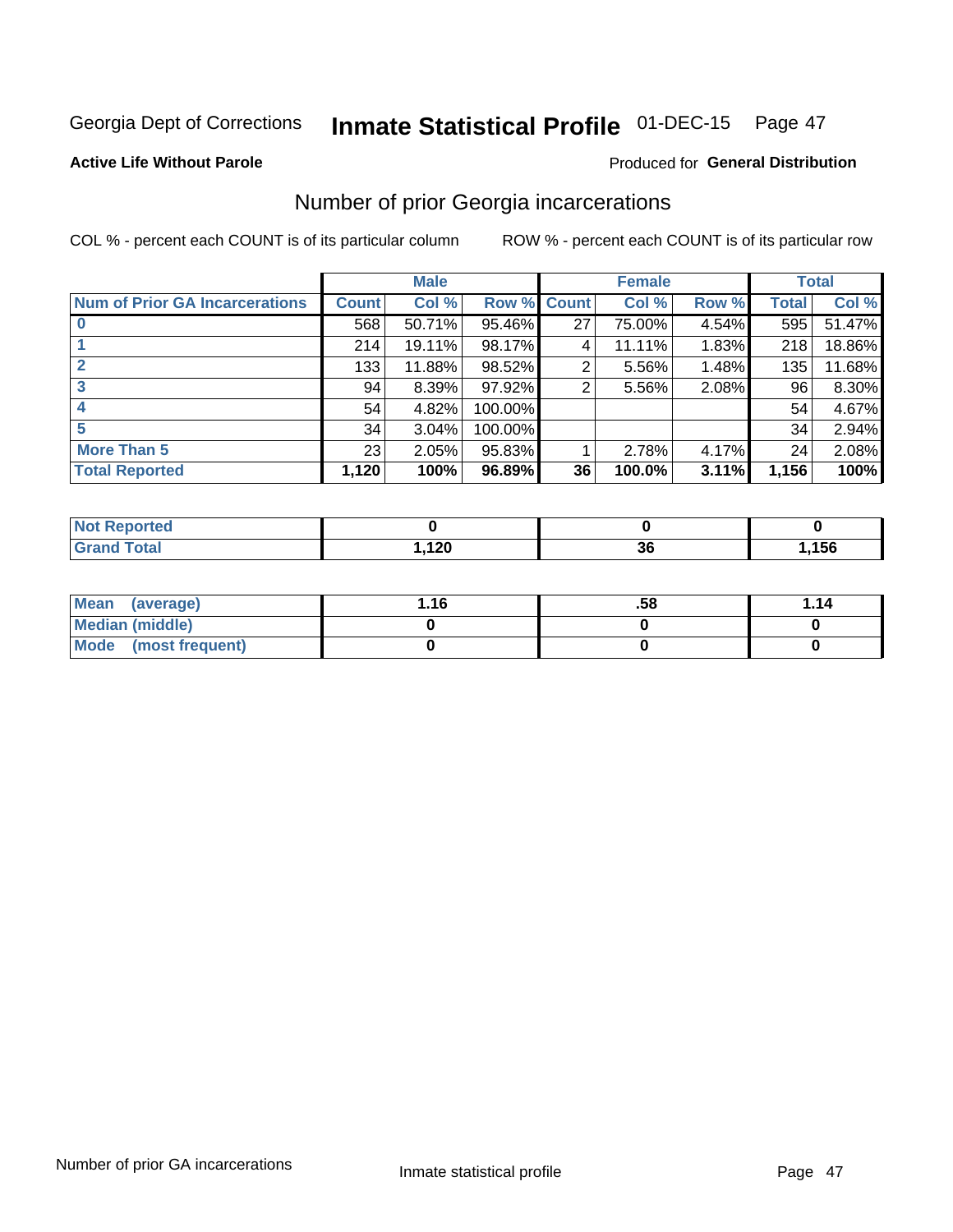## Inmate Statistical Profile 01-DEC-15 Page 47

#### **Active Life Without Parole**

## Produced for General Distribution

## Number of prior Georgia incarcerations

COL % - percent each COUNT is of its particular column

|                                       |              | <b>Male</b> |                    |    | <b>Female</b> |       |       | <b>Total</b> |
|---------------------------------------|--------------|-------------|--------------------|----|---------------|-------|-------|--------------|
| <b>Num of Prior GA Incarcerations</b> | <b>Count</b> | Col %       | <b>Row % Count</b> |    | Col %         | Row % | Total | Col %        |
|                                       | 568          | 50.71%      | 95.46%             | 27 | 75.00%        | 4.54% | 595   | 51.47%       |
|                                       | 214          | 19.11%      | 98.17%             | 4  | 11.11%        | 1.83% | 218   | 18.86%       |
|                                       | 133          | 11.88%      | 98.52%             | 2  | 5.56%         | 1.48% | 135   | 11.68%       |
| 3                                     | 94           | 8.39%       | 97.92%             | 2  | 5.56%         | 2.08% | 96    | 8.30%        |
| 4                                     | 54           | 4.82%       | 100.00%            |    |               |       | 54    | 4.67%        |
| 5                                     | 34           | 3.04%       | 100.00%            |    |               |       | 34    | 2.94%        |
| <b>More Than 5</b>                    | 23           | 2.05%       | 95.83%             |    | 2.78%         | 4.17% | 24    | 2.08%        |
| <b>Total Reported</b>                 | 1,120        | 100%        | 96.89%             | 36 | 100.0%        | 3.11% | 1,156 | 100%         |

| eported<br>NOT              |               |    |      |
|-----------------------------|---------------|----|------|
| <b>Fotal</b><br>$\sim$ nana | 00<br>1, I ZU | J. | ,156 |

| Mean (average)       | 1.16 | .58 | 1.14 |
|----------------------|------|-----|------|
| Median (middle)      |      |     |      |
| Mode (most frequent) |      |     |      |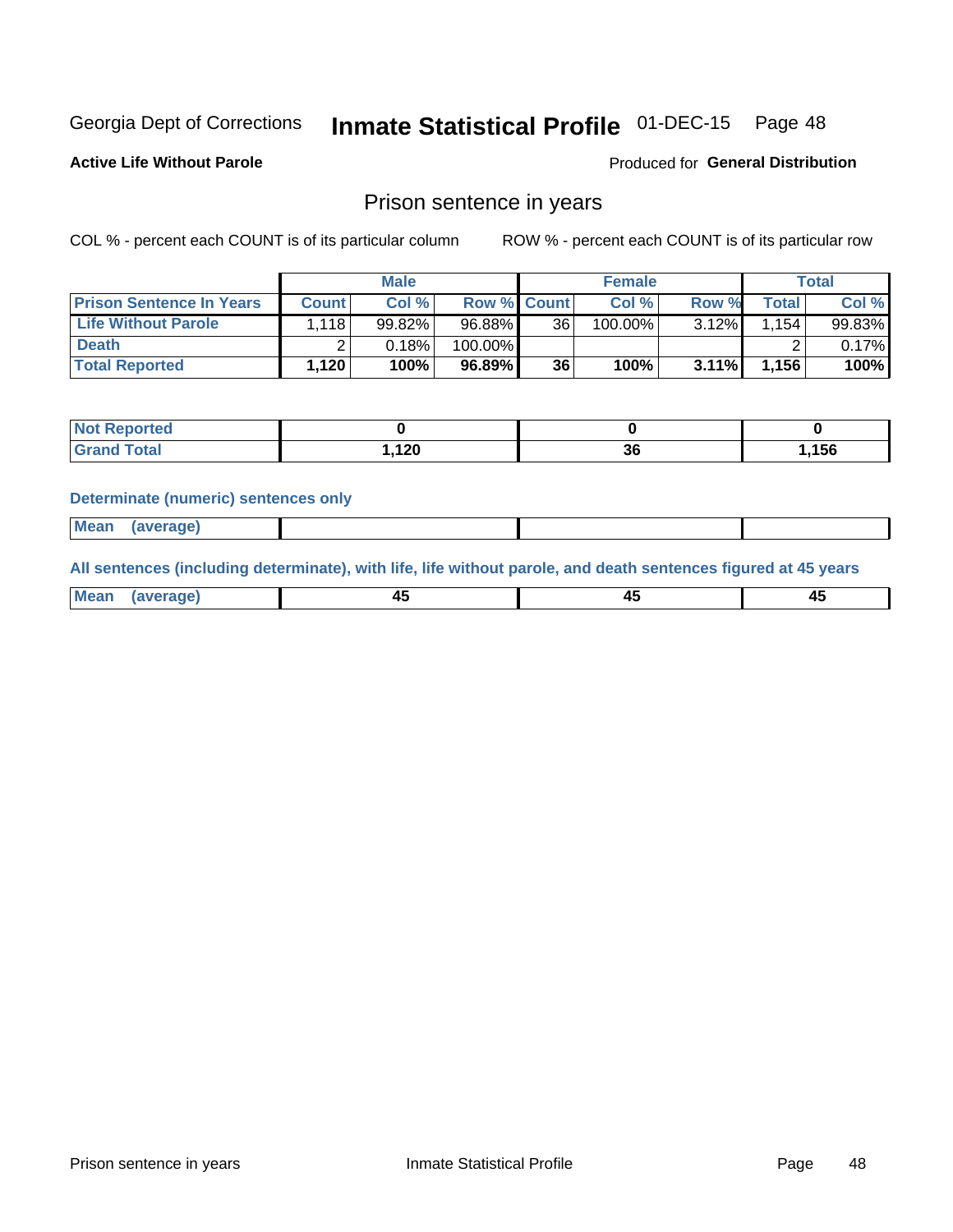## Inmate Statistical Profile 01-DEC-15 Page 48

**Active Life Without Parole** 

Produced for General Distribution

## Prison sentence in years

COL % - percent each COUNT is of its particular column

ROW % - percent each COUNT is of its particular row

|                                 |       | <b>Male</b> |                    |    | <b>Female</b> |       |              | Total     |
|---------------------------------|-------|-------------|--------------------|----|---------------|-------|--------------|-----------|
| <b>Prison Sentence In Years</b> | Count | Col %       | <b>Row % Count</b> |    | Col %         | Row % | <b>Total</b> | Col %     |
| <b>Life Without Parole</b>      | 1.118 | 99.82%      | 96.88%             | 36 | $100.00\%$    | 3.12% | .154         | $99.83\%$ |
| <b>Death</b>                    |       | 0.18%       | 100.00%            |    |               |       |              | $0.17\%$  |
| <b>Total Reported</b>           | 1,120 | 100%        | 96.89%             | 36 | 100%          | 3.11% | 1,156        | 100%      |

| ⊴ported<br><b>NOT</b> |               |              |      |
|-----------------------|---------------|--------------|------|
| <b>Total</b>          | 120<br>. I 20 | $\sim$<br>ათ | ,156 |

#### **Determinate (numeric) sentences only**

| ' Mea<br><b>Service</b> A<br>ЯМА. |  |  |  |
|-----------------------------------|--|--|--|
|                                   |  |  |  |

All sentences (including determinate), with life, life without parole, and death sentences figured at 45 years

| l Mea<br>'ЯМА<br>.<br> | ᠇<br>$\sim$ | $\sim$ |  |
|------------------------|-------------|--------|--|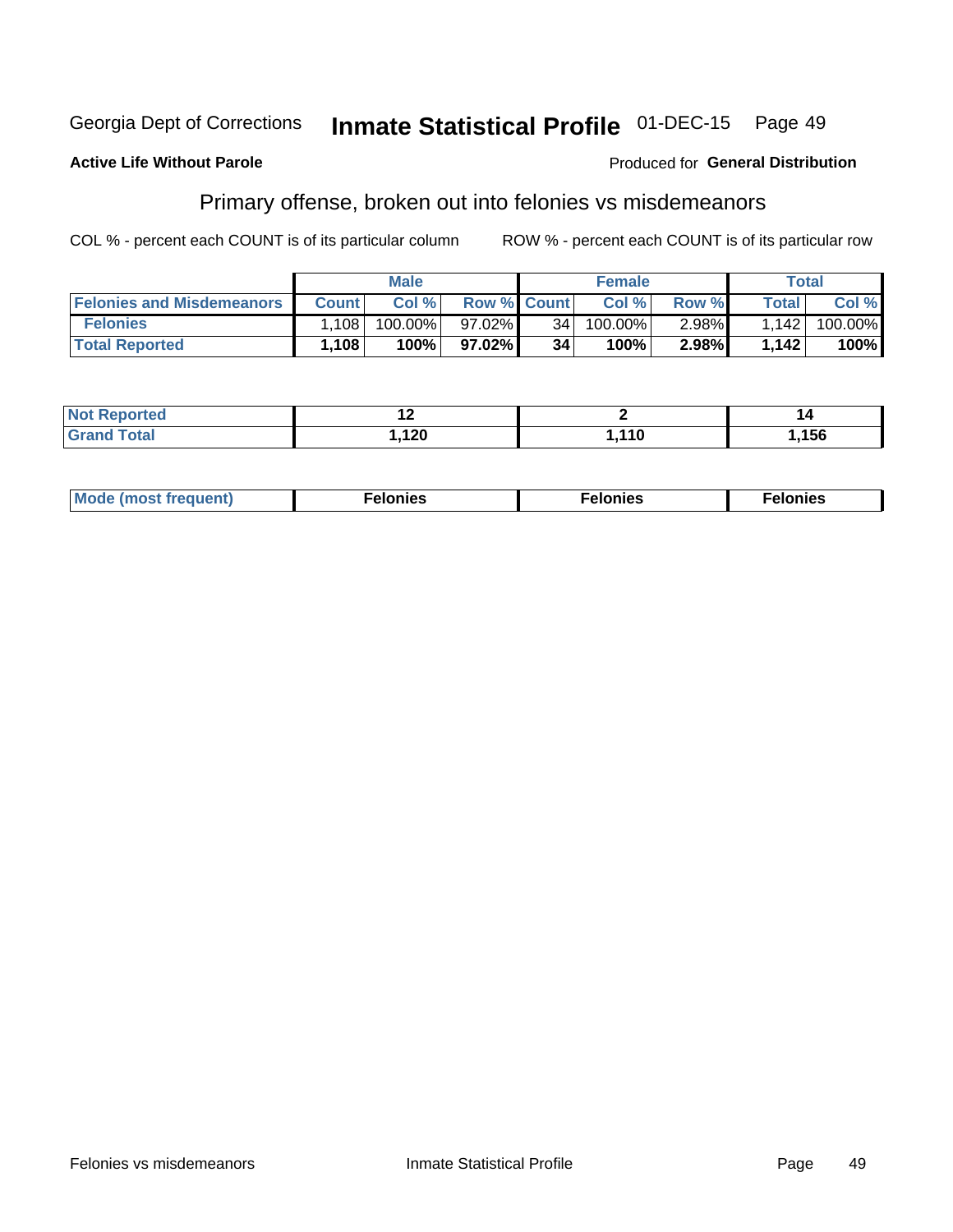#### **Inmate Statistical Profile 01-DEC-15** Georgia Dept of Corrections Page 49

#### **Active Life Without Parole**

### Produced for General Distribution

## Primary offense, broken out into felonies vs misdemeanors

COL % - percent each COUNT is of its particular column

|                                  |              | <b>Male</b> |                    |                 | <b>Female</b> |       |         | Total   |
|----------------------------------|--------------|-------------|--------------------|-----------------|---------------|-------|---------|---------|
| <b>Felonies and Misdemeanors</b> | <b>Count</b> | Col%        | <b>Row % Count</b> |                 | Col%          | Row % | Total i | Col %   |
| <b>Felonies</b>                  | .108         | 100.00%     | 97.02%             | 34 <sup>1</sup> | 100.00%       | 2.98% | 1,142   | 100.00% |
| <b>Total Reported</b>            | .108         | 100%        | 97.02%             | 34              | 100%          | 2.98% | 1,142   | 100%    |

| <b>Not Reported</b>          |           |      | L     |
|------------------------------|-----------|------|-------|
| <b>Total</b><br><b>Grand</b> | 100<br>╹┻ | ,110 | 1,156 |

| <b>Mode</b><br>frequent)<br>nies<br>≧ (most tr.<br>. | onies<br>. | lonies<br>ею<br>____ |
|------------------------------------------------------|------------|----------------------|
|------------------------------------------------------|------------|----------------------|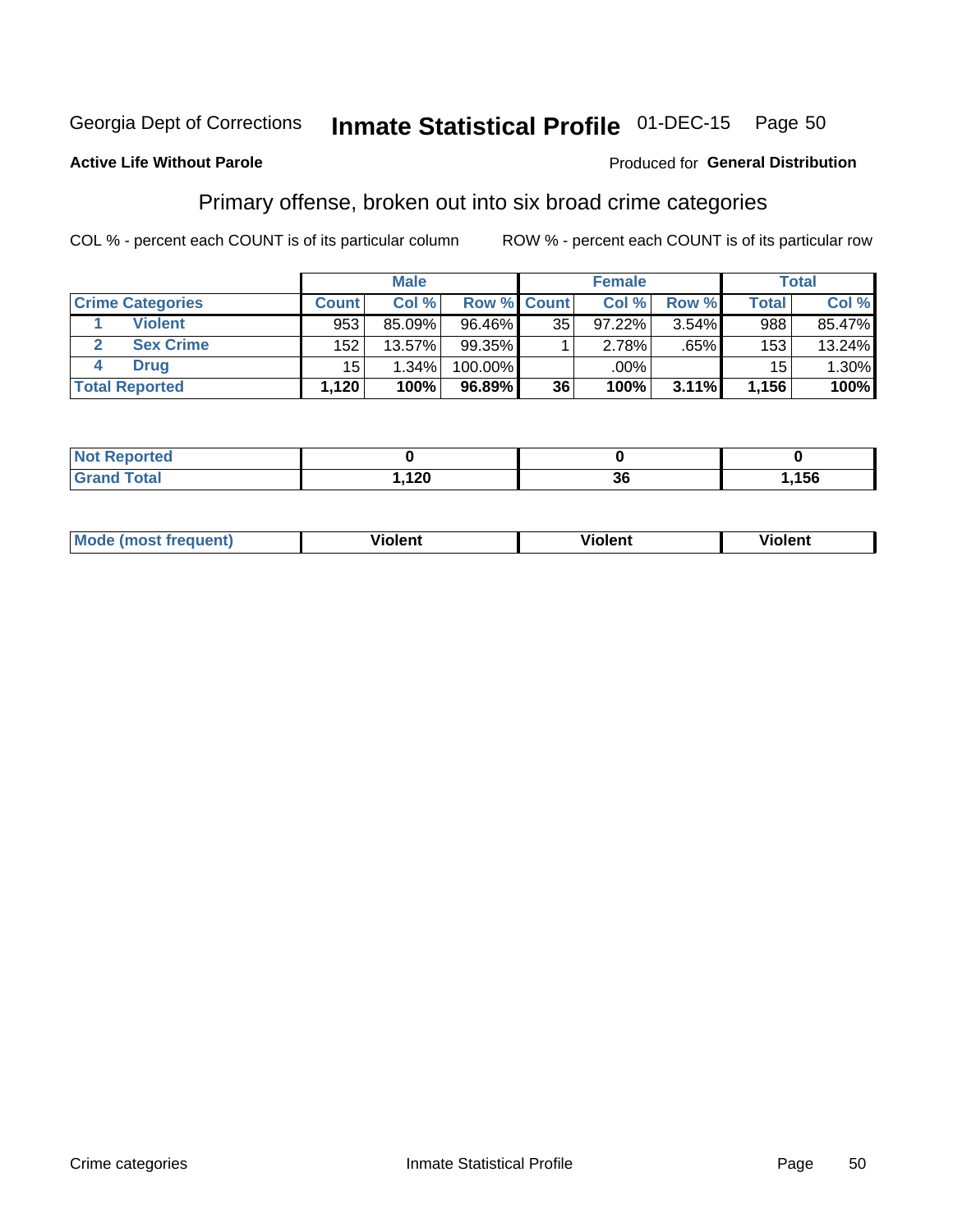#### Inmate Statistical Profile 01-DEC-15 Page 50

## **Active Life Without Parole**

### Produced for General Distribution

## Primary offense, broken out into six broad crime categories

COL % - percent each COUNT is of its particular column

|                         |              | <b>Male</b> |             |    | <b>Female</b> |       |              | <b>Total</b> |
|-------------------------|--------------|-------------|-------------|----|---------------|-------|--------------|--------------|
| <b>Crime Categories</b> | <b>Count</b> | Col %       | Row % Count |    | Col %         | Row % | <b>Total</b> | Col %        |
| <b>Violent</b>          | 953          | 85.09%      | 96.46%      | 35 | 97.22%        | 3.54% | 988          | 85.47%       |
| <b>Sex Crime</b>        | 152          | 13.57%      | $99.35\%$   |    | 2.78%         | .65%  | 153          | 13.24%       |
| <b>Drug</b>             | 15           | 1.34%       | 100.00%     |    | .00%          |       | 15           | 1.30%        |
| <b>Total Reported</b>   | 1,120        | 100%        | 96.89%      | 36 | 100%          | 3.11% | 1,156        | 100%         |

| .      |     |     |     |
|--------|-----|-----|-----|
| -      | 120 | ^^  | 156 |
| ______ | ,   | IJu |     |

| <b>Mode</b><br>วนent)<br>mos | .<br>/iolent | olent | <br>วlent |
|------------------------------|--------------|-------|-----------|
|                              |              |       |           |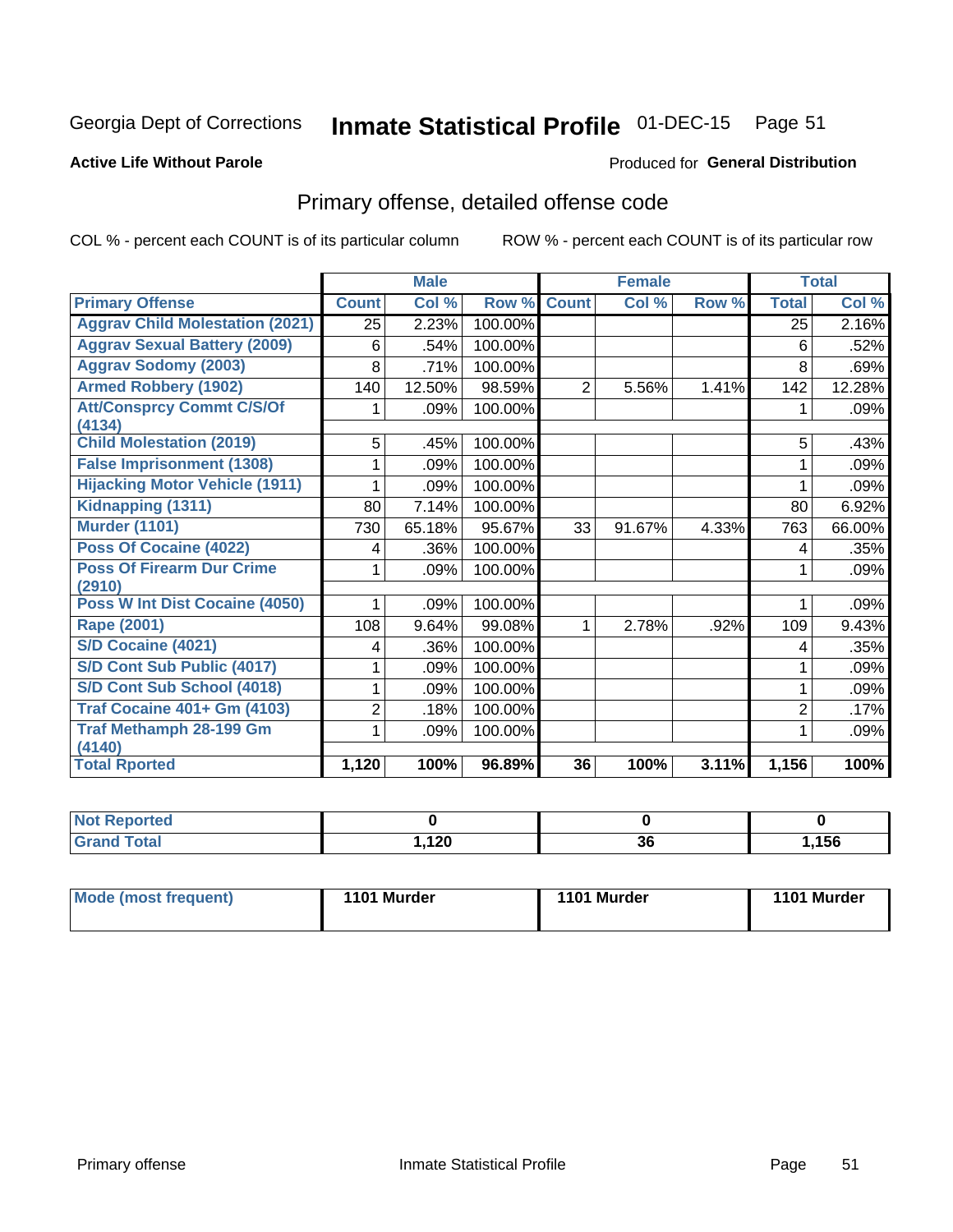## Inmate Statistical Profile 01-DEC-15 Page 51

#### **Active Life Without Parole**

### Produced for General Distribution

## Primary offense, detailed offense code

COL % - percent each COUNT is of its particular column

|                                            |              | <b>Male</b> |         |                | <b>Female</b> |       | <b>Total</b>   |         |
|--------------------------------------------|--------------|-------------|---------|----------------|---------------|-------|----------------|---------|
| <b>Primary Offense</b>                     | <b>Count</b> | Col %       | Row %   | <b>Count</b>   | Col %         | Row % | <b>Total</b>   | Col %   |
| <b>Aggrav Child Molestation (2021)</b>     | 25           | 2.23%       | 100.00% |                |               |       | 25             | 2.16%   |
| <b>Aggrav Sexual Battery (2009)</b>        | 6            | .54%        | 100.00% |                |               |       | 6              | .52%    |
| <b>Aggrav Sodomy (2003)</b>                | 8            | .71%        | 100.00% |                |               |       | 8              | .69%    |
| <b>Armed Robbery (1902)</b>                | 140          | 12.50%      | 98.59%  | $\overline{2}$ | 5.56%         | 1.41% | 142            | 12.28%  |
| <b>Att/Consprcy Commt C/S/Of</b>           |              | .09%        | 100.00% |                |               |       |                | $.09\%$ |
| (4134)<br><b>Child Molestation (2019)</b>  |              |             |         |                |               |       |                |         |
|                                            | 5            | .45%        | 100.00% |                |               |       | 5              | .43%    |
| <b>False Imprisonment (1308)</b>           |              | .09%        | 100.00% |                |               |       |                | .09%    |
| <b>Hijacking Motor Vehicle (1911)</b>      |              | .09%        | 100.00% |                |               |       |                | .09%    |
| Kidnapping (1311)                          | 80           | 7.14%       | 100.00% |                |               |       | 80             | 6.92%   |
| <b>Murder (1101)</b>                       | 730          | 65.18%      | 95.67%  | 33             | 91.67%        | 4.33% | 763            | 66.00%  |
| <b>Poss Of Cocaine (4022)</b>              | 4            | .36%        | 100.00% |                |               |       | 4              | .35%    |
| <b>Poss Of Firearm Dur Crime</b><br>(2910) |              | .09%        | 100.00% |                |               |       |                | .09%    |
| Poss W Int Dist Cocaine (4050)             |              | .09%        | 100.00% |                |               |       |                | .09%    |
| <b>Rape (2001)</b>                         | 108          | 9.64%       | 99.08%  | 1              | 2.78%         | .92%  | 109            | 9.43%   |
| <b>S/D Cocaine (4021)</b>                  | 4            | .36%        | 100.00% |                |               |       | 4              | .35%    |
| S/D Cont Sub Public (4017)                 |              | .09%        | 100.00% |                |               |       |                | .09%    |
| S/D Cont Sub School (4018)                 |              | .09%        | 100.00% |                |               |       |                | .09%    |
| <b>Traf Cocaine 401+ Gm (4103)</b>         | 2            | .18%        | 100.00% |                |               |       | $\overline{2}$ | .17%    |
| <b>Traf Methamph 28-199 Gm</b>             |              | .09%        | 100.00% |                |               |       |                | .09%    |
| (4140)<br><b>Total Rported</b>             | 1,120        | 100%        | 96.89%  | 36             | 100%          | 3.11% | 1,156          | 100%    |

| . |              |          |      |
|---|--------------|----------|------|
|   | 120<br>$- -$ | ^^<br>JС | ,156 |

| 1101 Murder<br>Mode (most frequent)<br>1101 Murder | 1101 Murder |
|----------------------------------------------------|-------------|
|----------------------------------------------------|-------------|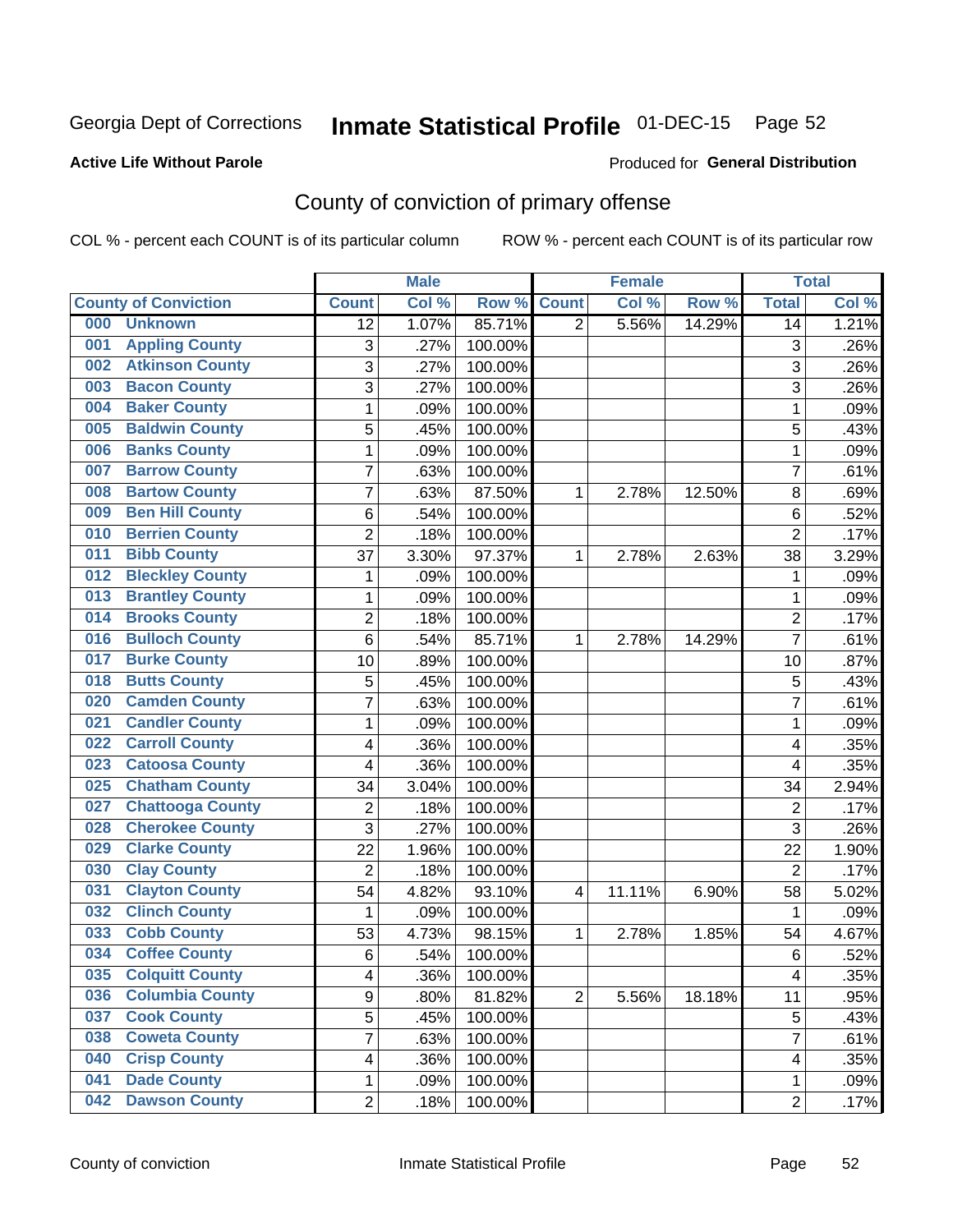## Inmate Statistical Profile 01-DEC-15 Page 52

## **Active Life Without Parole**

#### Produced for General Distribution

## County of conviction of primary offense

COL % - percent each COUNT is of its particular column

|                                |                | <b>Male</b> |         |                | <b>Female</b> |        |                | <b>Total</b> |
|--------------------------------|----------------|-------------|---------|----------------|---------------|--------|----------------|--------------|
| <b>County of Conviction</b>    | <b>Count</b>   | Col %       | Row %   | <b>Count</b>   | Col %         | Row %  | <b>Total</b>   | Col%         |
| 000<br><b>Unknown</b>          | 12             | 1.07%       | 85.71%  | $\overline{2}$ | 5.56%         | 14.29% | 14             | 1.21%        |
| <b>Appling County</b><br>001   | 3              | .27%        | 100.00% |                |               |        | 3              | .26%         |
| <b>Atkinson County</b><br>002  | 3              | .27%        | 100.00% |                |               |        | 3              | .26%         |
| <b>Bacon County</b><br>003     | 3              | $.27\%$     | 100.00% |                |               |        | $\overline{3}$ | .26%         |
| <b>Baker County</b><br>004     | 1              | .09%        | 100.00% |                |               |        | 1              | .09%         |
| <b>Baldwin County</b><br>005   | 5              | .45%        | 100.00% |                |               |        | 5              | .43%         |
| <b>Banks County</b><br>006     | $\mathbf{1}$   | .09%        | 100.00% |                |               |        | $\mathbf{1}$   | .09%         |
| <b>Barrow County</b><br>007    | 7              | .63%        | 100.00% |                |               |        | $\overline{7}$ | .61%         |
| <b>Bartow County</b><br>008    | $\overline{7}$ | .63%        | 87.50%  | 1              | 2.78%         | 12.50% | 8              | .69%         |
| <b>Ben Hill County</b><br>009  | 6              | .54%        | 100.00% |                |               |        | 6              | .52%         |
| <b>Berrien County</b><br>010   | $\overline{2}$ | .18%        | 100.00% |                |               |        | $\overline{2}$ | .17%         |
| <b>Bibb County</b><br>011      | 37             | 3.30%       | 97.37%  | 1              | 2.78%         | 2.63%  | 38             | 3.29%        |
| <b>Bleckley County</b><br>012  | 1              | .09%        | 100.00% |                |               |        | 1              | .09%         |
| <b>Brantley County</b><br>013  | $\mathbf{1}$   | .09%        | 100.00% |                |               |        | $\mathbf{1}$   | .09%         |
| <b>Brooks County</b><br>014    | $\overline{2}$ | .18%        | 100.00% |                |               |        | $\overline{2}$ | .17%         |
| <b>Bulloch County</b><br>016   | 6              | .54%        | 85.71%  | 1              | 2.78%         | 14.29% | $\overline{7}$ | .61%         |
| <b>Burke County</b><br>017     | 10             | .89%        | 100.00% |                |               |        | 10             | .87%         |
| <b>Butts County</b><br>018     | 5              | .45%        | 100.00% |                |               |        | 5              | .43%         |
| <b>Camden County</b><br>020    | $\overline{7}$ | .63%        | 100.00% |                |               |        | $\overline{7}$ | .61%         |
| <b>Candler County</b><br>021   | $\mathbf{1}$   | .09%        | 100.00% |                |               |        | $\mathbf{1}$   | .09%         |
| <b>Carroll County</b><br>022   | 4              | .36%        | 100.00% |                |               |        | 4              | .35%         |
| <b>Catoosa County</b><br>023   | 4              | .36%        | 100.00% |                |               |        | 4              | .35%         |
| <b>Chatham County</b><br>025   | 34             | 3.04%       | 100.00% |                |               |        | 34             | 2.94%        |
| <b>Chattooga County</b><br>027 | $\overline{2}$ | .18%        | 100.00% |                |               |        | $\overline{2}$ | .17%         |
| <b>Cherokee County</b><br>028  | 3              | .27%        | 100.00% |                |               |        | 3              | .26%         |
| <b>Clarke County</b><br>029    | 22             | 1.96%       | 100.00% |                |               |        | 22             | 1.90%        |
| <b>Clay County</b><br>030      | $\overline{2}$ | .18%        | 100.00% |                |               |        | $\overline{2}$ | .17%         |
| <b>Clayton County</b><br>031   | 54             | 4.82%       | 93.10%  | $\overline{4}$ | 11.11%        | 6.90%  | 58             | 5.02%        |
| <b>Clinch County</b><br>032    | $\mathbf{1}$   | .09%        | 100.00% |                |               |        | $\mathbf{1}$   | .09%         |
| <b>Cobb County</b><br>033      | 53             | 4.73%       | 98.15%  | 1              | 2.78%         | 1.85%  | 54             | 4.67%        |
| <b>Coffee County</b><br>034    | $6\phantom{1}$ | .54%        | 100.00% |                |               |        | 6              | .52%         |
| 035<br><b>Colquitt County</b>  | 4              | .36%        | 100.00% |                |               |        | 4              | .35%         |
| <b>Columbia County</b><br>036  | 9              | .80%        | 81.82%  | $\overline{2}$ | 5.56%         | 18.18% | 11             | .95%         |
| 037<br><b>Cook County</b>      | 5              | .45%        | 100.00% |                |               |        | 5              | .43%         |
| <b>Coweta County</b><br>038    | $\overline{7}$ | .63%        | 100.00% |                |               |        | $\overline{7}$ | .61%         |
| <b>Crisp County</b><br>040     | 4              | .36%        | 100.00% |                |               |        | 4              | .35%         |
| <b>Dade County</b><br>041      | 1              | .09%        | 100.00% |                |               |        | 1              | .09%         |
| <b>Dawson County</b><br>042    | $\overline{2}$ | .18%        | 100.00% |                |               |        | $\overline{2}$ | .17%         |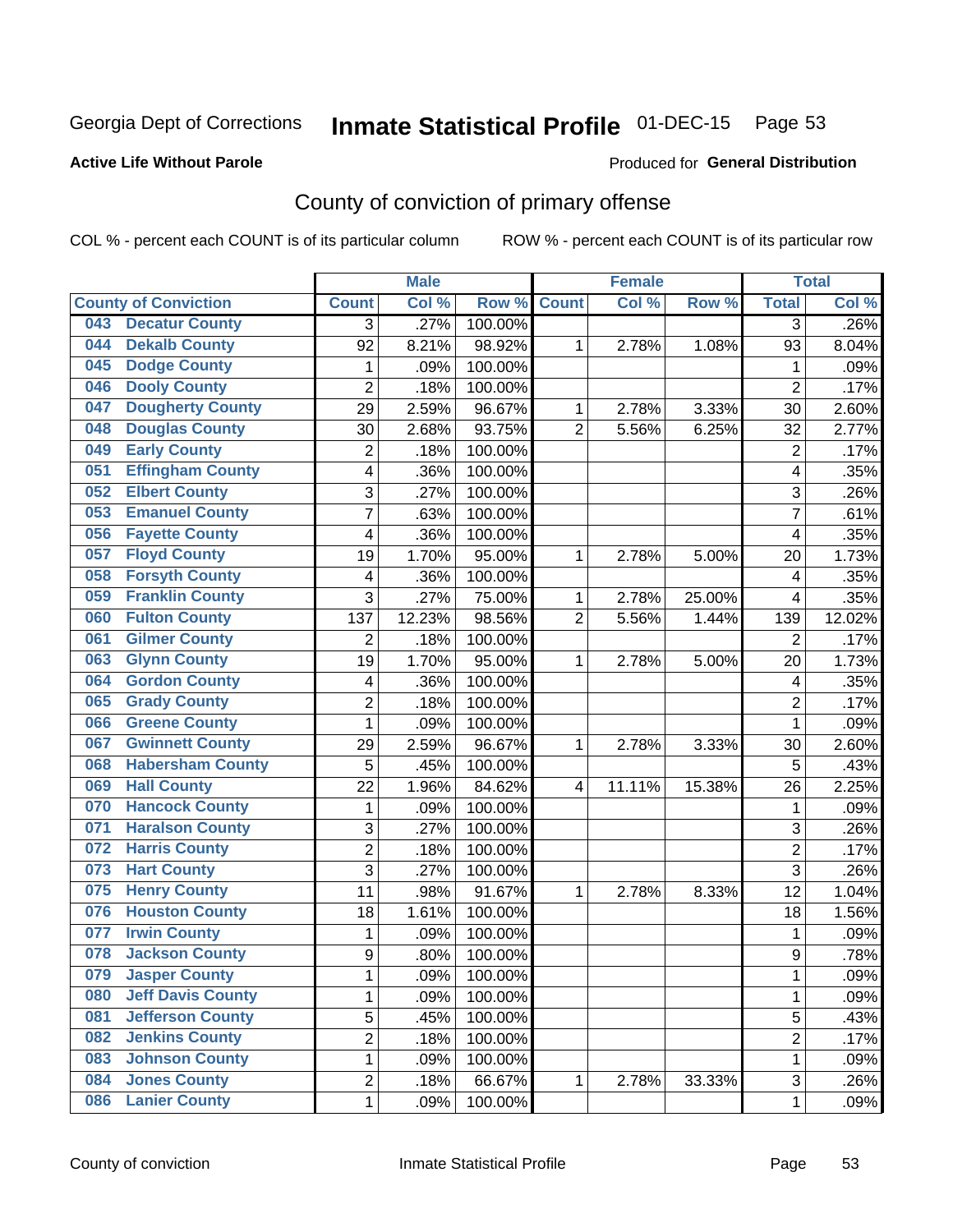## Inmate Statistical Profile 01-DEC-15 Page 53

## **Active Life Without Parole**

#### Produced for General Distribution

## County of conviction of primary offense

COL % - percent each COUNT is of its particular column

|     |                             |                         | <b>Male</b> |         |                | <b>Female</b> |        | <b>Total</b>   |        |
|-----|-----------------------------|-------------------------|-------------|---------|----------------|---------------|--------|----------------|--------|
|     | <b>County of Conviction</b> | <b>Count</b>            | Col %       | Row %   | <b>Count</b>   | Col %         | Row %  | <b>Total</b>   | Col %  |
| 043 | <b>Decatur County</b>       | 3                       | .27%        | 100.00% |                |               |        | 3              | .26%   |
| 044 | <b>Dekalb County</b>        | 92                      | 8.21%       | 98.92%  | 1              | 2.78%         | 1.08%  | 93             | 8.04%  |
| 045 | <b>Dodge County</b>         | $\mathbf{1}$            | .09%        | 100.00% |                |               |        | 1              | .09%   |
| 046 | <b>Dooly County</b>         | $\overline{2}$          | .18%        | 100.00% |                |               |        | $\overline{2}$ | .17%   |
| 047 | <b>Dougherty County</b>     | 29                      | 2.59%       | 96.67%  | 1              | 2.78%         | 3.33%  | 30             | 2.60%  |
| 048 | <b>Douglas County</b>       | 30                      | 2.68%       | 93.75%  | $\overline{2}$ | 5.56%         | 6.25%  | 32             | 2.77%  |
| 049 | <b>Early County</b>         | $\overline{c}$          | .18%        | 100.00% |                |               |        | $\overline{2}$ | .17%   |
| 051 | <b>Effingham County</b>     | 4                       | .36%        | 100.00% |                |               |        | 4              | .35%   |
| 052 | <b>Elbert County</b>        | 3                       | .27%        | 100.00% |                |               |        | 3              | .26%   |
| 053 | <b>Emanuel County</b>       | $\overline{7}$          | .63%        | 100.00% |                |               |        | 7              | .61%   |
| 056 | <b>Fayette County</b>       | 4                       | .36%        | 100.00% |                |               |        | 4              | .35%   |
| 057 | <b>Floyd County</b>         | 19                      | 1.70%       | 95.00%  | 1              | 2.78%         | 5.00%  | 20             | 1.73%  |
| 058 | <b>Forsyth County</b>       | 4                       | .36%        | 100.00% |                |               |        | 4              | .35%   |
| 059 | <b>Franklin County</b>      | 3                       | .27%        | 75.00%  | 1              | 2.78%         | 25.00% | 4              | .35%   |
| 060 | <b>Fulton County</b>        | 137                     | 12.23%      | 98.56%  | $\overline{2}$ | 5.56%         | 1.44%  | 139            | 12.02% |
| 061 | <b>Gilmer County</b>        | $\overline{2}$          | .18%        | 100.00% |                |               |        | $\overline{2}$ | .17%   |
| 063 | <b>Glynn County</b>         | 19                      | 1.70%       | 95.00%  | 1              | 2.78%         | 5.00%  | 20             | 1.73%  |
| 064 | <b>Gordon County</b>        | 4                       | .36%        | 100.00% |                |               |        | 4              | .35%   |
| 065 | <b>Grady County</b>         | $\overline{2}$          | .18%        | 100.00% |                |               |        | $\overline{2}$ | .17%   |
| 066 | <b>Greene County</b>        | 1                       | .09%        | 100.00% |                |               |        | $\mathbf{1}$   | .09%   |
| 067 | <b>Gwinnett County</b>      | 29                      | 2.59%       | 96.67%  | 1              | 2.78%         | 3.33%  | 30             | 2.60%  |
| 068 | <b>Habersham County</b>     | 5                       | .45%        | 100.00% |                |               |        | 5              | .43%   |
| 069 | <b>Hall County</b>          | 22                      | 1.96%       | 84.62%  | 4              | 11.11%        | 15.38% | 26             | 2.25%  |
| 070 | <b>Hancock County</b>       | 1                       | .09%        | 100.00% |                |               |        | 1              | .09%   |
| 071 | <b>Haralson County</b>      | 3                       | .27%        | 100.00% |                |               |        | 3              | .26%   |
| 072 | <b>Harris County</b>        | $\overline{2}$          | .18%        | 100.00% |                |               |        | $\overline{2}$ | .17%   |
| 073 | <b>Hart County</b>          | 3                       | .27%        | 100.00% |                |               |        | $\overline{3}$ | .26%   |
| 075 | <b>Henry County</b>         | 11                      | .98%        | 91.67%  | 1              | 2.78%         | 8.33%  | 12             | 1.04%  |
| 076 | <b>Houston County</b>       | 18                      | 1.61%       | 100.00% |                |               |        | 18             | 1.56%  |
| 077 | <b>Irwin County</b>         | 1                       | .09%        | 100.00% |                |               |        | $\mathbf{1}$   | .09%   |
| 078 | <b>Jackson County</b>       | 9                       | .80%        | 100.00% |                |               |        | 9              | .78%   |
| 079 | <b>Jasper County</b>        | 1                       | .09%        | 100.00% |                |               |        | 1              | .09%   |
| 080 | <b>Jeff Davis County</b>    | 1                       | .09%        | 100.00% |                |               |        | $\mathbf{1}$   | .09%   |
| 081 | <b>Jefferson County</b>     | $\overline{5}$          | .45%        | 100.00% |                |               |        | 5              | .43%   |
| 082 | <b>Jenkins County</b>       | $\overline{\mathbf{c}}$ | .18%        | 100.00% |                |               |        | $\overline{2}$ | .17%   |
| 083 | <b>Johnson County</b>       | 1                       | .09%        | 100.00% |                |               |        | $\mathbf{1}$   | .09%   |
| 084 | <b>Jones County</b>         | 2                       | .18%        | 66.67%  | $\mathbf{1}$   | 2.78%         | 33.33% | 3              | .26%   |
| 086 | <b>Lanier County</b>        | $\mathbf 1$             | .09%        | 100.00% |                |               |        | $\mathbf 1$    | .09%   |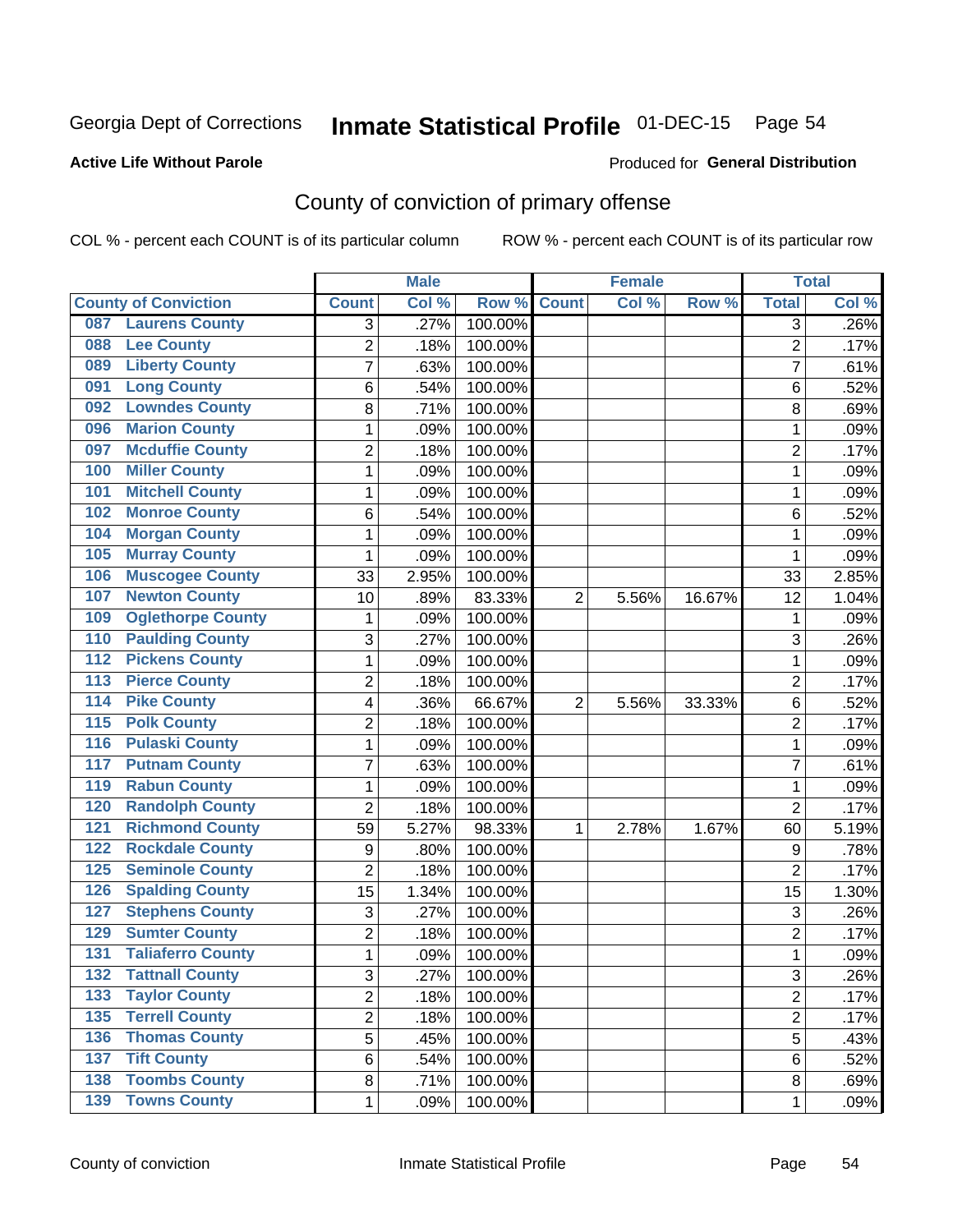## Inmate Statistical Profile 01-DEC-15 Page 54

## **Active Life Without Parole**

#### Produced for General Distribution

## County of conviction of primary offense

COL % - percent each COUNT is of its particular column

|                                            |                | <b>Male</b> |                  |                | <b>Female</b> |        |                | <b>Total</b> |
|--------------------------------------------|----------------|-------------|------------------|----------------|---------------|--------|----------------|--------------|
| <b>County of Conviction</b>                | <b>Count</b>   | Col %       | Row <sup>%</sup> | <b>Count</b>   | Col %         | Row %  | <b>Total</b>   | Col %        |
| <b>Laurens County</b><br>087               | 3              | .27%        | 100.00%          |                |               |        | 3              | .26%         |
| <b>Lee County</b><br>088                   | $\overline{2}$ | .18%        | 100.00%          |                |               |        | $\overline{2}$ | .17%         |
| <b>Liberty County</b><br>089               | 7              | .63%        | 100.00%          |                |               |        | 7              | .61%         |
| <b>Long County</b><br>091                  | 6              | .54%        | 100.00%          |                |               |        | 6              | .52%         |
| <b>Lowndes County</b><br>092               | 8              | .71%        | 100.00%          |                |               |        | 8              | .69%         |
| <b>Marion County</b><br>096                | 1              | .09%        | 100.00%          |                |               |        | $\mathbf{1}$   | .09%         |
| <b>Mcduffie County</b><br>097              | 2              | .18%        | 100.00%          |                |               |        | $\overline{2}$ | .17%         |
| <b>Miller County</b><br>100                | 1              | .09%        | 100.00%          |                |               |        | $\mathbf{1}$   | .09%         |
| <b>Mitchell County</b><br>101              | 1              | .09%        | 100.00%          |                |               |        | 1              | .09%         |
| <b>Monroe County</b><br>102                | 6              | .54%        | 100.00%          |                |               |        | 6              | .52%         |
| <b>Morgan County</b><br>104                | 1              | .09%        | 100.00%          |                |               |        | 1              | .09%         |
| <b>Murray County</b><br>105                | 1              | .09%        | 100.00%          |                |               |        | 1              | .09%         |
| <b>Muscogee County</b><br>106              | 33             | 2.95%       | 100.00%          |                |               |        | 33             | 2.85%        |
| <b>Newton County</b><br>107                | 10             | .89%        | 83.33%           | $\overline{2}$ | 5.56%         | 16.67% | 12             | 1.04%        |
| <b>Oglethorpe County</b><br>109            | 1              | .09%        | 100.00%          |                |               |        | 1              | .09%         |
| <b>Paulding County</b><br>110              | 3              | .27%        | 100.00%          |                |               |        | 3              | .26%         |
| <b>Pickens County</b><br>112               | 1              | .09%        | 100.00%          |                |               |        | 1              | .09%         |
| <b>Pierce County</b><br>$\overline{113}$   | 2              | .18%        | 100.00%          |                |               |        | $\overline{2}$ | .17%         |
| <b>Pike County</b><br>$\overline{114}$     | 4              | .36%        | 66.67%           | $\overline{2}$ | 5.56%         | 33.33% | 6              | .52%         |
| <b>Polk County</b><br>$\overline{115}$     | $\overline{2}$ | .18%        | 100.00%          |                |               |        | $\overline{2}$ | .17%         |
| <b>Pulaski County</b><br>$\overline{116}$  | 1              | .09%        | 100.00%          |                |               |        | 1              | .09%         |
| <b>Putnam County</b><br>117                | $\overline{7}$ | .63%        | 100.00%          |                |               |        | $\overline{7}$ | .61%         |
| <b>Rabun County</b><br>119                 | 1              | .09%        | 100.00%          |                |               |        | $\mathbf{1}$   | .09%         |
| <b>Randolph County</b><br>120              | $\overline{2}$ | .18%        | 100.00%          |                |               |        | $\overline{2}$ | .17%         |
| <b>Richmond County</b><br>121              | 59             | 5.27%       | 98.33%           | 1              | 2.78%         | 1.67%  | 60             | 5.19%        |
| <b>Rockdale County</b><br>122              | 9              | .80%        | 100.00%          |                |               |        | 9              | .78%         |
| <b>Seminole County</b><br>$\overline{125}$ | $\overline{2}$ | .18%        | 100.00%          |                |               |        | $\overline{2}$ | .17%         |
| <b>Spalding County</b><br>126              | 15             | 1.34%       | 100.00%          |                |               |        | 15             | 1.30%        |
| <b>Stephens County</b><br>127              | 3              | .27%        | 100.00%          |                |               |        | 3              | .26%         |
| <b>Sumter County</b><br>129                | 2              | .18%        | 100.00%          |                |               |        | $\overline{2}$ | .17%         |
| <b>Taliaferro County</b><br>131            | 1              | .09%        | 100.00%          |                |               |        | 1              | .09%         |
| 132<br><b>Tattnall County</b>              | 3              | .27%        | 100.00%          |                |               |        | 3              | .26%         |
| <b>Taylor County</b><br>133                | $\overline{2}$ | .18%        | 100.00%          |                |               |        | $\overline{2}$ | .17%         |
| <b>Terrell County</b><br>135               | $\overline{2}$ | .18%        | 100.00%          |                |               |        | $\overline{2}$ | .17%         |
| <b>Thomas County</b><br>136                | 5              | .45%        | 100.00%          |                |               |        | 5              | .43%         |
| <b>Tift County</b><br>137                  | 6              | .54%        | 100.00%          |                |               |        | 6              | .52%         |
| <b>Toombs County</b><br>138                | 8              | .71%        | 100.00%          |                |               |        | 8              | .69%         |
| <b>139 Towns County</b>                    | $\mathbf 1$    | .09%        | 100.00%          |                |               |        | 1              | .09%         |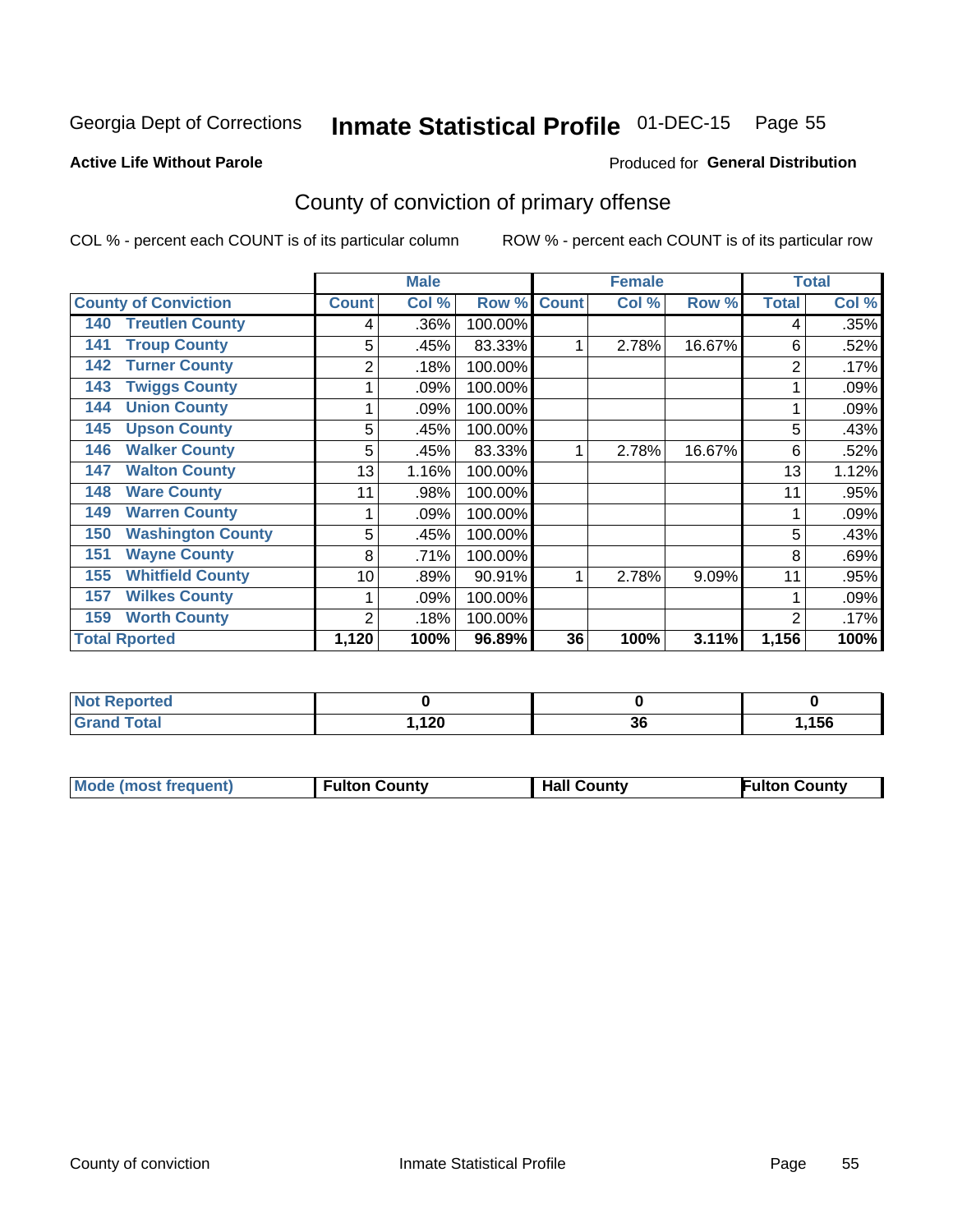## Inmate Statistical Profile 01-DEC-15 Page 55

#### **Active Life Without Parole**

### Produced for General Distribution

## County of conviction of primary offense

COL % - percent each COUNT is of its particular column

|                                 |                 | <b>Male</b> |         |              | <b>Female</b> |        | <b>Total</b>   |       |
|---------------------------------|-----------------|-------------|---------|--------------|---------------|--------|----------------|-------|
| <b>County of Conviction</b>     | <b>Count</b>    | Col %       | Row %   | <b>Count</b> | Col %         | Row %  | <b>Total</b>   | Col % |
| <b>Treutlen County</b><br>140   | 4               | .36%        | 100.00% |              |               |        | 4              | .35%  |
| <b>Troup County</b><br>141      | 5               | .45%        | 83.33%  |              | 2.78%         | 16.67% | 6              | .52%  |
| <b>Turner County</b><br>142     | 2               | .18%        | 100.00% |              |               |        | 2              | .17%  |
| <b>Twiggs County</b><br>143     |                 | .09%        | 100.00% |              |               |        |                | .09%  |
| <b>Union County</b><br>144      |                 | .09%        | 100.00% |              |               |        |                | .09%  |
| <b>Upson County</b><br>145      | 5               | .45%        | 100.00% |              |               |        | 5              | .43%  |
| <b>Walker County</b><br>146     | 5               | .45%        | 83.33%  |              | 2.78%         | 16.67% | 6              | .52%  |
| <b>Walton County</b><br>147     | 13              | 1.16%       | 100.00% |              |               |        | 13             | 1.12% |
| <b>Ware County</b><br>148       | 11              | .98%        | 100.00% |              |               |        | 11             | .95%  |
| <b>Warren County</b><br>149     |                 | .09%        | 100.00% |              |               |        |                | .09%  |
| <b>Washington County</b><br>150 | 5               | .45%        | 100.00% |              |               |        | 5              | .43%  |
| <b>Wayne County</b><br>151      | 8               | .71%        | 100.00% |              |               |        | 8              | .69%  |
| <b>Whitfield County</b><br>155  | 10 <sup>1</sup> | .89%        | 90.91%  |              | 2.78%         | 9.09%  | 11             | .95%  |
| <b>Wilkes County</b><br>157     | 1               | .09%        | 100.00% |              |               |        |                | .09%  |
| <b>Worth County</b><br>159      | $\overline{2}$  | .18%        | 100.00% |              |               |        | $\overline{2}$ | .17%  |
| <b>Total Rported</b>            | 1,120           | 100%        | 96.89%  | 36           | 100%          | 3.11%  | 1,156          | 100%  |

| ---<br>oneo<br>N |            |         |      |
|------------------|------------|---------|------|
| nta.             | 100<br>14V | ົ<br>ად | ,156 |

| <b>Mode (most frequent)</b> | <b>Fulton County</b> | <b>Hall County</b> | <b>Fulton County</b> |
|-----------------------------|----------------------|--------------------|----------------------|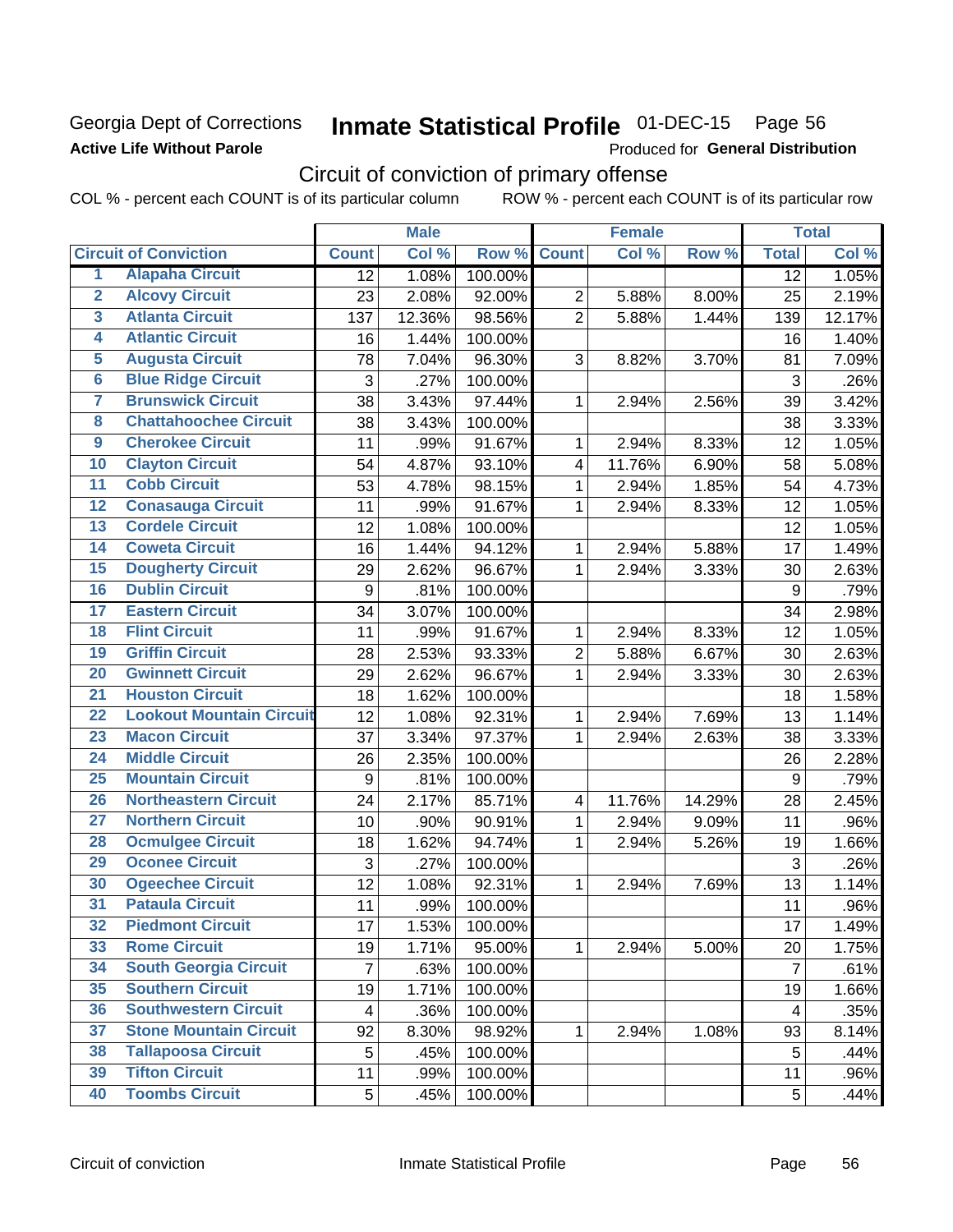## Georgia Dept of Corrections **Active Life Without Parole**

## Inmate Statistical Profile 01-DEC-15 Page 56

Produced for General Distribution

## Circuit of conviction of primary offense

|                         |                                 |                         | <b>Male</b> |         |                         | <b>Female</b> |        |                | <b>Total</b> |
|-------------------------|---------------------------------|-------------------------|-------------|---------|-------------------------|---------------|--------|----------------|--------------|
|                         | <b>Circuit of Conviction</b>    | <b>Count</b>            | Col %       | Row %   | <b>Count</b>            | Col %         | Row %  | <b>Total</b>   | Col %        |
| 1                       | <b>Alapaha Circuit</b>          | 12                      | 1.08%       | 100.00% |                         |               |        | 12             | 1.05%        |
| $\overline{2}$          | <b>Alcovy Circuit</b>           | 23                      | 2.08%       | 92.00%  | $\overline{2}$          | 5.88%         | 8.00%  | 25             | 2.19%        |
| $\overline{\mathbf{3}}$ | <b>Atlanta Circuit</b>          | 137                     | 12.36%      | 98.56%  | $\overline{2}$          | 5.88%         | 1.44%  | 139            | 12.17%       |
| 4                       | <b>Atlantic Circuit</b>         | 16                      | 1.44%       | 100.00% |                         |               |        | 16             | 1.40%        |
| $\overline{\mathbf{5}}$ | <b>Augusta Circuit</b>          | 78                      | 7.04%       | 96.30%  | 3                       | 8.82%         | 3.70%  | 81             | 7.09%        |
| $\overline{6}$          | <b>Blue Ridge Circuit</b>       | 3                       | .27%        | 100.00% |                         |               |        | $\mathfrak{S}$ | .26%         |
| 7                       | <b>Brunswick Circuit</b>        | 38                      | 3.43%       | 97.44%  | $\mathbf{1}$            | 2.94%         | 2.56%  | 39             | 3.42%        |
| 8                       | <b>Chattahoochee Circuit</b>    | 38                      | 3.43%       | 100.00% |                         |               |        | 38             | 3.33%        |
| $\overline{9}$          | <b>Cherokee Circuit</b>         | 11                      | .99%        | 91.67%  | 1                       | 2.94%         | 8.33%  | 12             | 1.05%        |
| 10                      | <b>Clayton Circuit</b>          | 54                      | 4.87%       | 93.10%  | $\overline{\mathbf{4}}$ | 11.76%        | 6.90%  | 58             | 5.08%        |
| $\overline{11}$         | <b>Cobb Circuit</b>             | 53                      | 4.78%       | 98.15%  | 1                       | 2.94%         | 1.85%  | 54             | 4.73%        |
| $\overline{12}$         | <b>Conasauga Circuit</b>        | 11                      | .99%        | 91.67%  | 1                       | 2.94%         | 8.33%  | 12             | 1.05%        |
| 13                      | <b>Cordele Circuit</b>          | 12                      | 1.08%       | 100.00% |                         |               |        | 12             | 1.05%        |
| $\overline{14}$         | <b>Coweta Circuit</b>           | 16                      | 1.44%       | 94.12%  | $\mathbf{1}$            | 2.94%         | 5.88%  | 17             | 1.49%        |
| $\overline{15}$         | <b>Dougherty Circuit</b>        | 29                      | 2.62%       | 96.67%  | 1                       | 2.94%         | 3.33%  | 30             | 2.63%        |
| 16                      | <b>Dublin Circuit</b>           | 9                       | .81%        | 100.00% |                         |               |        | 9              | .79%         |
| $\overline{17}$         | <b>Eastern Circuit</b>          | 34                      | 3.07%       | 100.00% |                         |               |        | 34             | 2.98%        |
| $\overline{18}$         | <b>Flint Circuit</b>            | 11                      | .99%        | 91.67%  | 1                       | 2.94%         | 8.33%  | 12             | 1.05%        |
| 19                      | <b>Griffin Circuit</b>          | 28                      | 2.53%       | 93.33%  | $\overline{2}$          | 5.88%         | 6.67%  | 30             | 2.63%        |
| 20                      | <b>Gwinnett Circuit</b>         | 29                      | 2.62%       | 96.67%  | $\mathbf{1}$            | 2.94%         | 3.33%  | 30             | 2.63%        |
| $\overline{21}$         | <b>Houston Circuit</b>          | 18                      | 1.62%       | 100.00% |                         |               |        | 18             | 1.58%        |
| $\overline{22}$         | <b>Lookout Mountain Circuit</b> | 12                      | 1.08%       | 92.31%  | $\mathbf{1}$            | 2.94%         | 7.69%  | 13             | 1.14%        |
| 23                      | <b>Macon Circuit</b>            | 37                      | 3.34%       | 97.37%  | 1                       | 2.94%         | 2.63%  | 38             | 3.33%        |
| $\overline{24}$         | <b>Middle Circuit</b>           | 26                      | 2.35%       | 100.00% |                         |               |        | 26             | 2.28%        |
| $\overline{25}$         | <b>Mountain Circuit</b>         | $\boldsymbol{9}$        | .81%        | 100.00% |                         |               |        | 9              | .79%         |
| 26                      | <b>Northeastern Circuit</b>     | 24                      | 2.17%       | 85.71%  | $\overline{\mathbf{4}}$ | 11.76%        | 14.29% | 28             | 2.45%        |
| $\overline{27}$         | <b>Northern Circuit</b>         | 10                      | .90%        | 90.91%  | 1                       | 2.94%         | 9.09%  | 11             | .96%         |
| 28                      | <b>Ocmulgee Circuit</b>         | 18                      | 1.62%       | 94.74%  | 1                       | 2.94%         | 5.26%  | 19             | 1.66%        |
| 29                      | <b>Oconee Circuit</b>           | 3                       | .27%        | 100.00% |                         |               |        | $\mathfrak{S}$ | .26%         |
| 30                      | <b>Ogeechee Circuit</b>         | 12                      | 1.08%       | 92.31%  | $\mathbf{1}$            | 2.94%         | 7.69%  | 13             | 1.14%        |
| $\overline{31}$         | <b>Pataula Circuit</b>          | 11                      | .99%        | 100.00% |                         |               |        | 11             | .96%         |
| 32                      | <b>Piedmont Circuit</b>         | 17                      | 1.53%       | 100.00% |                         |               |        | 17             | 1.49%        |
| 33                      | <b>Rome Circuit</b>             | 19                      | 1.71%       | 95.00%  | $\mathbf 1$             | 2.94%         | 5.00%  | 20             | 1.75%        |
| 34                      | <b>South Georgia Circuit</b>    | $\overline{7}$          | .63%        | 100.00% |                         |               |        | $\overline{7}$ | .61%         |
| 35                      | <b>Southern Circuit</b>         | 19                      | 1.71%       | 100.00% |                         |               |        | 19             | 1.66%        |
| 36                      | <b>Southwestern Circuit</b>     | $\overline{\mathbf{4}}$ | .36%        | 100.00% |                         |               |        | 4              | .35%         |
| 37                      | <b>Stone Mountain Circuit</b>   | 92                      | 8.30%       | 98.92%  | 1                       | 2.94%         | 1.08%  | 93             | 8.14%        |
| 38                      | <b>Tallapoosa Circuit</b>       | 5                       | .45%        | 100.00% |                         |               |        | 5              | .44%         |
| 39                      | <b>Tifton Circuit</b>           | 11                      | .99%        | 100.00% |                         |               |        | 11             | .96%         |
| 40                      | <b>Toombs Circuit</b>           | 5                       | .45%        | 100.00% |                         |               |        | 5              | .44%         |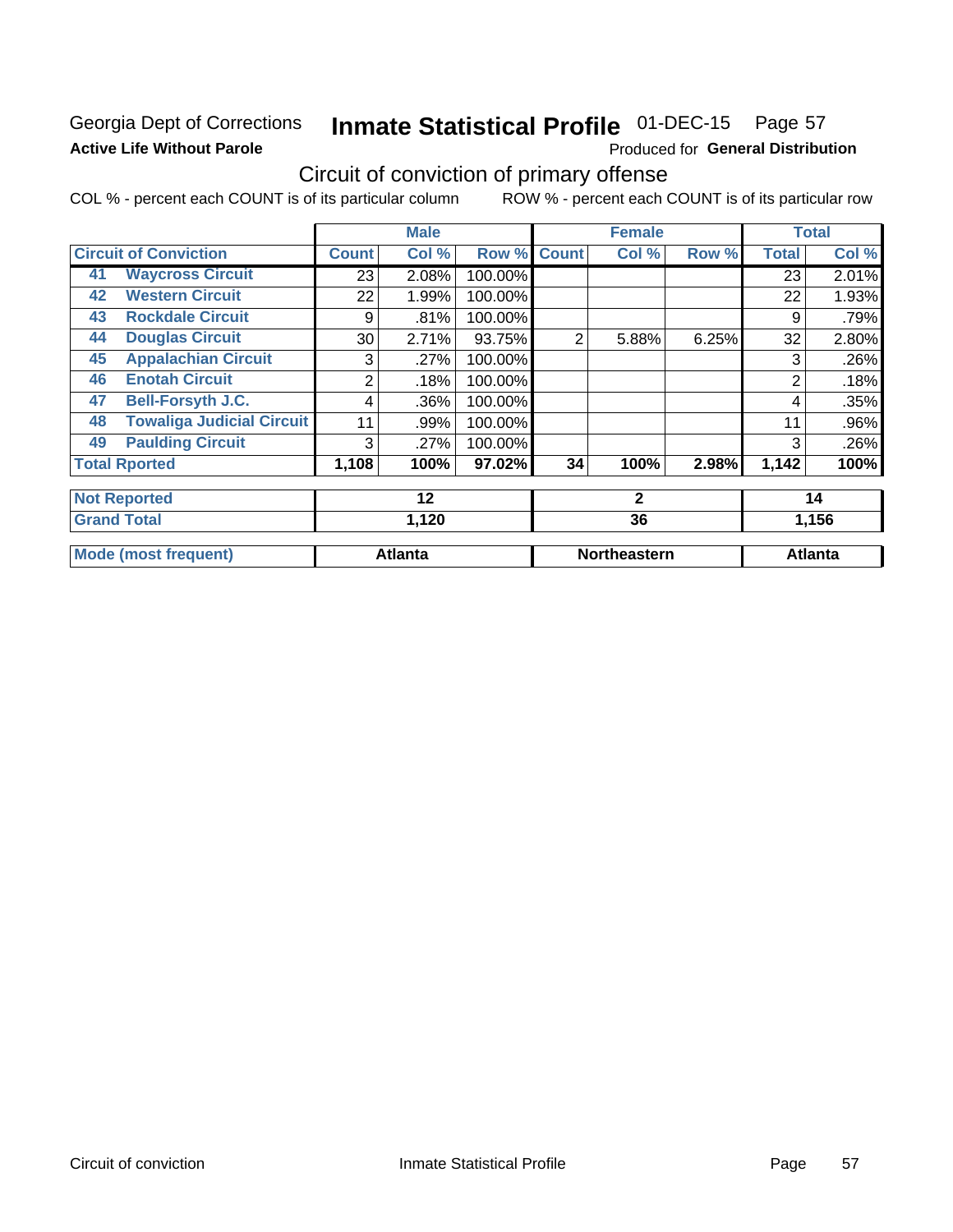## Georgia Dept of Corrections **Active Life Without Parole**

## Inmate Statistical Profile 01-DEC-15 Page 57

Produced for General Distribution

## Circuit of conviction of primary offense

|    |                                  |                 | <b>Male</b>    |         |                | <b>Female</b>       |       |              | <b>Total</b>   |
|----|----------------------------------|-----------------|----------------|---------|----------------|---------------------|-------|--------------|----------------|
|    | <b>Circuit of Conviction</b>     | <b>Count</b>    | Col %          | Row %   | <b>Count</b>   | Col %               | Row % | <b>Total</b> | Col %          |
| 41 | <b>Waycross Circuit</b>          | 23              | 2.08%          | 100.00% |                |                     |       | 23           | 2.01%          |
| 42 | <b>Western Circuit</b>           | 22              | 1.99%          | 100.00% |                |                     |       | 22           | 1.93%          |
| 43 | <b>Rockdale Circuit</b>          | 9               | .81%           | 100.00% |                |                     |       | 9            | .79%           |
| 44 | <b>Douglas Circuit</b>           | 30 <sup>°</sup> | 2.71%          | 93.75%  | $\overline{2}$ | 5.88%               | 6.25% | 32           | 2.80%          |
| 45 | <b>Appalachian Circuit</b>       | 3               | .27%           | 100.00% |                |                     |       | 3            | .26%           |
| 46 | <b>Enotah Circuit</b>            | 2               | .18%           | 100.00% |                |                     |       | 2            | .18%           |
| 47 | <b>Bell-Forsyth J.C.</b>         | 4               | .36%           | 100.00% |                |                     |       | 4            | .35%           |
| 48 | <b>Towaliga Judicial Circuit</b> | 11              | .99%           | 100.00% |                |                     |       | 11           | .96%           |
| 49 | <b>Paulding Circuit</b>          | 3               | .27%           | 100.00% |                |                     |       | 3            | .26%           |
|    | <b>Total Rported</b>             | 1,108           | 100%           | 97.02%  | 34             | 100%                | 2.98% | 1,142        | 100%           |
|    | <b>Not Reported</b>              |                 | 12             |         |                | $\mathbf{2}$        |       | 14           |                |
|    | <b>Grand Total</b>               | 1,120           |                |         | 36             |                     |       | 1,156        |                |
|    | <b>Mode (most frequent)</b>      |                 | <b>Atlanta</b> |         |                | <b>Northeastern</b> |       |              | <b>Atlanta</b> |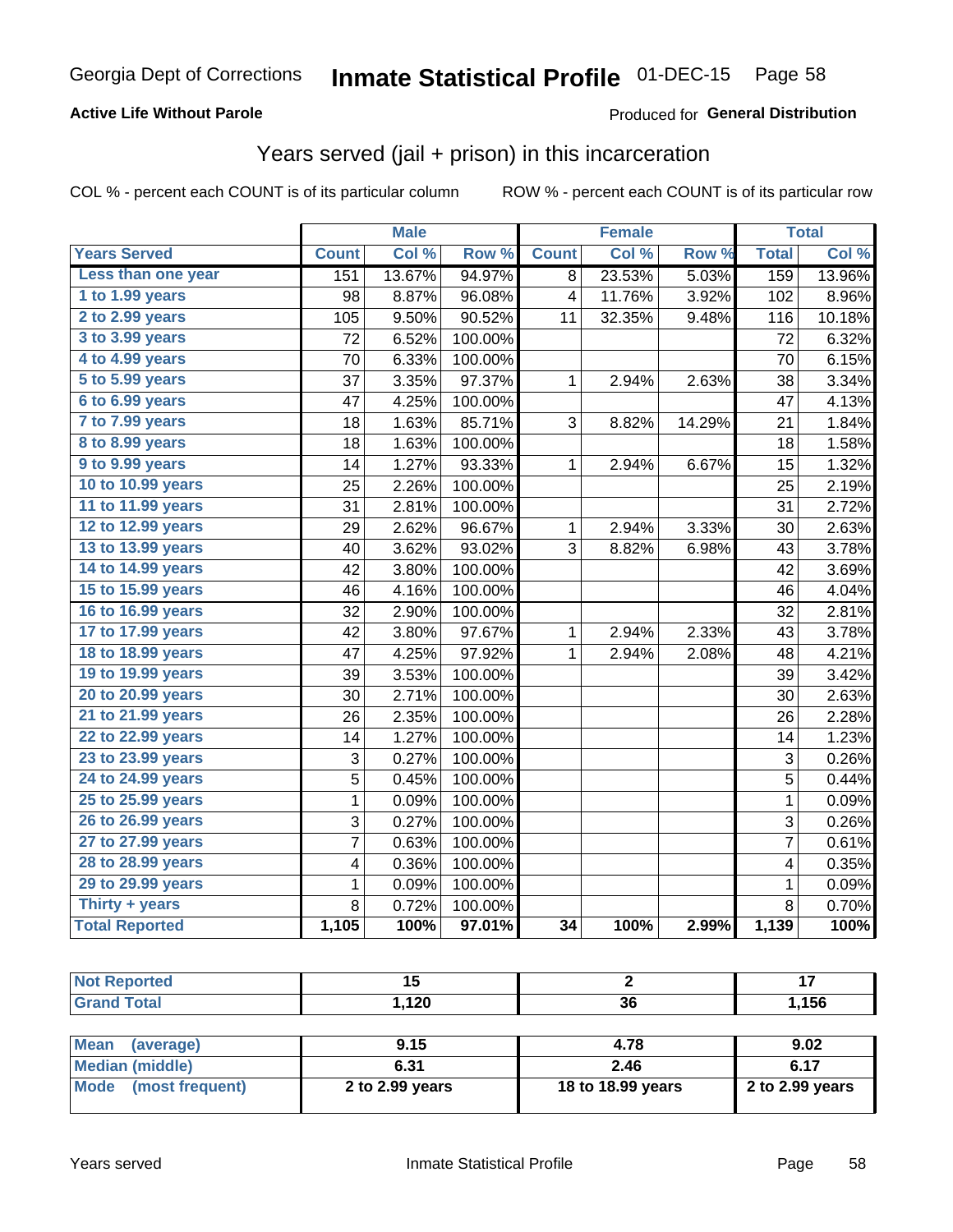## **Active Life Without Parole**

## Produced for General Distribution

## Years served (jail + prison) in this incarceration

COL % - percent each COUNT is of its particular column

| <b>Years Served</b><br>Col %<br>Row %<br>Col %<br>Row %<br><b>Total</b><br><b>Count</b><br><b>Count</b><br>Less than one year<br>13.67%<br>94.97%<br>23.53%<br>5.03%<br>159<br>151<br>8<br>1 to 1.99 years<br>96.08%<br>11.76%<br>3.92%<br>98<br>8.87%<br>$\overline{\mathbf{4}}$<br>102<br>2 to 2.99 years<br>90.52%<br>9.50%<br>32.35%<br>9.48%<br>105<br>11<br>116<br>3 to 3.99 years<br>72<br>6.52%<br>100.00%<br>72<br>4 to 4.99 years<br>70<br>6.33%<br>100.00%<br>70<br>5 to 5.99 years<br>37<br>3.35%<br>97.37%<br>2.94%<br>2.63%<br>38<br>$\mathbf 1$<br>6 to 6.99 years<br>47<br>47<br>4.25%<br>100.00%<br>7 to 7.99 years<br>1.63%<br>85.71%<br>3<br>21<br>18<br>8.82%<br>14.29%<br>8 to 8.99 years<br>1.63%<br>18<br>100.00%<br>18<br>9 to 9.99 years<br>1.27%<br>93.33%<br>$\mathbf{1}$<br>2.94%<br>6.67%<br>15<br>14<br>10 to 10.99 years<br>100.00%<br>25<br>2.26%<br>25<br>11 to 11.99 years<br>31<br>2.81%<br>100.00%<br>31<br>12 to 12.99 years<br>29<br>2.62%<br>96.67%<br>2.94%<br>3.33%<br>30<br>$\mathbf{1}$<br>13 to 13.99 years<br>3.62%<br>93.02%<br>3<br>8.82%<br>40<br>6.98%<br>43<br>14 to 14.99 years<br>42<br>3.80%<br>100.00%<br>42<br>15 to 15.99 years<br>4.16%<br>100.00%<br>46<br>46<br>16 to 16.99 years<br>32<br>2.90%<br>100.00%<br>32<br>17 to 17.99 years<br>42<br>3.80%<br>97.67%<br>2.94%<br>2.33%<br>$\mathbf{1}$<br>43<br>18 to 18.99 years<br>4.25%<br>97.92%<br>47<br>$\mathbf{1}$<br>2.94%<br>2.08%<br>48<br>19 to 19.99 years<br>3.53%<br>39<br>100.00%<br>39<br>20 to 20.99 years<br>30<br>2.71%<br>100.00%<br>30<br>21 to 21.99 years<br>2.35%<br>26<br>100.00%<br>26<br>22 to 22.99 years<br>1.27%<br>100.00%<br>14<br>14<br>23 to 23.99 years<br>3<br>3<br>0.27%<br>100.00%<br>24 to 24.99 years<br>$\overline{5}$<br>$\overline{5}$<br>0.45%<br>100.00%<br>25 to 25.99 years<br>$\mathbf{1}$<br>$\overline{1}$<br>100.00%<br>0.09%<br>26 to 26.99 years<br>$\overline{3}$<br>3<br>0.27%<br>100.00%<br>27 to 27.99 years<br>$\overline{7}$<br>0.63%<br>100.00%<br>$\overline{7}$<br>28 to 28.99 years<br>100.00%<br>4<br>0.36%<br>$\overline{\mathbf{4}}$<br>29 to 29.99 years<br>$\mathbf 1$<br>0.09%<br>100.00%<br>$\mathbf 1$<br>Thirty + years<br>8<br>8<br>0.72%<br>100.00% |                       |       | <b>Male</b> |        |                 | <b>Female</b> |       |       | <b>Total</b> |
|--------------------------------------------------------------------------------------------------------------------------------------------------------------------------------------------------------------------------------------------------------------------------------------------------------------------------------------------------------------------------------------------------------------------------------------------------------------------------------------------------------------------------------------------------------------------------------------------------------------------------------------------------------------------------------------------------------------------------------------------------------------------------------------------------------------------------------------------------------------------------------------------------------------------------------------------------------------------------------------------------------------------------------------------------------------------------------------------------------------------------------------------------------------------------------------------------------------------------------------------------------------------------------------------------------------------------------------------------------------------------------------------------------------------------------------------------------------------------------------------------------------------------------------------------------------------------------------------------------------------------------------------------------------------------------------------------------------------------------------------------------------------------------------------------------------------------------------------------------------------------------------------------------------------------------------------------------------------------------------------------------------------------------------------------------------------------------------------------------------------------------------------------------------------------------------------------------------------------------------|-----------------------|-------|-------------|--------|-----------------|---------------|-------|-------|--------------|
|                                                                                                                                                                                                                                                                                                                                                                                                                                                                                                                                                                                                                                                                                                                                                                                                                                                                                                                                                                                                                                                                                                                                                                                                                                                                                                                                                                                                                                                                                                                                                                                                                                                                                                                                                                                                                                                                                                                                                                                                                                                                                                                                                                                                                                      |                       |       |             |        |                 |               |       |       | Col %        |
|                                                                                                                                                                                                                                                                                                                                                                                                                                                                                                                                                                                                                                                                                                                                                                                                                                                                                                                                                                                                                                                                                                                                                                                                                                                                                                                                                                                                                                                                                                                                                                                                                                                                                                                                                                                                                                                                                                                                                                                                                                                                                                                                                                                                                                      |                       |       |             |        |                 |               |       |       | 13.96%       |
|                                                                                                                                                                                                                                                                                                                                                                                                                                                                                                                                                                                                                                                                                                                                                                                                                                                                                                                                                                                                                                                                                                                                                                                                                                                                                                                                                                                                                                                                                                                                                                                                                                                                                                                                                                                                                                                                                                                                                                                                                                                                                                                                                                                                                                      |                       |       |             |        |                 |               |       |       | 8.96%        |
|                                                                                                                                                                                                                                                                                                                                                                                                                                                                                                                                                                                                                                                                                                                                                                                                                                                                                                                                                                                                                                                                                                                                                                                                                                                                                                                                                                                                                                                                                                                                                                                                                                                                                                                                                                                                                                                                                                                                                                                                                                                                                                                                                                                                                                      |                       |       |             |        |                 |               |       |       | 10.18%       |
|                                                                                                                                                                                                                                                                                                                                                                                                                                                                                                                                                                                                                                                                                                                                                                                                                                                                                                                                                                                                                                                                                                                                                                                                                                                                                                                                                                                                                                                                                                                                                                                                                                                                                                                                                                                                                                                                                                                                                                                                                                                                                                                                                                                                                                      |                       |       |             |        |                 |               |       |       | 6.32%        |
|                                                                                                                                                                                                                                                                                                                                                                                                                                                                                                                                                                                                                                                                                                                                                                                                                                                                                                                                                                                                                                                                                                                                                                                                                                                                                                                                                                                                                                                                                                                                                                                                                                                                                                                                                                                                                                                                                                                                                                                                                                                                                                                                                                                                                                      |                       |       |             |        |                 |               |       |       | 6.15%        |
|                                                                                                                                                                                                                                                                                                                                                                                                                                                                                                                                                                                                                                                                                                                                                                                                                                                                                                                                                                                                                                                                                                                                                                                                                                                                                                                                                                                                                                                                                                                                                                                                                                                                                                                                                                                                                                                                                                                                                                                                                                                                                                                                                                                                                                      |                       |       |             |        |                 |               |       |       | 3.34%        |
|                                                                                                                                                                                                                                                                                                                                                                                                                                                                                                                                                                                                                                                                                                                                                                                                                                                                                                                                                                                                                                                                                                                                                                                                                                                                                                                                                                                                                                                                                                                                                                                                                                                                                                                                                                                                                                                                                                                                                                                                                                                                                                                                                                                                                                      |                       |       |             |        |                 |               |       |       | 4.13%        |
|                                                                                                                                                                                                                                                                                                                                                                                                                                                                                                                                                                                                                                                                                                                                                                                                                                                                                                                                                                                                                                                                                                                                                                                                                                                                                                                                                                                                                                                                                                                                                                                                                                                                                                                                                                                                                                                                                                                                                                                                                                                                                                                                                                                                                                      |                       |       |             |        |                 |               |       |       | 1.84%        |
|                                                                                                                                                                                                                                                                                                                                                                                                                                                                                                                                                                                                                                                                                                                                                                                                                                                                                                                                                                                                                                                                                                                                                                                                                                                                                                                                                                                                                                                                                                                                                                                                                                                                                                                                                                                                                                                                                                                                                                                                                                                                                                                                                                                                                                      |                       |       |             |        |                 |               |       |       | 1.58%        |
|                                                                                                                                                                                                                                                                                                                                                                                                                                                                                                                                                                                                                                                                                                                                                                                                                                                                                                                                                                                                                                                                                                                                                                                                                                                                                                                                                                                                                                                                                                                                                                                                                                                                                                                                                                                                                                                                                                                                                                                                                                                                                                                                                                                                                                      |                       |       |             |        |                 |               |       |       | 1.32%        |
|                                                                                                                                                                                                                                                                                                                                                                                                                                                                                                                                                                                                                                                                                                                                                                                                                                                                                                                                                                                                                                                                                                                                                                                                                                                                                                                                                                                                                                                                                                                                                                                                                                                                                                                                                                                                                                                                                                                                                                                                                                                                                                                                                                                                                                      |                       |       |             |        |                 |               |       |       | 2.19%        |
|                                                                                                                                                                                                                                                                                                                                                                                                                                                                                                                                                                                                                                                                                                                                                                                                                                                                                                                                                                                                                                                                                                                                                                                                                                                                                                                                                                                                                                                                                                                                                                                                                                                                                                                                                                                                                                                                                                                                                                                                                                                                                                                                                                                                                                      |                       |       |             |        |                 |               |       |       | 2.72%        |
|                                                                                                                                                                                                                                                                                                                                                                                                                                                                                                                                                                                                                                                                                                                                                                                                                                                                                                                                                                                                                                                                                                                                                                                                                                                                                                                                                                                                                                                                                                                                                                                                                                                                                                                                                                                                                                                                                                                                                                                                                                                                                                                                                                                                                                      |                       |       |             |        |                 |               |       |       | 2.63%        |
|                                                                                                                                                                                                                                                                                                                                                                                                                                                                                                                                                                                                                                                                                                                                                                                                                                                                                                                                                                                                                                                                                                                                                                                                                                                                                                                                                                                                                                                                                                                                                                                                                                                                                                                                                                                                                                                                                                                                                                                                                                                                                                                                                                                                                                      |                       |       |             |        |                 |               |       |       | 3.78%        |
|                                                                                                                                                                                                                                                                                                                                                                                                                                                                                                                                                                                                                                                                                                                                                                                                                                                                                                                                                                                                                                                                                                                                                                                                                                                                                                                                                                                                                                                                                                                                                                                                                                                                                                                                                                                                                                                                                                                                                                                                                                                                                                                                                                                                                                      |                       |       |             |        |                 |               |       |       | 3.69%        |
|                                                                                                                                                                                                                                                                                                                                                                                                                                                                                                                                                                                                                                                                                                                                                                                                                                                                                                                                                                                                                                                                                                                                                                                                                                                                                                                                                                                                                                                                                                                                                                                                                                                                                                                                                                                                                                                                                                                                                                                                                                                                                                                                                                                                                                      |                       |       |             |        |                 |               |       |       | 4.04%        |
|                                                                                                                                                                                                                                                                                                                                                                                                                                                                                                                                                                                                                                                                                                                                                                                                                                                                                                                                                                                                                                                                                                                                                                                                                                                                                                                                                                                                                                                                                                                                                                                                                                                                                                                                                                                                                                                                                                                                                                                                                                                                                                                                                                                                                                      |                       |       |             |        |                 |               |       |       | 2.81%        |
|                                                                                                                                                                                                                                                                                                                                                                                                                                                                                                                                                                                                                                                                                                                                                                                                                                                                                                                                                                                                                                                                                                                                                                                                                                                                                                                                                                                                                                                                                                                                                                                                                                                                                                                                                                                                                                                                                                                                                                                                                                                                                                                                                                                                                                      |                       |       |             |        |                 |               |       |       | 3.78%        |
|                                                                                                                                                                                                                                                                                                                                                                                                                                                                                                                                                                                                                                                                                                                                                                                                                                                                                                                                                                                                                                                                                                                                                                                                                                                                                                                                                                                                                                                                                                                                                                                                                                                                                                                                                                                                                                                                                                                                                                                                                                                                                                                                                                                                                                      |                       |       |             |        |                 |               |       |       | 4.21%        |
|                                                                                                                                                                                                                                                                                                                                                                                                                                                                                                                                                                                                                                                                                                                                                                                                                                                                                                                                                                                                                                                                                                                                                                                                                                                                                                                                                                                                                                                                                                                                                                                                                                                                                                                                                                                                                                                                                                                                                                                                                                                                                                                                                                                                                                      |                       |       |             |        |                 |               |       |       | 3.42%        |
|                                                                                                                                                                                                                                                                                                                                                                                                                                                                                                                                                                                                                                                                                                                                                                                                                                                                                                                                                                                                                                                                                                                                                                                                                                                                                                                                                                                                                                                                                                                                                                                                                                                                                                                                                                                                                                                                                                                                                                                                                                                                                                                                                                                                                                      |                       |       |             |        |                 |               |       |       | 2.63%        |
|                                                                                                                                                                                                                                                                                                                                                                                                                                                                                                                                                                                                                                                                                                                                                                                                                                                                                                                                                                                                                                                                                                                                                                                                                                                                                                                                                                                                                                                                                                                                                                                                                                                                                                                                                                                                                                                                                                                                                                                                                                                                                                                                                                                                                                      |                       |       |             |        |                 |               |       |       | 2.28%        |
|                                                                                                                                                                                                                                                                                                                                                                                                                                                                                                                                                                                                                                                                                                                                                                                                                                                                                                                                                                                                                                                                                                                                                                                                                                                                                                                                                                                                                                                                                                                                                                                                                                                                                                                                                                                                                                                                                                                                                                                                                                                                                                                                                                                                                                      |                       |       |             |        |                 |               |       |       | 1.23%        |
|                                                                                                                                                                                                                                                                                                                                                                                                                                                                                                                                                                                                                                                                                                                                                                                                                                                                                                                                                                                                                                                                                                                                                                                                                                                                                                                                                                                                                                                                                                                                                                                                                                                                                                                                                                                                                                                                                                                                                                                                                                                                                                                                                                                                                                      |                       |       |             |        |                 |               |       |       | 0.26%        |
|                                                                                                                                                                                                                                                                                                                                                                                                                                                                                                                                                                                                                                                                                                                                                                                                                                                                                                                                                                                                                                                                                                                                                                                                                                                                                                                                                                                                                                                                                                                                                                                                                                                                                                                                                                                                                                                                                                                                                                                                                                                                                                                                                                                                                                      |                       |       |             |        |                 |               |       |       | 0.44%        |
|                                                                                                                                                                                                                                                                                                                                                                                                                                                                                                                                                                                                                                                                                                                                                                                                                                                                                                                                                                                                                                                                                                                                                                                                                                                                                                                                                                                                                                                                                                                                                                                                                                                                                                                                                                                                                                                                                                                                                                                                                                                                                                                                                                                                                                      |                       |       |             |        |                 |               |       |       | 0.09%        |
|                                                                                                                                                                                                                                                                                                                                                                                                                                                                                                                                                                                                                                                                                                                                                                                                                                                                                                                                                                                                                                                                                                                                                                                                                                                                                                                                                                                                                                                                                                                                                                                                                                                                                                                                                                                                                                                                                                                                                                                                                                                                                                                                                                                                                                      |                       |       |             |        |                 |               |       |       | 0.26%        |
|                                                                                                                                                                                                                                                                                                                                                                                                                                                                                                                                                                                                                                                                                                                                                                                                                                                                                                                                                                                                                                                                                                                                                                                                                                                                                                                                                                                                                                                                                                                                                                                                                                                                                                                                                                                                                                                                                                                                                                                                                                                                                                                                                                                                                                      |                       |       |             |        |                 |               |       |       | 0.61%        |
|                                                                                                                                                                                                                                                                                                                                                                                                                                                                                                                                                                                                                                                                                                                                                                                                                                                                                                                                                                                                                                                                                                                                                                                                                                                                                                                                                                                                                                                                                                                                                                                                                                                                                                                                                                                                                                                                                                                                                                                                                                                                                                                                                                                                                                      |                       |       |             |        |                 |               |       |       | 0.35%        |
|                                                                                                                                                                                                                                                                                                                                                                                                                                                                                                                                                                                                                                                                                                                                                                                                                                                                                                                                                                                                                                                                                                                                                                                                                                                                                                                                                                                                                                                                                                                                                                                                                                                                                                                                                                                                                                                                                                                                                                                                                                                                                                                                                                                                                                      |                       |       |             |        |                 |               |       |       | 0.09%        |
|                                                                                                                                                                                                                                                                                                                                                                                                                                                                                                                                                                                                                                                                                                                                                                                                                                                                                                                                                                                                                                                                                                                                                                                                                                                                                                                                                                                                                                                                                                                                                                                                                                                                                                                                                                                                                                                                                                                                                                                                                                                                                                                                                                                                                                      |                       |       |             |        |                 |               |       |       | 0.70%        |
|                                                                                                                                                                                                                                                                                                                                                                                                                                                                                                                                                                                                                                                                                                                                                                                                                                                                                                                                                                                                                                                                                                                                                                                                                                                                                                                                                                                                                                                                                                                                                                                                                                                                                                                                                                                                                                                                                                                                                                                                                                                                                                                                                                                                                                      | <b>Total Reported</b> | 1,105 | 100%        | 97.01% | $\overline{34}$ | 100%          | 2.99% | 1,139 | 100%         |

| <b>Not Reported</b>      | 15              |                   | -17             |
|--------------------------|-----------------|-------------------|-----------------|
| <b>Grand Total</b>       | 1.120           | 36                | 1,156           |
|                          |                 |                   |                 |
| <b>Mean</b><br>(average) | 9.15            | 4.78              | 9.02            |
| <b>Median (middle)</b>   | 6.31            | 2.46              | 6.17            |
| Mode<br>(most frequent)  | 2 to 2.99 years | 18 to 18.99 years | 2 to 2.99 years |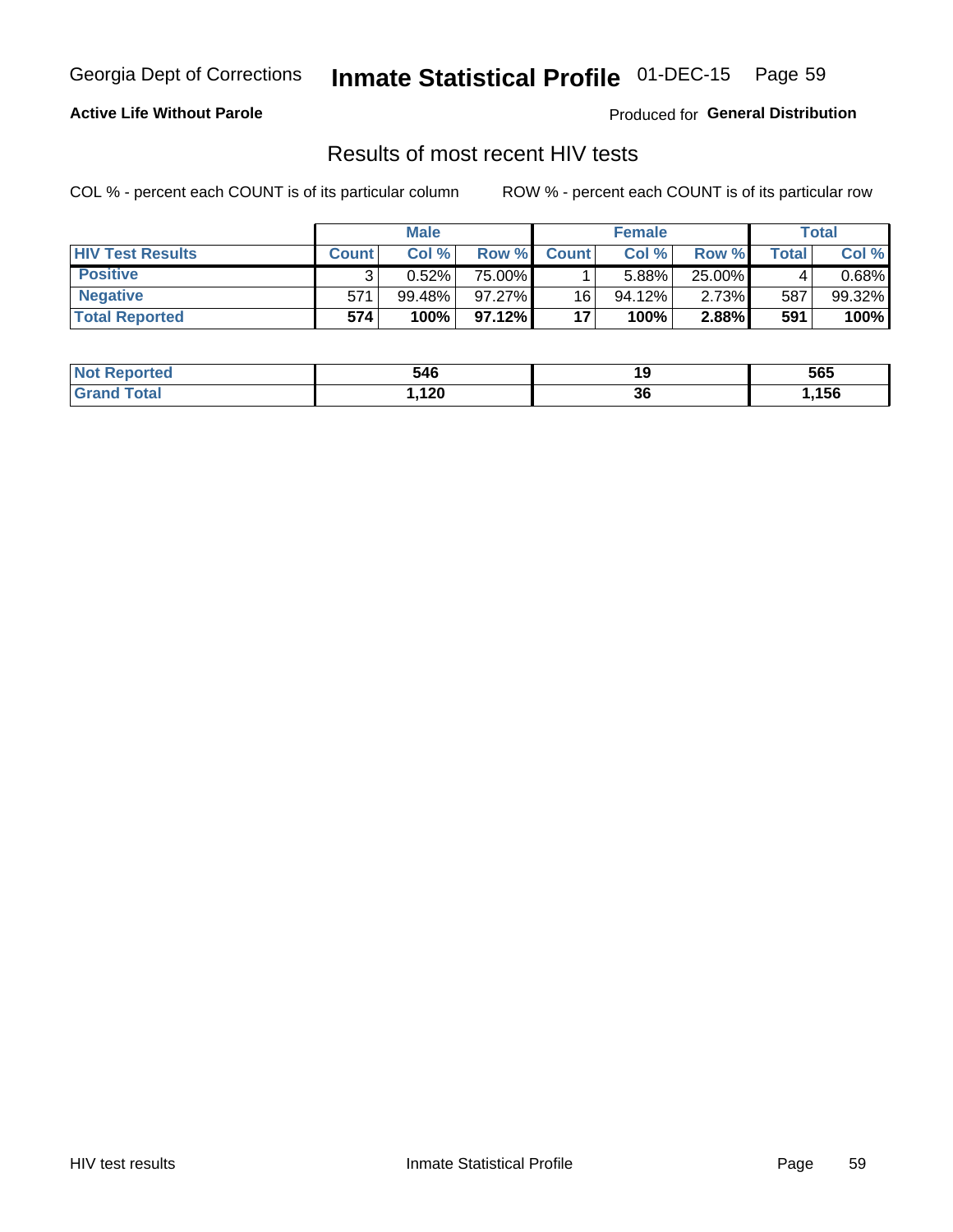## Inmate Statistical Profile 01-DEC-15 Page 59

## **Active Life Without Parole**

Produced for General Distribution

## Results of most recent HIV tests

COL % - percent each COUNT is of its particular column

|                         |              | <b>Male</b> |        |              | <b>Female</b> |        |       | Total  |
|-------------------------|--------------|-------------|--------|--------------|---------------|--------|-------|--------|
| <b>HIV Test Results</b> | <b>Count</b> | Col%        | Row %I | <b>Count</b> | Col %         | Row %  | Total | Col %  |
| <b>Positive</b>         |              | 0.52%       | 75.00% |              | 5.88%         | 25.00% |       | 0.68%  |
| <b>Negative</b>         | 571          | $99.48\%$   | 97.27% | 16           | $94.12\%$     | 2.73%  | 587   | 99.32% |
| <b>Total Reported</b>   | 574          | 100%        | 97.12% | 17           | 100%          | 2.88%  | 591   | 100%   |

| <b>Not Reported</b>  | 546  | . . | 565  |
|----------------------|------|-----|------|
| <b>Total</b><br>Gran | ,120 | 36  | ,156 |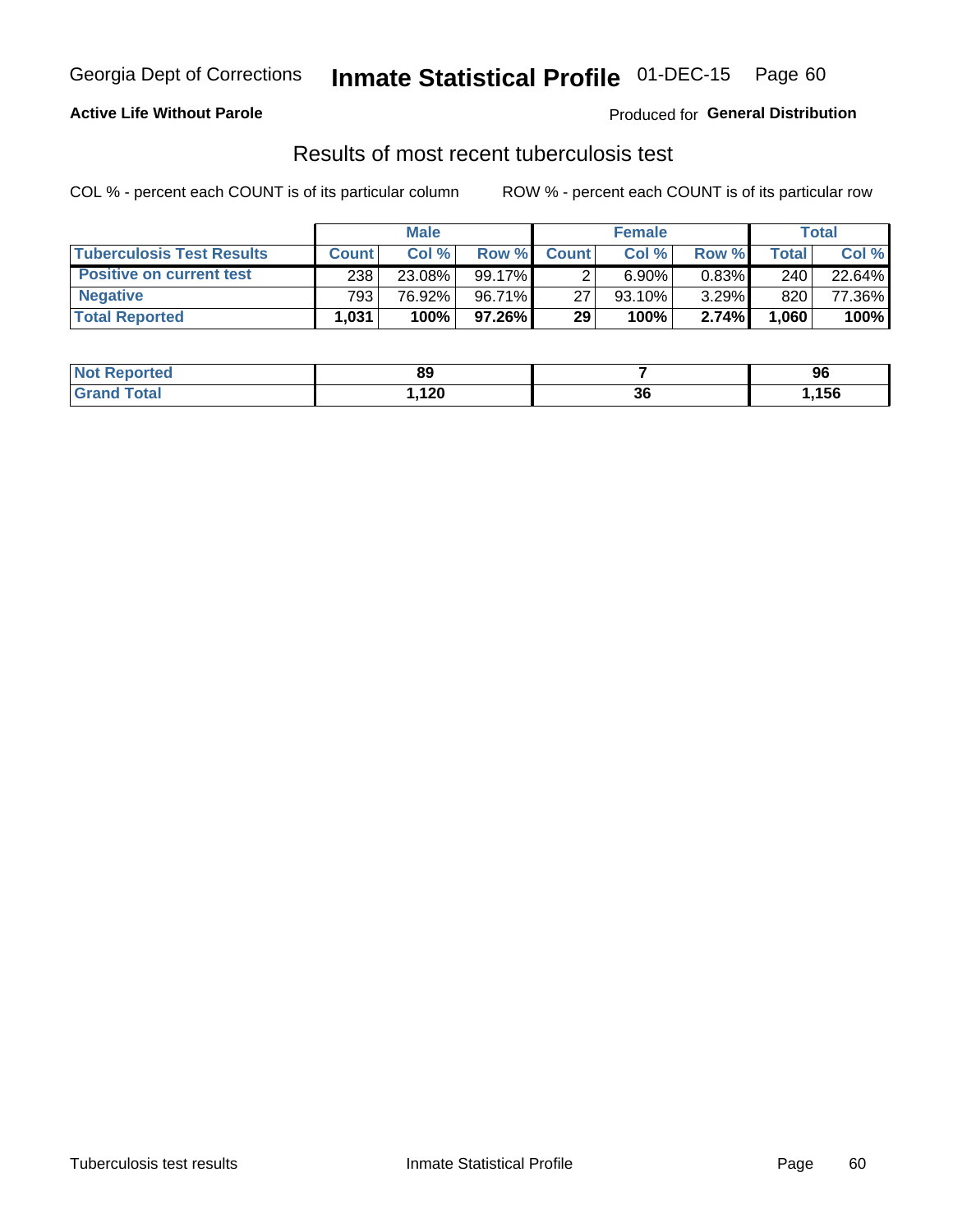## Georgia Dept of Corrections **Inmate Statistical Profile** 01-DEC-15 Page 60

## **Active Life Without Parole**

Produced for **General Distribution**

## Results of most recent tuberculosis test

|                                  |              | <b>Male</b> |        |              | <b>Female</b> |          |         | Total  |
|----------------------------------|--------------|-------------|--------|--------------|---------------|----------|---------|--------|
| <b>Tuberculosis Test Results</b> | <b>Count</b> | Col%        | Row %I | <b>Count</b> | Col %         | Row %I   | Total I | Col %  |
| <b>Positive on current test</b>  | 238          | 23.08%      | 99.17% |              | 6.90%         | $0.83\%$ | 240     | 22.64% |
| <b>Negative</b>                  | 793          | 76.92%      | 96.71% | 27           | $93.10\%$     | $3.29\%$ | 820     | 77.36% |
| <b>Total Reported</b>            | ,031         | 100%        | 97.26% | 29           | 100%          | 2.74%    | 1,060   | 100%   |

| <b>Not Reported</b> | 89         |                 | 96  |
|---------------------|------------|-----------------|-----|
| <b>Total</b>        | .120<br>__ | <u>^^</u><br>ად | 156 |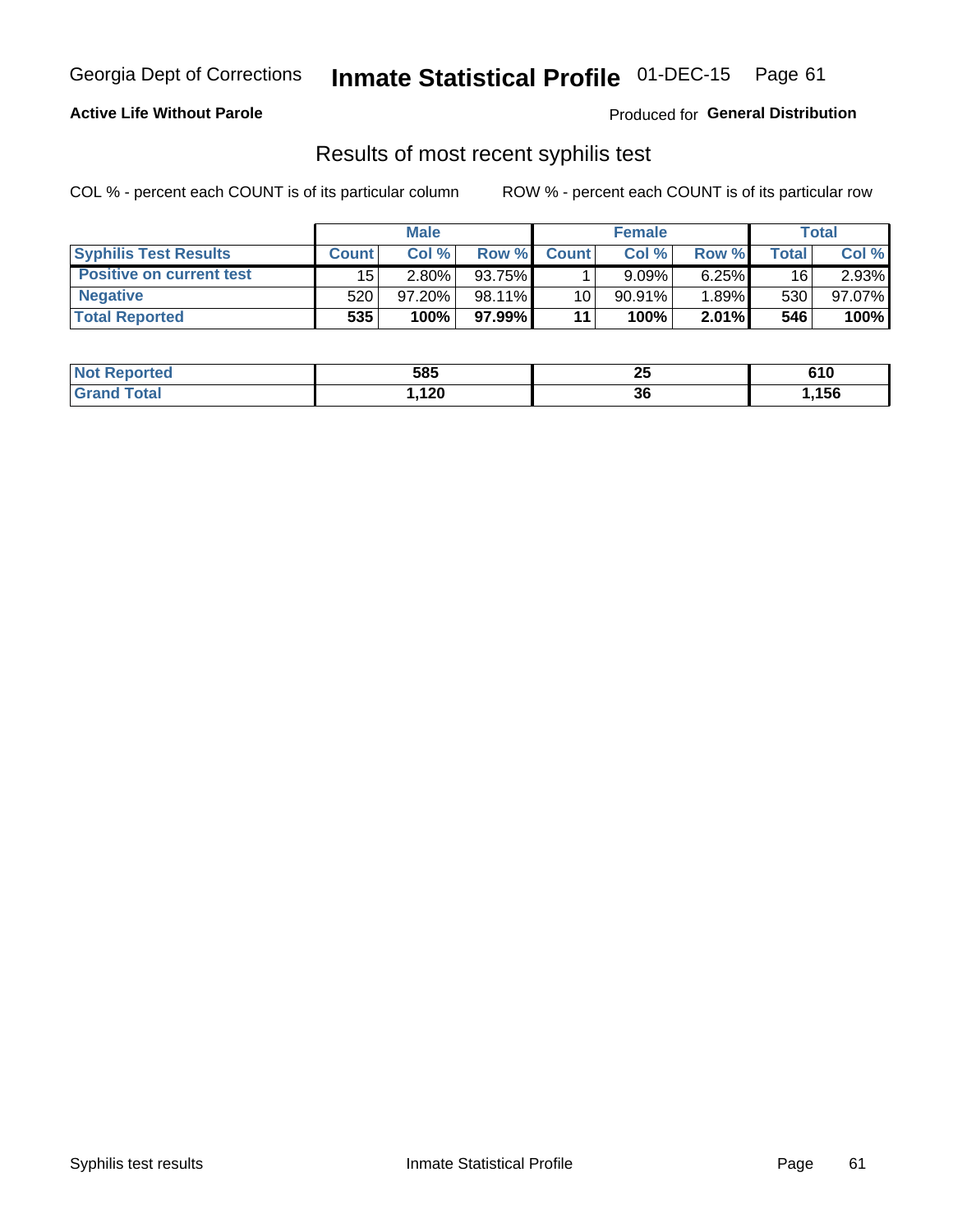## Georgia Dept of Corrections **Inmate Statistical Profile** 01-DEC-15 Page 61

## **Active Life Without Parole**

Produced for **General Distribution**

## Results of most recent syphilis test

|                                 | <b>Male</b>  |           |          | <b>Female</b> |           |          | Total |        |
|---------------------------------|--------------|-----------|----------|---------------|-----------|----------|-------|--------|
| <b>Syphilis Test Results</b>    | <b>Count</b> | Col%      | Row %I   | <b>Count</b>  | Col %     | Row %I   | Total | Col %  |
| <b>Positive on current test</b> | 15           | $2.80\%$  | 93.75%   |               | 9.09%     | 6.25%    | 16    | 2.93%  |
| <b>Negative</b>                 | 520          | $97.20\%$ | 98.11%   | 10            | $90.91\%$ | $1.89\%$ | 530   | 97.07% |
| <b>Total Reported</b>           | 535          | 100%      | 97.99% l | 11            | 100%      | $2.01\%$ | 546   | 100%   |

| <b>Not Reported</b> | 585  | יי<br>2 J | 610  |
|---------------------|------|-----------|------|
| <b>Grand Total</b>  | ,120 | 36        | ,156 |